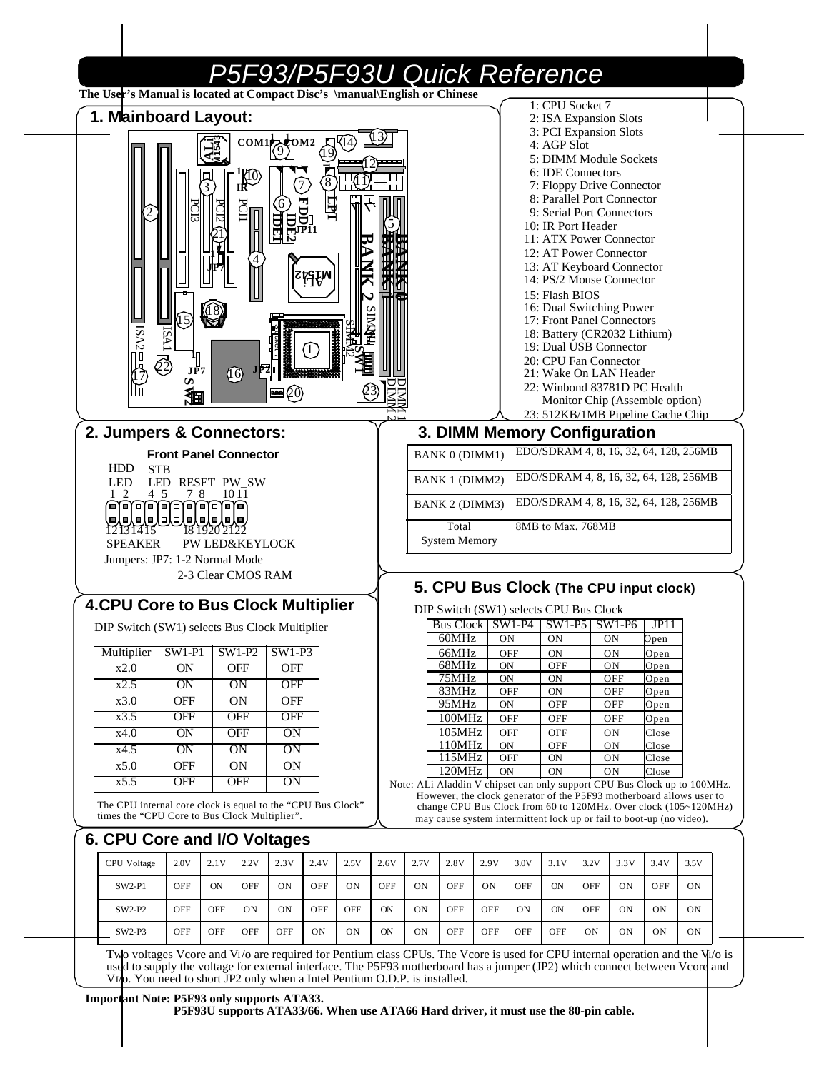| 1. Mainboard Layout:                                                                                         |                              |               |                           |                                        |        |           |            |      |                                                                                                                                                  |           |                  | 1: CPU Socket 7<br>2: ISA Expansion Slots               |      |                 |                                        |      |  |
|--------------------------------------------------------------------------------------------------------------|------------------------------|---------------|---------------------------|----------------------------------------|--------|-----------|------------|------|--------------------------------------------------------------------------------------------------------------------------------------------------|-----------|------------------|---------------------------------------------------------|------|-----------------|----------------------------------------|------|--|
|                                                                                                              |                              |               |                           |                                        |        |           |            |      |                                                                                                                                                  |           |                  | 3: PCI Expansion Slots                                  |      |                 |                                        |      |  |
|                                                                                                              |                              |               |                           | $COM1$ $\left(\frac{9}{9}\right)^{10}$ |        |           |            |      |                                                                                                                                                  |           |                  | 4: AGP Slot<br>5: DIMM Module Sockets                   |      |                 |                                        |      |  |
|                                                                                                              |                              |               |                           |                                        |        |           |            |      |                                                                                                                                                  |           |                  | 6: IDE Connectors                                       |      |                 |                                        |      |  |
|                                                                                                              |                              |               |                           |                                        | 8      | 70 17 금7  |            |      |                                                                                                                                                  |           |                  | 7: Floppy Drive Connector                               |      |                 |                                        |      |  |
|                                                                                                              |                              |               |                           |                                        |        |           |            |      |                                                                                                                                                  |           |                  | 8: Parallel Port Connector<br>9: Serial Port Connectors |      |                 |                                        |      |  |
|                                                                                                              |                              |               |                           | Щ                                      | 0<br>肥 |           |            |      |                                                                                                                                                  |           |                  | 10: IR Port Header                                      |      |                 |                                        |      |  |
|                                                                                                              |                              |               |                           |                                        |        |           |            |      |                                                                                                                                                  |           |                  | 11: ATX Power Connector                                 |      |                 |                                        |      |  |
|                                                                                                              |                              |               |                           |                                        |        |           |            |      |                                                                                                                                                  |           |                  | 12: AT Power Connector<br>13: AT Keyboard Connector     |      |                 |                                        |      |  |
|                                                                                                              |                              |               |                           |                                        | ŗşţn   |           |            |      |                                                                                                                                                  |           |                  | 14: PS/2 Mouse Connector                                |      |                 |                                        |      |  |
|                                                                                                              |                              |               |                           |                                        |        |           |            |      |                                                                                                                                                  |           |                  | 15: Flash BIOS                                          |      |                 |                                        |      |  |
|                                                                                                              |                              |               |                           |                                        |        |           |            |      |                                                                                                                                                  |           |                  | 16: Dual Switching Power<br>17: Front Panel Connectors  |      |                 |                                        |      |  |
|                                                                                                              | VSI                          |               |                           |                                        |        |           |            |      |                                                                                                                                                  |           |                  | 18: Battery (CR2032 Lithium)                            |      |                 |                                        |      |  |
| $BN2 =$                                                                                                      |                              |               |                           |                                        |        |           |            |      |                                                                                                                                                  |           |                  | 19: Dual USB Connector                                  |      |                 |                                        |      |  |
|                                                                                                              | JP7                          |               | $\sqrt{6}$                |                                        |        |           |            |      |                                                                                                                                                  |           |                  | 20: CPU Fan Connector<br>21: Wake On LAN Header         |      |                 |                                        |      |  |
|                                                                                                              | w                            |               |                           | $\blacksquare$                         |        |           |            |      |                                                                                                                                                  |           |                  |                                                         |      |                 | 22: Winbond 83781D PC Health           |      |  |
|                                                                                                              | 洹                            |               |                           |                                        |        |           |            |      |                                                                                                                                                  |           |                  |                                                         |      |                 | Monitor Chip (Assemble option)         |      |  |
|                                                                                                              |                              |               |                           |                                        |        |           |            |      |                                                                                                                                                  |           |                  |                                                         |      |                 | 23: 512KB/1MB Pipeline Cache Chip      |      |  |
| 2. Jumpers & Connectors:                                                                                     | <b>Front Panel Connector</b> |               |                           |                                        |        |           |            |      | 3. DIMM Memory Configuration<br><b>BANK 0 (DIMM1)</b>                                                                                            |           |                  |                                                         |      |                 | EDO/SDRAM 4, 8, 16, 32, 64, 128, 256MB |      |  |
| HDD<br><b>STB</b>                                                                                            |                              |               |                           |                                        |        |           |            |      |                                                                                                                                                  |           |                  |                                                         |      |                 | EDO/SDRAM 4, 8, 16, 32, 64, 128, 256MB |      |  |
| <b>LED</b><br>$1\quad2$<br>4 5                                                                               | LED RESET PW_SW<br>78        |               | 10 11                     |                                        |        |           |            |      | <b>BANK 1 (DIMM2)</b>                                                                                                                            |           |                  |                                                         |      |                 | EDO/SDRAM 4, 8, 16, 32, 64, 128, 256MB |      |  |
| لملعلوله لعلولها وللولعات<br>كلولولولولولولولو                                                               |                              |               |                           |                                        |        |           |            |      | BANK 2 (DIMM3)                                                                                                                                   |           |                  |                                                         |      |                 |                                        |      |  |
| $\frac{1}{2}131415$                                                                                          |                              | 18 1920 21 22 |                           |                                        |        |           |            |      | Total                                                                                                                                            |           |                  | 8MB to Max. 768MB                                       |      |                 |                                        |      |  |
| <b>SPEAKER</b>                                                                                               |                              |               | <b>PW LED&amp;KEYLOCK</b> |                                        |        |           |            |      | <b>System Memory</b>                                                                                                                             |           |                  |                                                         |      |                 |                                        |      |  |
| Jumpers: JP7: 1-2 Normal Mode                                                                                |                              |               | 2-3 Clear CMOS RAM        |                                        |        |           |            |      |                                                                                                                                                  |           |                  |                                                         |      |                 |                                        |      |  |
|                                                                                                              |                              |               |                           |                                        |        |           |            |      | 5. CPU Bus Clock (The CPU input clock)                                                                                                           |           |                  |                                                         |      |                 |                                        |      |  |
| <b>4.CPU Core to Bus Clock Multiplier</b>                                                                    |                              |               |                           |                                        |        |           |            |      | DIP Switch (SW1) selects CPU Bus Clock                                                                                                           |           |                  |                                                         |      |                 |                                        |      |  |
| DIP Switch (SW1) selects Bus Clock Multiplier                                                                |                              |               |                           |                                        |        |           |            |      | Bus Clock   SW1-P4   SW1-P5   SW1-P6                                                                                                             |           |                  |                                                         |      |                 | JPI1                                   |      |  |
| Multiplier   SW1-P1   SW1-P2   SW1-P3                                                                        |                              |               |                           |                                        |        |           |            |      | 60MHz                                                                                                                                            |           | <b>ON</b>        | <b>ON</b>                                               |      | <b>ON</b>       | Open                                   |      |  |
| x2.0                                                                                                         | ON                           |               | <b>OFF</b>                | <b>OFF</b>                             |        |           |            |      | 66MHz<br>68MHz                                                                                                                                   | <b>ON</b> | <b>OFF</b>       | <b>ON</b><br>OFF                                        |      | ON<br><b>ON</b> | Open<br>Open                           |      |  |
| x2.5                                                                                                         | ON                           |               | ON                        | <b>OFF</b>                             |        |           |            |      | 75MHz                                                                                                                                            | <b>ON</b> |                  | ON                                                      |      | OFF             | Open                                   |      |  |
| x3.0                                                                                                         | <b>OFF</b>                   |               | ON                        | <b>OFF</b>                             |        |           |            |      | 83MHz<br>95MHz                                                                                                                                   | <b>ON</b> | OFF              | ON<br>OFF                                               |      | OFF<br>OFF      | Open<br>Open                           |      |  |
| x3.5                                                                                                         | <b>OFF</b>                   |               | <b>OFF</b>                | <b>OFF</b>                             |        |           |            |      | 100MHz                                                                                                                                           |           | OFF              | OFF                                                     |      | OFF             | Open                                   |      |  |
| x4.0                                                                                                         | ON                           |               | <b>OFF</b>                | ON                                     |        |           |            |      | 105MHz                                                                                                                                           |           | <b>OFF</b>       | OFF                                                     |      | <b>ON</b>       | Close                                  |      |  |
| x4.5                                                                                                         | ON                           |               | ON                        | ON                                     |        |           |            |      | 110MHz<br>115MHz                                                                                                                                 |           | <b>ON</b><br>OFF | OFF<br>ON                                               |      | ON<br><b>ON</b> | Close<br>Close                         |      |  |
| x5.0                                                                                                         | <b>OFF</b>                   |               | ON                        | ON                                     |        |           |            |      | 120MHz                                                                                                                                           | <b>ON</b> |                  | ON                                                      |      | ON              | Close                                  |      |  |
| x5.5                                                                                                         | <b>OFF</b>                   |               | <b>OFF</b>                | ON                                     |        |           |            |      | Note: ALi Aladdin V chipset can only support CPU Bus Clock up to 100MHz.<br>However, the clock generator of the P5F93 motherboard allows user to |           |                  |                                                         |      |                 |                                        |      |  |
| The CPU internal core clock is equal to the "CPU Bus Clock"<br>times the "CPU Core to Bus Clock Multiplier". |                              |               |                           |                                        |        |           |            |      | change CPU Bus Clock from 60 to 120MHz. Over clock (105~120MHz)<br>may cause system intermittent lock up or fail to boot-up (no video).          |           |                  |                                                         |      |                 |                                        |      |  |
| 6. CPU Core and I/O Voltages                                                                                 |                              |               |                           |                                        |        |           |            |      |                                                                                                                                                  |           |                  |                                                         |      |                 |                                        |      |  |
| CPU Voltage                                                                                                  | 2.0V                         | 2.1V          | 2.2V                      | 2.3V                                   | 2.4V   | 2.5V      | 2.6V       | 2.7V | 2.8V                                                                                                                                             | 2.9V      | 3.0V             | 3.1V                                                    | 3.2V | 3.3V            | 3.4V                                   | 3.5V |  |
|                                                                                                              | <b>OFF</b>                   | ON            | <b>OFF</b>                | ON                                     | OFF    | <b>ON</b> | <b>OFF</b> | ON   | OFF                                                                                                                                              | <b>ON</b> | <b>OFF</b>       | <b>ON</b>                                               | OFF  | ON              | OFF                                    | ON   |  |
| SW2-P1                                                                                                       |                              |               |                           |                                        |        |           | <b>ON</b>  | ON   | OFF                                                                                                                                              | OFF       | <b>ON</b>        | <b>ON</b>                                               | OFF  | ON              | ON                                     | ON   |  |
| SW2-P2                                                                                                       | <b>OFF</b>                   | OFF           | ON                        | ON                                     | OFF    | OFF       |            |      |                                                                                                                                                  |           |                  |                                                         |      |                 |                                        |      |  |

#### **Important Note: P5F93 only supports ATA33.**

**P5F93U supports ATA33/66. When use ATA66 Hard driver, it must use the 80-pin cable.**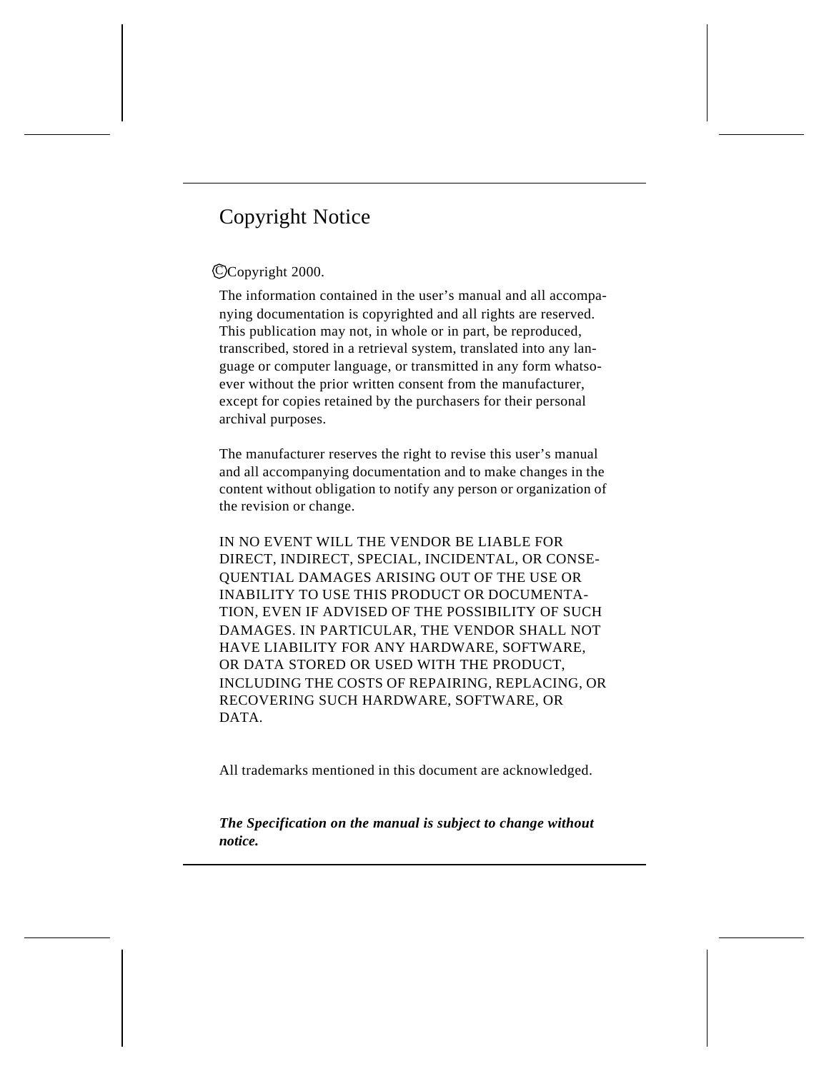# Copyright Notice

### CCopyright 2000.

The information contained in the user's manual and all accompanying documentation is copyrighted and all rights are reserved. This publication may not, in whole or in part, be reproduced, transcribed, stored in a retrieval system, translated into any language or computer language, or transmitted in any form whatsoever without the prior written consent from the manufacturer, except for copies retained by the purchasers for their personal archival purposes.

The manufacturer reserves the right to revise this user's manual and all accompanying documentation and to make changes in the content without obligation to notify any person or organization of the revision or change.

IN NO EVENT WILL THE VENDOR BE LIABLE FOR DIRECT, INDIRECT, SPECIAL, INCIDENTAL, OR CONSE-QUENTIAL DAMAGES ARISING OUT OF THE USE OR INABILITY TO USE THIS PRODUCT OR DOCUMENTA-TION, EVEN IF ADVISED OF THE POSSIBILITY OF SUCH DAMAGES. IN PARTICULAR, THE VENDOR SHALL NOT HAVE LIABILITY FOR ANY HARDWARE, SOFTWARE, OR DATA STORED OR USED WITH THE PRODUCT, INCLUDING THE COSTS OF REPAIRING, REPLACING, OR RECOVERING SUCH HARDWARE, SOFTWARE, OR DATA.

All trademarks mentioned in this document are acknowledged.

*The Specification on the manual is subject to change without notice.*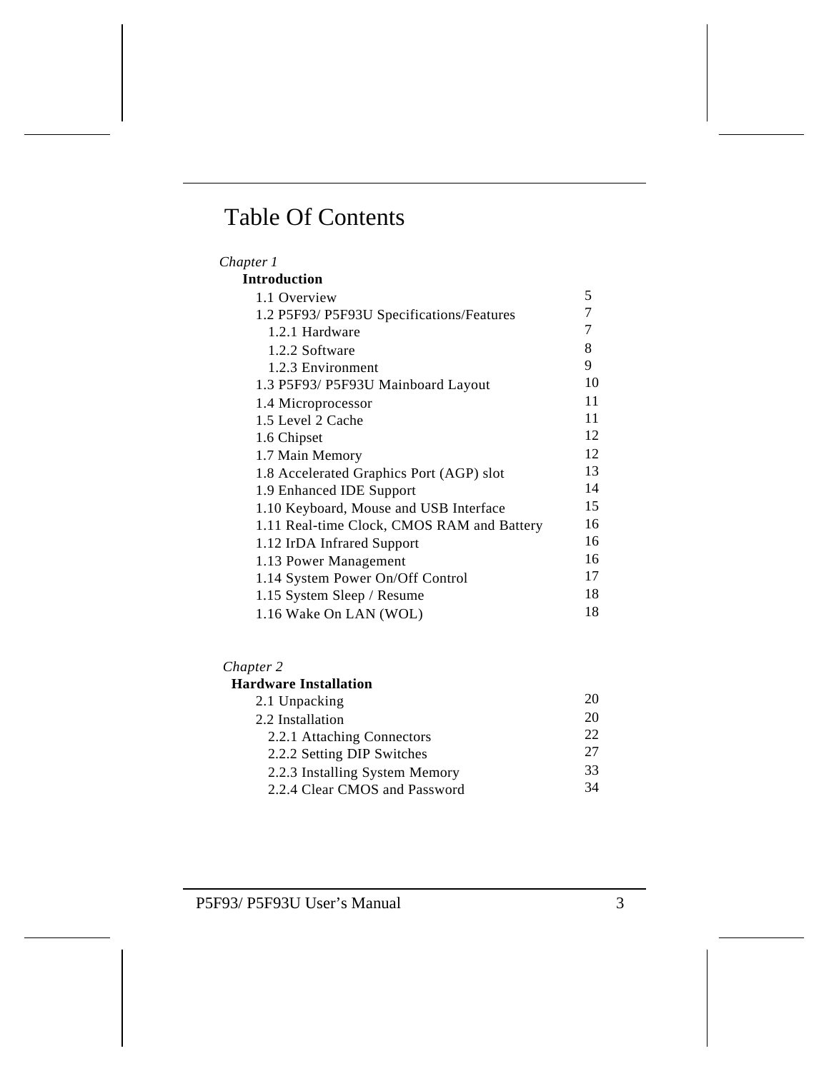# Table Of Contents

| Chapter 1                                  |    |
|--------------------------------------------|----|
| <b>Introduction</b>                        |    |
| 1.1 Overview                               | 5  |
| 1.2 P5F93/ P5F93U Specifications/Features  | 7  |
| 1.2.1 Hardware                             | 7  |
| 1.2.2 Software                             | 8  |
| 1.2.3 Environment                          | 9  |
| 1.3 P5F93/ P5F93U Mainboard Layout         | 10 |
| 1.4 Microprocessor                         | 11 |
| 1.5 Level 2 Cache                          | 11 |
| 1.6 Chipset                                | 12 |
| 1.7 Main Memory                            | 12 |
| 1.8 Accelerated Graphics Port (AGP) slot   | 13 |
| 1.9 Enhanced IDE Support                   | 14 |
| 1.10 Keyboard, Mouse and USB Interface     | 15 |
| 1.11 Real-time Clock, CMOS RAM and Battery | 16 |
| 1.12 IrDA Infrared Support                 | 16 |
| 1.13 Power Management                      | 16 |
| 1.14 System Power On/Off Control           | 17 |
| 1.15 System Sleep / Resume                 | 18 |
| 1.16 Wake On LAN (WOL)                     | 18 |

#### *Chapter 2*

| <b>Hardware Installation</b>   |     |
|--------------------------------|-----|
| 2.1 Unpacking                  | 20  |
| 2.2 Installation               | 20  |
| 2.2.1 Attaching Connectors     | 22. |
| 2.2.2 Setting DIP Switches     | 27  |
| 2.2.3 Installing System Memory | 33  |
| 2.2.4 Clear CMOS and Password  | 34  |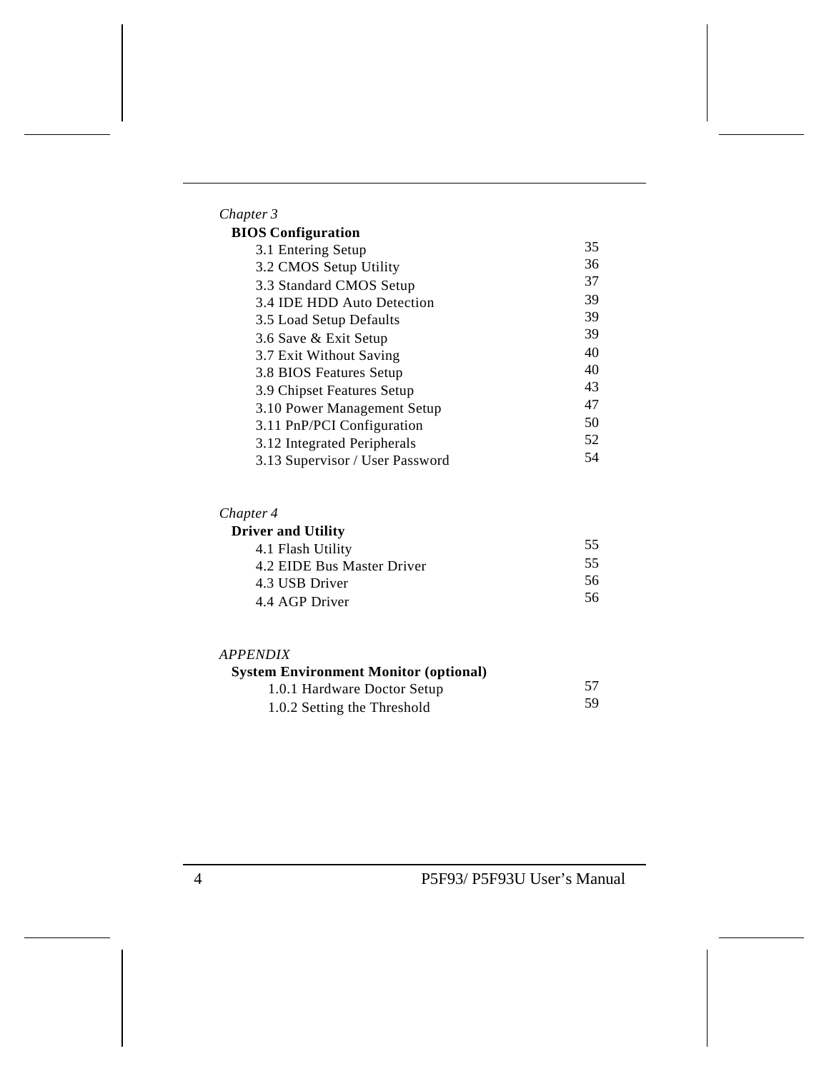| Chapter 3         |  |
|-------------------|--|
| <b>BIOS Confi</b> |  |

| <b>OS Configuration</b>         |    |
|---------------------------------|----|
| 3.1 Entering Setup              | 35 |
| 3.2 CMOS Setup Utility          | 36 |
| 3.3 Standard CMOS Setup         | 37 |
| 3.4 IDE HDD Auto Detection      | 39 |
| 3.5 Load Setup Defaults         | 39 |
| 3.6 Save & Exit Setup           | 39 |
| 3.7 Exit Without Saving         | 40 |
| 3.8 BIOS Features Setup         | 40 |
| 3.9 Chipset Features Setup      | 43 |
| 3.10 Power Management Setup     | 47 |
| 3.11 PnP/PCI Configuration      | 50 |
| 3.12 Integrated Peripherals     | 52 |
| 3.13 Supervisor / User Password | 54 |

#### *Chapter 4*

| <b>Driver and Utility</b>  |    |
|----------------------------|----|
| 4.1 Flash Utility          | 55 |
| 4.2 EIDE Bus Master Driver | 55 |
| 4.3 USB Driver             | 56 |
| 4.4 AGP Driver             | 56 |

| <i><b>APPENDIX</b></i>                       |    |
|----------------------------------------------|----|
| <b>System Environment Monitor (optional)</b> |    |
| 1.0.1 Hardware Doctor Setup                  | 57 |
| 1.0.2 Setting the Threshold                  | 59 |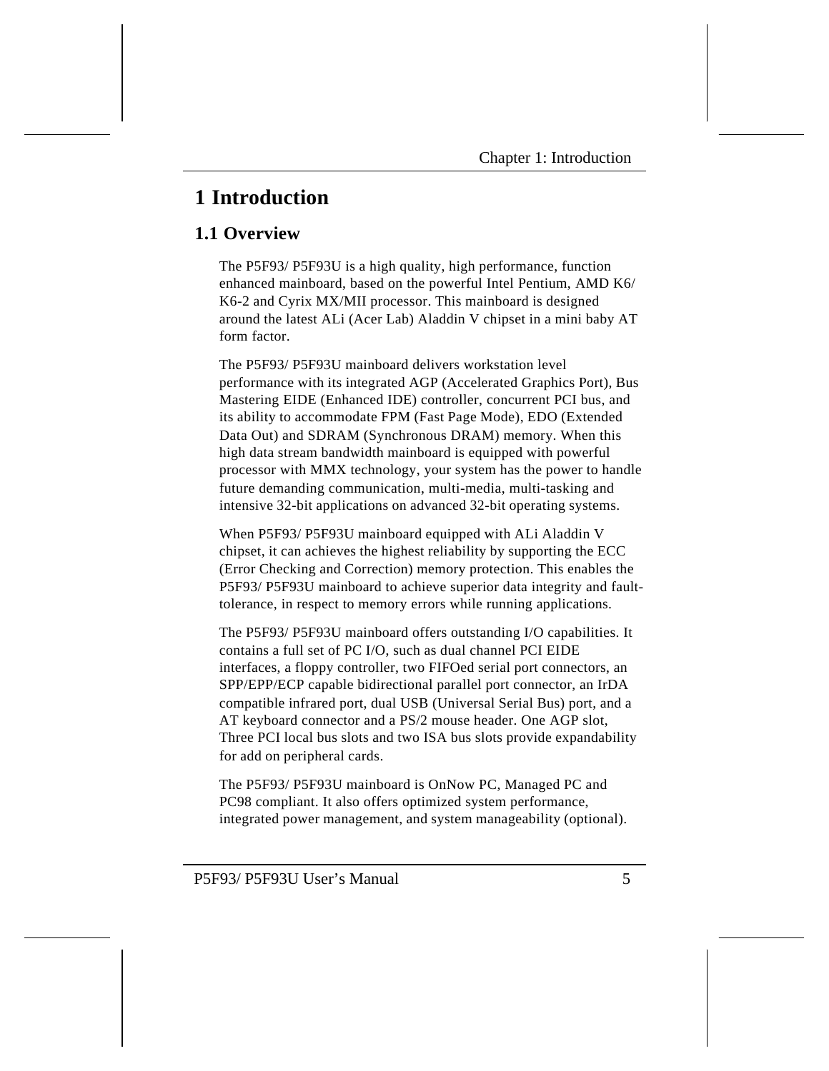# **1 Introduction**

# **1.1 Overview**

The P5F93/ P5F93U is a high quality, high performance, function enhanced mainboard, based on the powerful Intel Pentium, AMD K6/ K6-2 and Cyrix MX/MII processor. This mainboard is designed around the latest ALi (Acer Lab) Aladdin V chipset in a mini baby AT form factor.

The P5F93/ P5F93U mainboard delivers workstation level performance with its integrated AGP (Accelerated Graphics Port), Bus Mastering EIDE (Enhanced IDE) controller, concurrent PCI bus, and its ability to accommodate FPM (Fast Page Mode), EDO (Extended Data Out) and SDRAM (Synchronous DRAM) memory. When this high data stream bandwidth mainboard is equipped with powerful processor with MMX technology, your system has the power to handle future demanding communication, multi-media, multi-tasking and intensive 32-bit applications on advanced 32-bit operating systems.

When P5F93/ P5F93U mainboard equipped with ALi Aladdin V chipset, it can achieves the highest reliability by supporting the ECC (Error Checking and Correction) memory protection. This enables the P5F93/ P5F93U mainboard to achieve superior data integrity and faulttolerance, in respect to memory errors while running applications.

The P5F93/ P5F93U mainboard offers outstanding I/O capabilities. It contains a full set of PC I/O, such as dual channel PCI EIDE interfaces, a floppy controller, two FIFOed serial port connectors, an SPP/EPP/ECP capable bidirectional parallel port connector, an IrDA compatible infrared port, dual USB (Universal Serial Bus) port, and a AT keyboard connector and a PS/2 mouse header. One AGP slot, Three PCI local bus slots and two ISA bus slots provide expandability for add on peripheral cards.

The P5F93/ P5F93U mainboard is OnNow PC, Managed PC and PC98 compliant. It also offers optimized system performance, integrated power management, and system manageability (optional).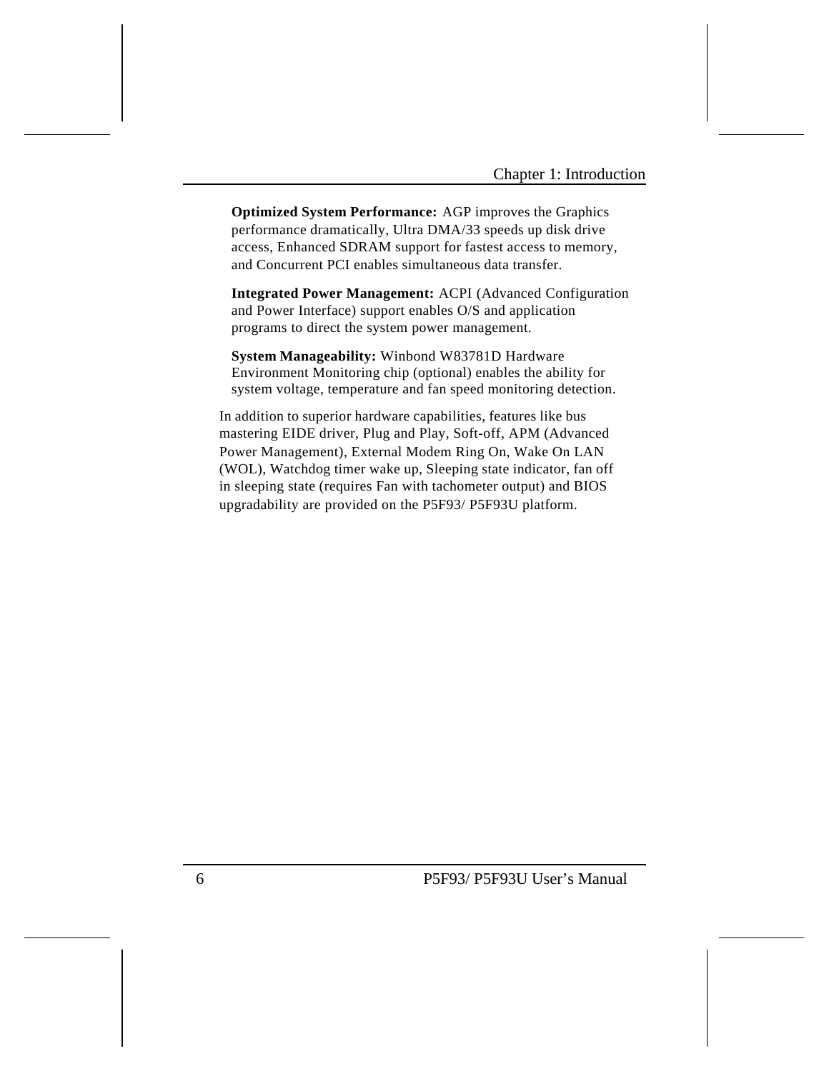**Optimized System Performance:** AGP improves the Graphics performance dramatically, Ultra DMA/33 speeds up disk drive access, Enhanced SDRAM support for fastest access to memory, and Concurrent PCI enables simultaneous data transfer.

**Integrated Power Management:** ACPI (Advanced Configuration and Power Interface) support enables O/S and application programs to direct the system power management.

**System Manageability:** Winbond W83781D Hardware Environment Monitoring chip (optional) enables the ability for system voltage, temperature and fan speed monitoring detection.

In addition to superior hardware capabilities, features like bus mastering EIDE driver, Plug and Play, Soft-off, APM (Advanced Power Management), External Modem Ring On, Wake On LAN (WOL), Watchdog timer wake up, Sleeping state indicator, fan off in sleeping state (requires Fan with tachometer output) and BIOS upgradability are provided on the P5F93/ P5F93U platform.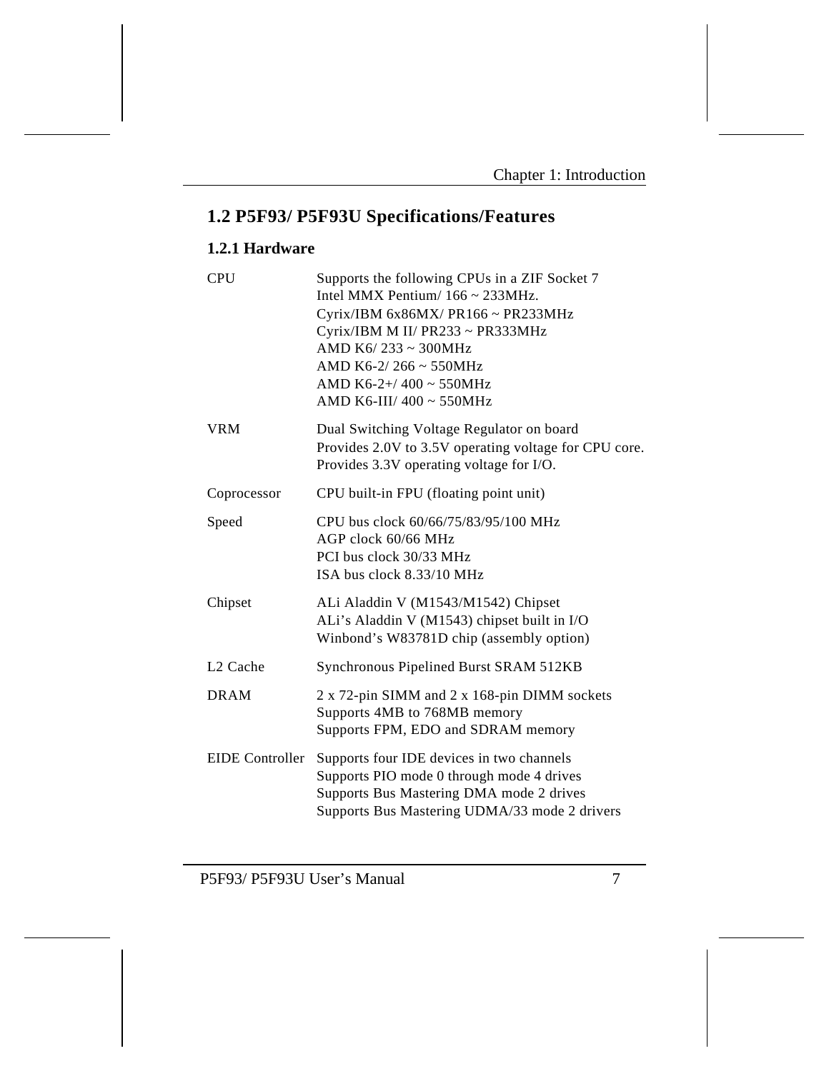# **1.2 P5F93/ P5F93U Specifications/Features**

# **1.2.1 Hardware**

| <b>CPU</b>             | Supports the following CPUs in a ZIF Socket 7<br>Intel MMX Pentium/ $166 \approx 233$ MHz.<br>Cyrix/IBM 6x86MX/ PR166 ~ PR233MHz<br>Cyrix/IBM M II/ PR233 ~ PR333MHz<br>AMD K6/233 ~ 300MHz<br>AMD K6-2/266 ~ 550MHz<br>AMD K6-2+/400 ~ 550MHz<br>AMD K6-III/ 400 ~ 550MHz |
|------------------------|----------------------------------------------------------------------------------------------------------------------------------------------------------------------------------------------------------------------------------------------------------------------------|
| <b>VRM</b>             | Dual Switching Voltage Regulator on board<br>Provides 2.0V to 3.5V operating voltage for CPU core.<br>Provides 3.3V operating voltage for I/O.                                                                                                                             |
| Coprocessor            | CPU built-in FPU (floating point unit)                                                                                                                                                                                                                                     |
| Speed                  | CPU bus clock 60/66/75/83/95/100 MHz<br>AGP clock 60/66 MHz<br>PCI bus clock 30/33 MHz<br>ISA bus clock 8.33/10 MHz                                                                                                                                                        |
| Chipset                | ALi Aladdin V (M1543/M1542) Chipset<br>ALi's Aladdin V (M1543) chipset built in I/O<br>Winbond's W83781D chip (assembly option)                                                                                                                                            |
| L <sub>2</sub> Cache   | Synchronous Pipelined Burst SRAM 512KB                                                                                                                                                                                                                                     |
| <b>DRAM</b>            | 2 x 72-pin SIMM and 2 x 168-pin DIMM sockets<br>Supports 4MB to 768MB memory<br>Supports FPM, EDO and SDRAM memory                                                                                                                                                         |
| <b>EIDE</b> Controller | Supports four IDE devices in two channels<br>Supports PIO mode 0 through mode 4 drives<br>Supports Bus Mastering DMA mode 2 drives<br>Supports Bus Mastering UDMA/33 mode 2 drivers                                                                                        |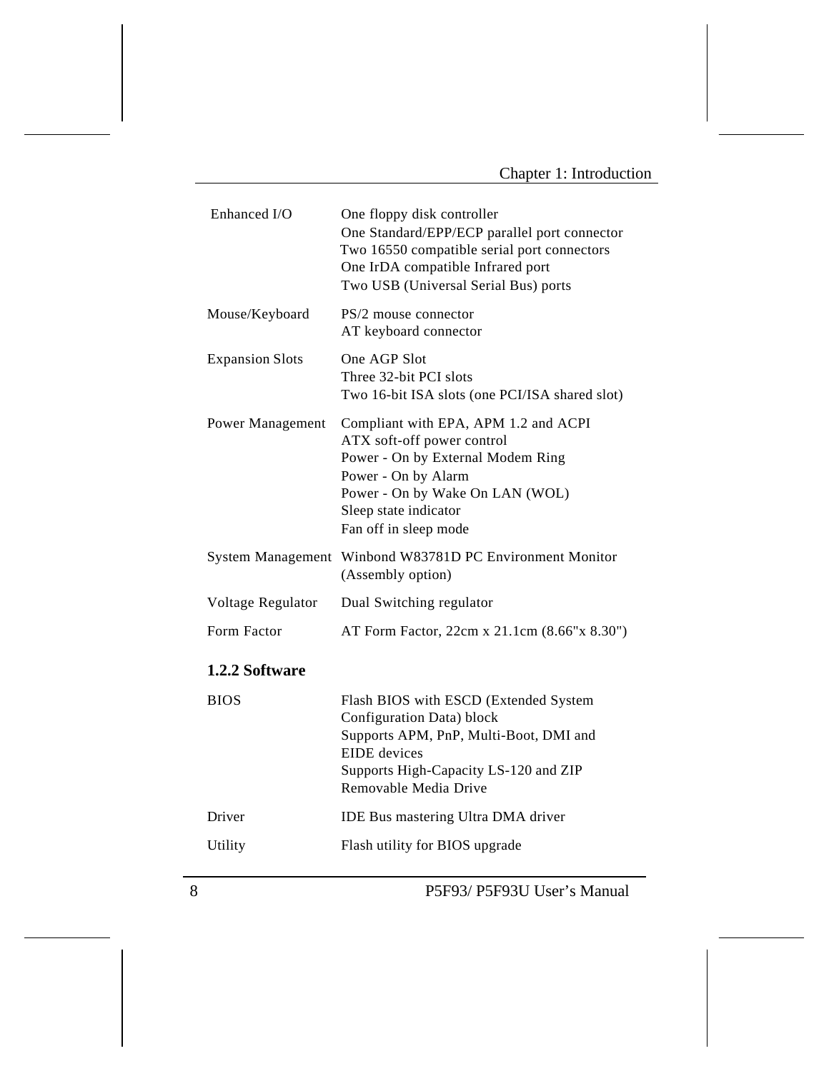| One floppy disk controller<br>One Standard/EPP/ECP parallel port connector<br>Two 16550 compatible serial port connectors<br>One IrDA compatible Infrared port<br>Two USB (Universal Serial Bus) ports              |
|---------------------------------------------------------------------------------------------------------------------------------------------------------------------------------------------------------------------|
| PS/2 mouse connector<br>AT keyboard connector                                                                                                                                                                       |
| One AGP Slot<br>Three 32-bit PCI slots<br>Two 16-bit ISA slots (one PCI/ISA shared slot)                                                                                                                            |
| Compliant with EPA, APM 1.2 and ACPI<br>ATX soft-off power control<br>Power - On by External Modem Ring<br>Power - On by Alarm<br>Power - On by Wake On LAN (WOL)<br>Sleep state indicator<br>Fan off in sleep mode |
| Winbond W83781D PC Environment Monitor<br><b>System Management</b><br>(Assembly option)                                                                                                                             |
| Dual Switching regulator                                                                                                                                                                                            |
| AT Form Factor, 22cm x 21.1cm (8.66"x 8.30")                                                                                                                                                                        |
|                                                                                                                                                                                                                     |
| Flash BIOS with ESCD (Extended System<br>Configuration Data) block<br>Supports APM, PnP, Multi-Boot, DMI and<br><b>EIDE</b> devices<br>Supports High-Capacity LS-120 and ZIP<br>Removable Media Drive               |
| IDE Bus mastering Ultra DMA driver                                                                                                                                                                                  |
| Flash utility for BIOS upgrade                                                                                                                                                                                      |
|                                                                                                                                                                                                                     |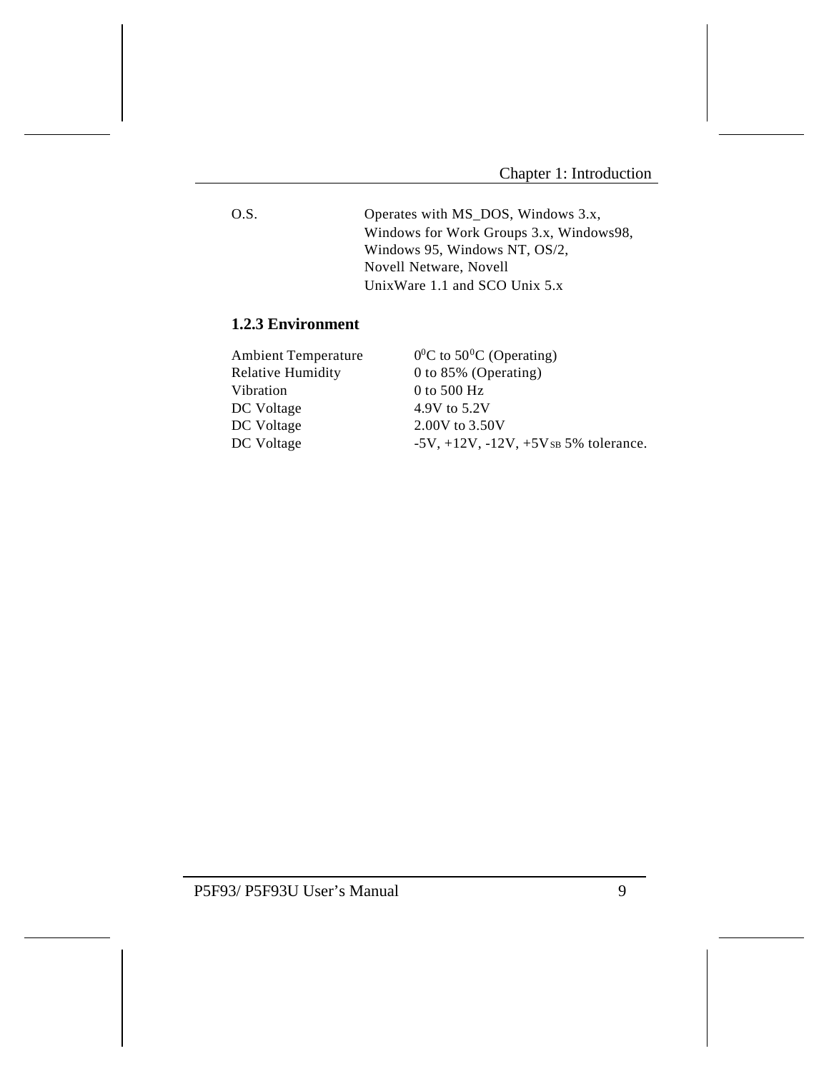O.S. Operates with MS\_DOS, Windows 3.x, Windows for Work Groups 3.x, Windows98, Windows 95, Windows NT, OS/2, Novell Netware, Novell UnixWare 1.1 and SCO Unix 5.x

# **1.2.3 Environment**

| <b>Ambient Temperature</b> | $0^0$ C to 50 <sup>o</sup> C (Operating)          |
|----------------------------|---------------------------------------------------|
| <b>Relative Humidity</b>   | 0 to 85% (Operating)                              |
| Vibration                  | 0 to 500 $Hz$                                     |
| DC Voltage                 | 4.9V to 5.2V                                      |
| DC Voltage                 | 2.00V to 3.50V                                    |
| DC Voltage                 | $-5V$ , $+12V$ , $-12V$ , $+5V$ s $5%$ tolerance. |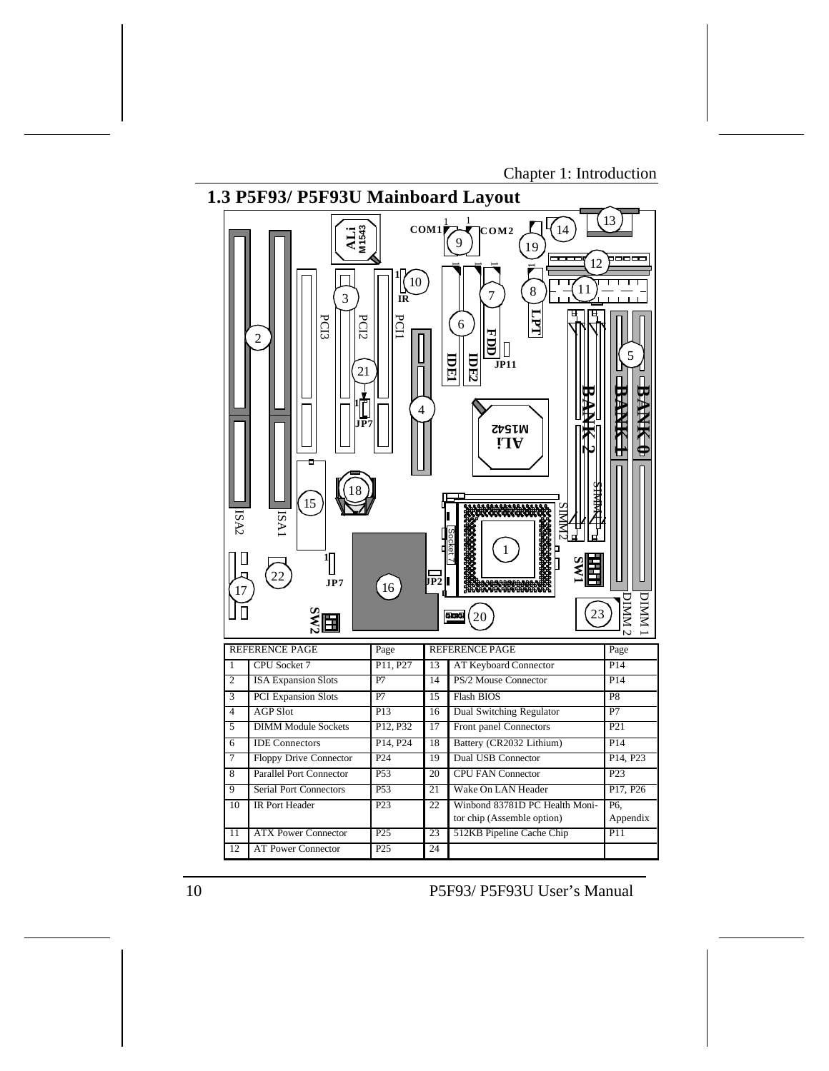Chapter 1: Introduction

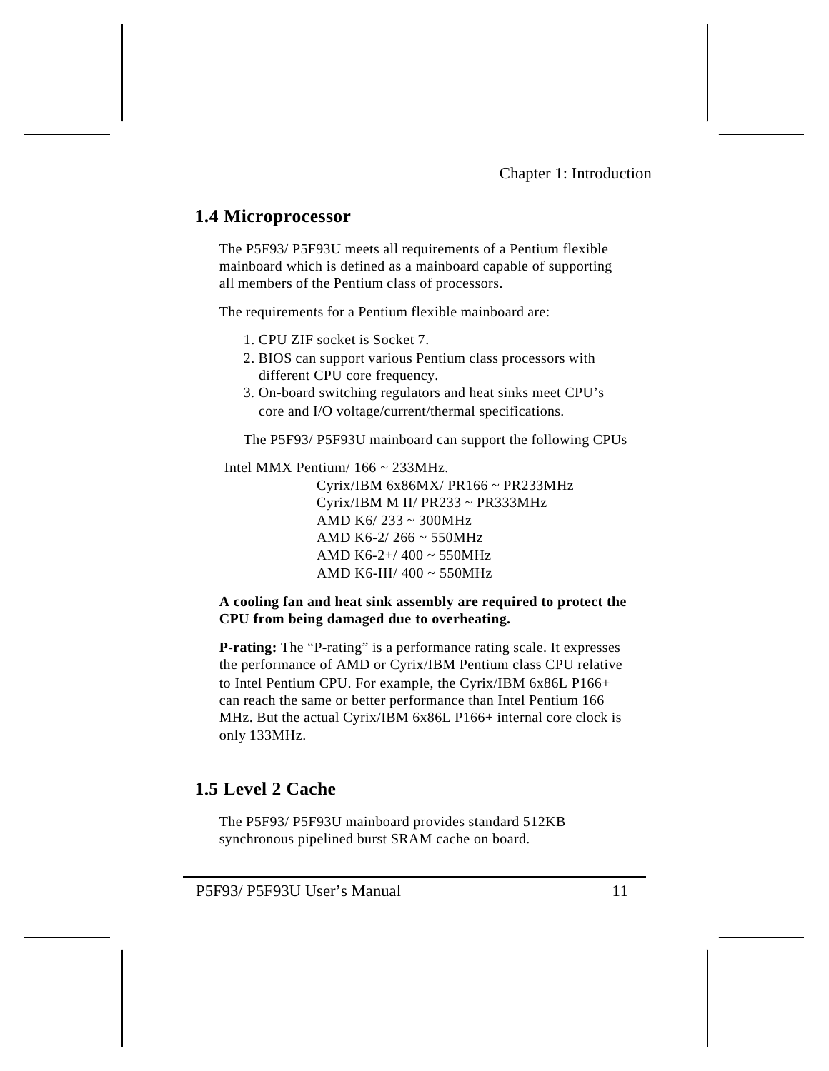# **1.4 Microprocessor**

The P5F93/ P5F93U meets all requirements of a Pentium flexible mainboard which is defined as a mainboard capable of supporting all members of the Pentium class of processors.

The requirements for a Pentium flexible mainboard are:

- 1. CPU ZIF socket is Socket 7.
- 2. BIOS can support various Pentium class processors with different CPU core frequency.
- 3. On-board switching regulators and heat sinks meet CPU's core and I/O voltage/current/thermal specifications.

The P5F93/ P5F93U mainboard can support the following CPUs

Intel MMX Pentium/  $166 \sim 233 MHz$ .

Cyrix/IBM 6x86MX/ PR166 ~ PR233MHz Cyrix/IBM M II/ PR233 ~ PR333MHz AMD K6/ 233 ~ 300MHz AMD K6-2/ 266 ~ 550MHz AMD K6-2+/ 400 ~ 550MHz AMD K6-III/ 400 ~ 550MHz

### **A cooling fan and heat sink assembly are required to protect the CPU from being damaged due to overheating.**

**P-rating:** The "P-rating" is a performance rating scale. It expresses the performance of AMD or Cyrix/IBM Pentium class CPU relative to Intel Pentium CPU. For example, the Cyrix/IBM 6x86L P166+ can reach the same or better performance than Intel Pentium 166 MHz. But the actual Cyrix/IBM 6x86L P166+ internal core clock is only 133MHz.

# **1.5 Level 2 Cache**

The P5F93/ P5F93U mainboard provides standard 512KB synchronous pipelined burst SRAM cache on board.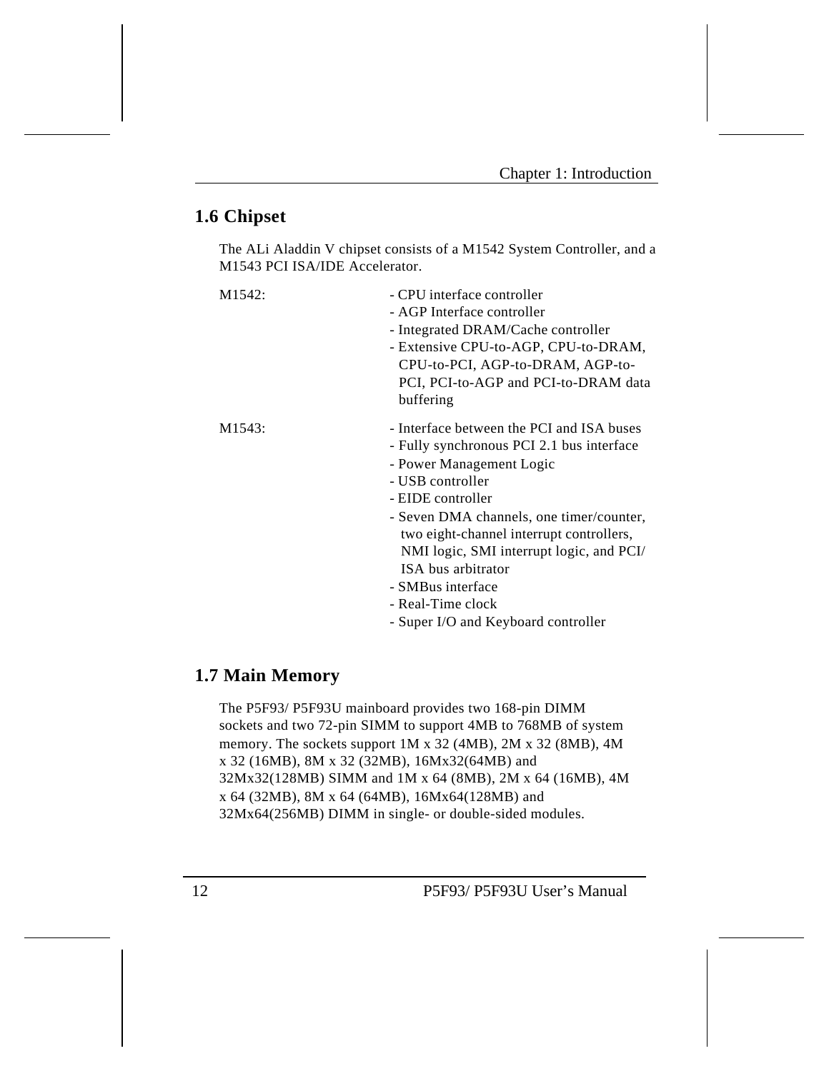# **1.6 Chipset**

The ALi Aladdin V chipset consists of a M1542 System Controller, and a M1543 PCI ISA/IDE Accelerator.

| M <sub>1542</sub> : | - CPU interface controller<br>- AGP Interface controller<br>- Integrated DRAM/Cache controller<br>- Extensive CPU-to-AGP, CPU-to-DRAM,<br>CPU-to-PCI, AGP-to-DRAM, AGP-to-<br>PCI, PCI-to-AGP and PCI-to-DRAM data<br>buffering                                                                                                                                                                        |
|---------------------|--------------------------------------------------------------------------------------------------------------------------------------------------------------------------------------------------------------------------------------------------------------------------------------------------------------------------------------------------------------------------------------------------------|
| M <sub>1543</sub> : | - Interface between the PCI and ISA buses<br>- Fully synchronous PCI 2.1 bus interface<br>- Power Management Logic<br>- USB controller<br>- EIDE controller<br>- Seven DMA channels, one timer/counter,<br>two eight-channel interrupt controllers,<br>NMI logic, SMI interrupt logic, and PCI/<br>ISA bus arbitrator<br>- SMBus interface<br>- Real-Time clock<br>- Super I/O and Keyboard controller |

# **1.7 Main Memory**

The P5F93/ P5F93U mainboard provides two 168-pin DIMM sockets and two 72-pin SIMM to support 4MB to 768MB of system memory. The sockets support 1M x 32 (4MB), 2M x 32 (8MB), 4M x 32 (16MB), 8M x 32 (32MB), 16Mx32(64MB) and 32Mx32(128MB) SIMM and 1M x 64 (8MB), 2M x 64 (16MB), 4M x 64 (32MB), 8M x 64 (64MB), 16Mx64(128MB) and 32Mx64(256MB) DIMM in single- or double-sided modules.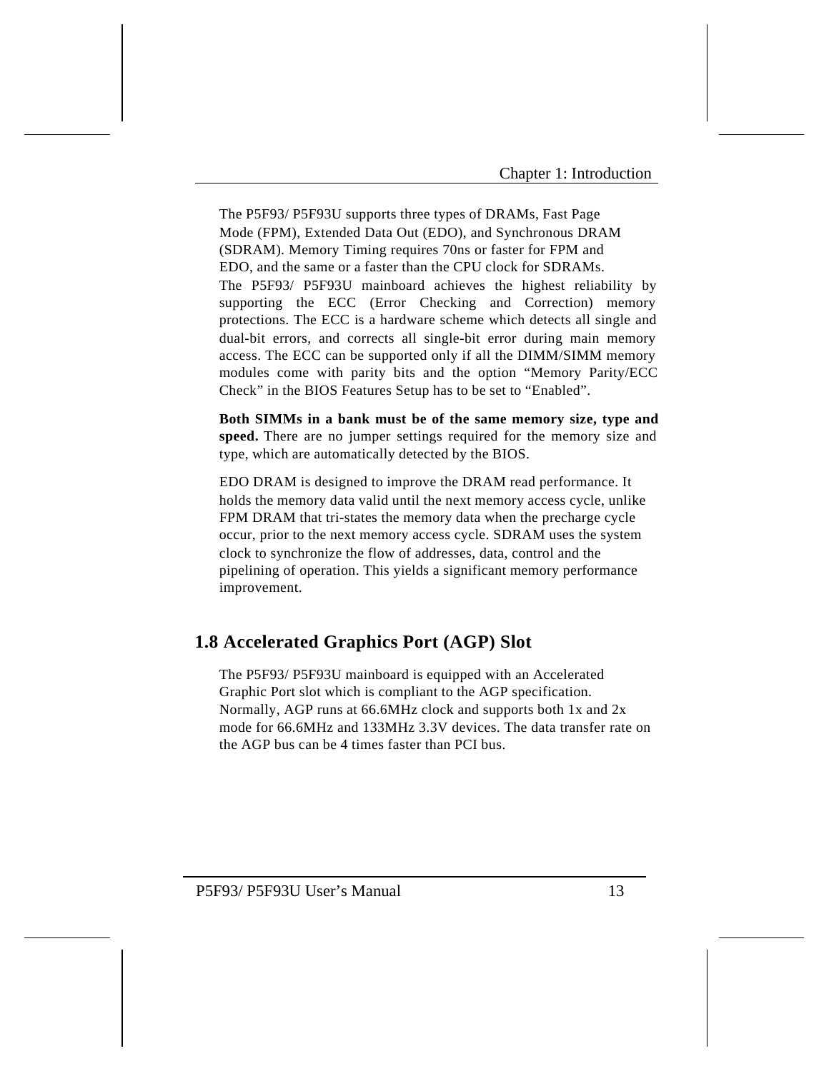The P5F93/ P5F93U supports three types of DRAMs, Fast Page Mode (FPM), Extended Data Out (EDO), and Synchronous DRAM (SDRAM). Memory Timing requires 70ns or faster for FPM and EDO, and the same or a faster than the CPU clock for SDRAMs. The P5F93/ P5F93U mainboard achieves the highest reliability by supporting the ECC (Error Checking and Correction) memory protections. The ECC is a hardware scheme which detects all single and dual-bit errors, and corrects all single-bit error during main memory access. The ECC can be supported only if all the DIMM/SIMM memory modules come with parity bits and the option "Memory Parity/ECC Check" in the BIOS Features Setup has to be set to "Enabled".

**Both SIMMs in a bank must be of the same memory size, type and speed.** There are no jumper settings required for the memory size and type, which are automatically detected by the BIOS.

EDO DRAM is designed to improve the DRAM read performance. It holds the memory data valid until the next memory access cycle, unlike FPM DRAM that tri-states the memory data when the precharge cycle occur, prior to the next memory access cycle. SDRAM uses the system clock to synchronize the flow of addresses, data, control and the pipelining of operation. This yields a significant memory performance improvement.

# **1.8 Accelerated Graphics Port (AGP) Slot**

The P5F93/ P5F93U mainboard is equipped with an Accelerated Graphic Port slot which is compliant to the AGP specification. Normally, AGP runs at 66.6MHz clock and supports both 1x and 2x mode for 66.6MHz and 133MHz 3.3V devices. The data transfer rate on the AGP bus can be 4 times faster than PCI bus.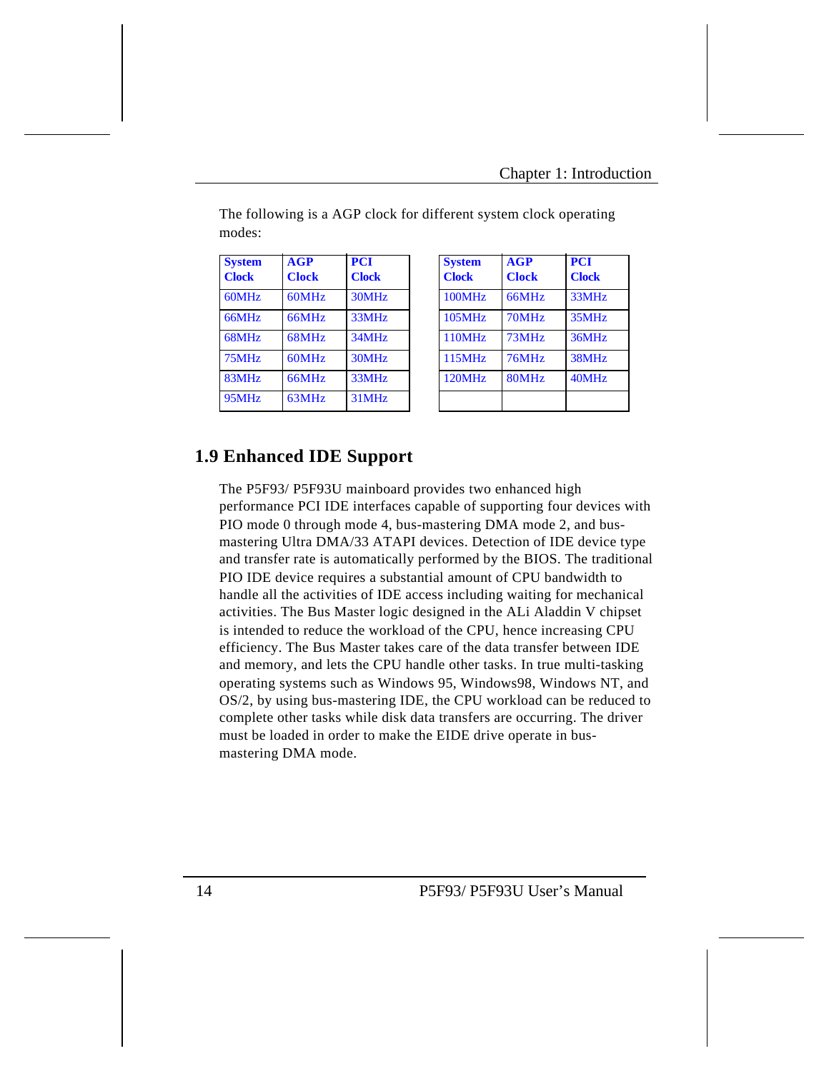| <b>System</b><br><b>Clock</b> | AGP<br><b>Clock</b> | <b>PCI</b><br><b>Clock</b> | <b>System</b><br><b>Clock</b> | AGP<br><b>Clock</b> | <b>PCI</b><br><b>Clock</b> |
|-------------------------------|---------------------|----------------------------|-------------------------------|---------------------|----------------------------|
| 60MHz                         | 60MHz               | 30MHz                      | 100MHz                        | 66MHz               | 33MHz                      |
| 66MHz                         | 66MHz               | 33MHz                      | 105MHz                        | 70MHz               | 35MHz                      |
| 68MHz                         | 68MHz               | 34MHz                      | 110MHz                        | 73MHz               | 36MHz                      |
| 75MHz                         | 60MHz               | 30MHz                      | 115MHz                        | 76MHz               | 38MHz                      |
| 83MHz                         | 66MHz               | 33MHz                      | 120MHz                        | 80MHz               | 40MHz                      |
| 95MHz                         | 63MHz               | 31MHz                      |                               |                     |                            |

| <b>System</b><br><b>Clock</b> | AGP<br><b>Clock</b> | <b>PCI</b><br><b>Clock</b> |
|-------------------------------|---------------------|----------------------------|
| 100MHz                        | 66MHz               | 33MHz                      |
| 105MHz                        | 70MHz               | 35MHz                      |
| <b>110MHz</b>                 | 73MHz               | 36MHz                      |
| <b>115MHz</b>                 | 76MHz               | 38MHz                      |
| <b>120MHz</b>                 | 80MHz               | 40MHz                      |

The following is a AGP clock for different system clock operating modes:

### **1.9 Enhanced IDE Support**

The P5F93/ P5F93U mainboard provides two enhanced high performance PCI IDE interfaces capable of supporting four devices with PIO mode 0 through mode 4, bus-mastering DMA mode 2, and busmastering Ultra DMA/33 ATAPI devices. Detection of IDE device type and transfer rate is automatically performed by the BIOS. The traditional PIO IDE device requires a substantial amount of CPU bandwidth to handle all the activities of IDE access including waiting for mechanical activities. The Bus Master logic designed in the ALi Aladdin V chipset is intended to reduce the workload of the CPU, hence increasing CPU efficiency. The Bus Master takes care of the data transfer between IDE and memory, and lets the CPU handle other tasks. In true multi-tasking operating systems such as Windows 95, Windows98, Windows NT, and OS/2, by using bus-mastering IDE, the CPU workload can be reduced to complete other tasks while disk data transfers are occurring. The driver must be loaded in order to make the EIDE drive operate in busmastering DMA mode.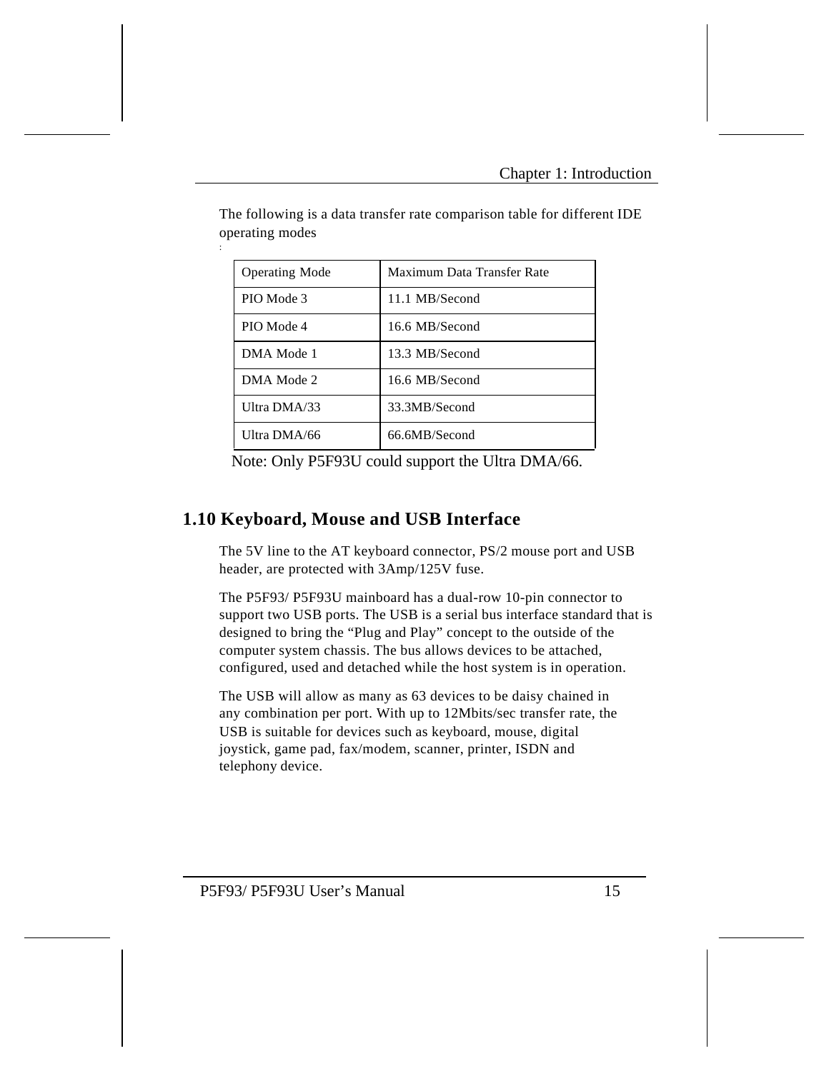| <b>Operating Mode</b> | Maximum Data Transfer Rate |
|-----------------------|----------------------------|
| PIO Mode 3            | 11.1 MB/Second             |
| PIO Mode 4            | 16.6 MB/Second             |
| DMA Mode 1            | 13.3 MB/Second             |
| DMA Mode 2            | 16.6 MB/Second             |
| Ultra DMA/33          | 33.3MB/Second              |
| Ultra DMA/66          | 66.6MB/Second              |

The following is a data transfer rate comparison table for different IDE operating modes

Note: Only P5F93U could support the Ultra DMA/66.

# **1.10 Keyboard, Mouse and USB Interface**

:

The 5V line to the AT keyboard connector, PS/2 mouse port and USB header, are protected with 3Amp/125V fuse.

The P5F93/ P5F93U mainboard has a dual-row 10-pin connector to support two USB ports. The USB is a serial bus interface standard that is designed to bring the "Plug and Play" concept to the outside of the computer system chassis. The bus allows devices to be attached, configured, used and detached while the host system is in operation.

The USB will allow as many as 63 devices to be daisy chained in any combination per port. With up to 12Mbits/sec transfer rate, the USB is suitable for devices such as keyboard, mouse, digital joystick, game pad, fax/modem, scanner, printer, ISDN and telephony device.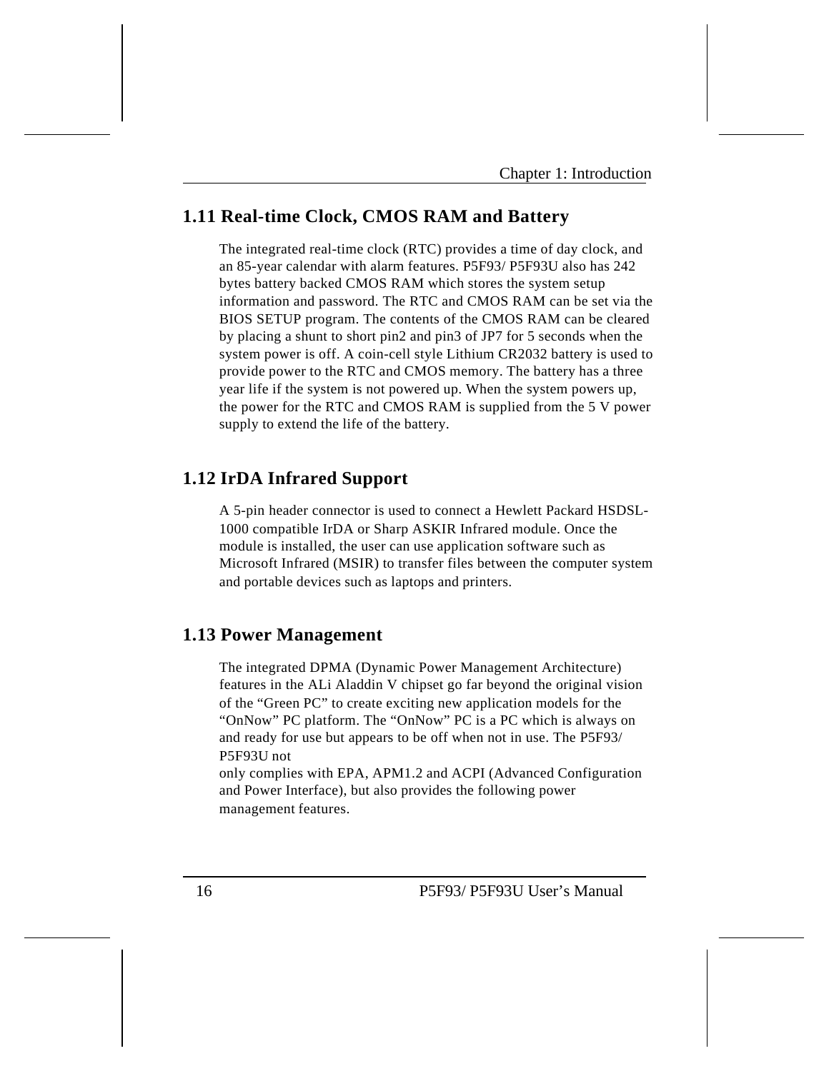# **1.11 Real-time Clock, CMOS RAM and Battery**

The integrated real-time clock (RTC) provides a time of day clock, and an 85-year calendar with alarm features. P5F93/ P5F93U also has 242 bytes battery backed CMOS RAM which stores the system setup information and password. The RTC and CMOS RAM can be set via the BIOS SETUP program. The contents of the CMOS RAM can be cleared by placing a shunt to short pin2 and pin3 of JP7 for 5 seconds when the system power is off. A coin-cell style Lithium CR2032 battery is used to provide power to the RTC and CMOS memory. The battery has a three year life if the system is not powered up. When the system powers up, the power for the RTC and CMOS RAM is supplied from the 5 V power supply to extend the life of the battery.

### **1.12 IrDA Infrared Support**

A 5-pin header connector is used to connect a Hewlett Packard HSDSL-1000 compatible IrDA or Sharp ASKIR Infrared module. Once the module is installed, the user can use application software such as Microsoft Infrared (MSIR) to transfer files between the computer system and portable devices such as laptops and printers.

### **1.13 Power Management**

The integrated DPMA (Dynamic Power Management Architecture) features in the ALi Aladdin V chipset go far beyond the original vision of the "Green PC" to create exciting new application models for the "OnNow" PC platform. The "OnNow" PC is a PC which is always on and ready for use but appears to be off when not in use. The P5F93/ P5F93U not

only complies with EPA, APM1.2 and ACPI (Advanced Configuration and Power Interface), but also provides the following power management features.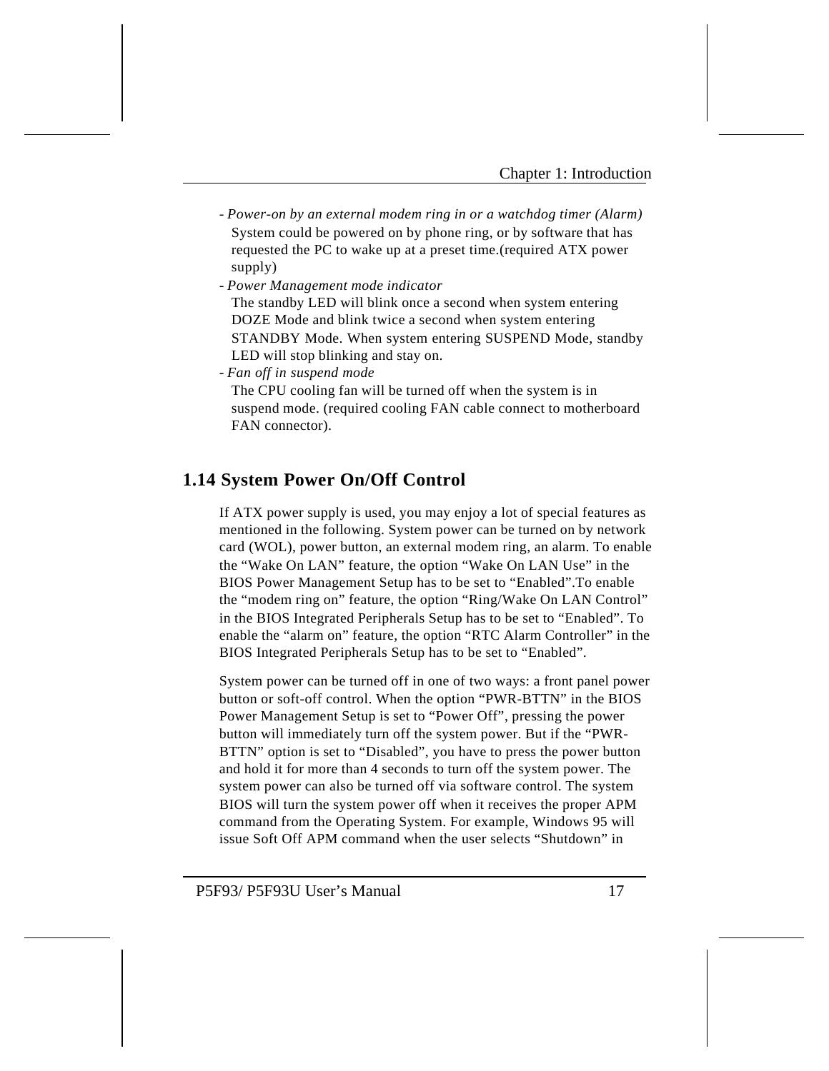- *Power-on by an external modem ring in or a watchdog timer (Alarm)* System could be powered on by phone ring, or by software that has requested the PC to wake up at a preset time.(required ATX power supply)
- *Power Management mode indicator*
	- The standby LED will blink once a second when system entering DOZE Mode and blink twice a second when system entering STANDBY Mode. When system entering SUSPEND Mode, standby LED will stop blinking and stay on.
- *Fan off in suspend mode*

The CPU cooling fan will be turned off when the system is in suspend mode. (required cooling FAN cable connect to motherboard FAN connector).

# **1.14 System Power On/Off Control**

If ATX power supply is used, you may enjoy a lot of special features as mentioned in the following. System power can be turned on by network card (WOL), power button, an external modem ring, an alarm. To enable the "Wake On LAN" feature, the option "Wake On LAN Use" in the BIOS Power Management Setup has to be set to "Enabled".To enable the "modem ring on" feature, the option "Ring/Wake On LAN Control" in the BIOS Integrated Peripherals Setup has to be set to "Enabled". To enable the "alarm on" feature, the option "RTC Alarm Controller" in the BIOS Integrated Peripherals Setup has to be set to "Enabled".

System power can be turned off in one of two ways: a front panel power button or soft-off control. When the option "PWR-BTTN" in the BIOS Power Management Setup is set to "Power Off", pressing the power button will immediately turn off the system power. But if the "PWR-BTTN" option is set to "Disabled", you have to press the power button and hold it for more than 4 seconds to turn off the system power. The system power can also be turned off via software control. The system BIOS will turn the system power off when it receives the proper APM command from the Operating System. For example, Windows 95 will issue Soft Off APM command when the user selects "Shutdown" in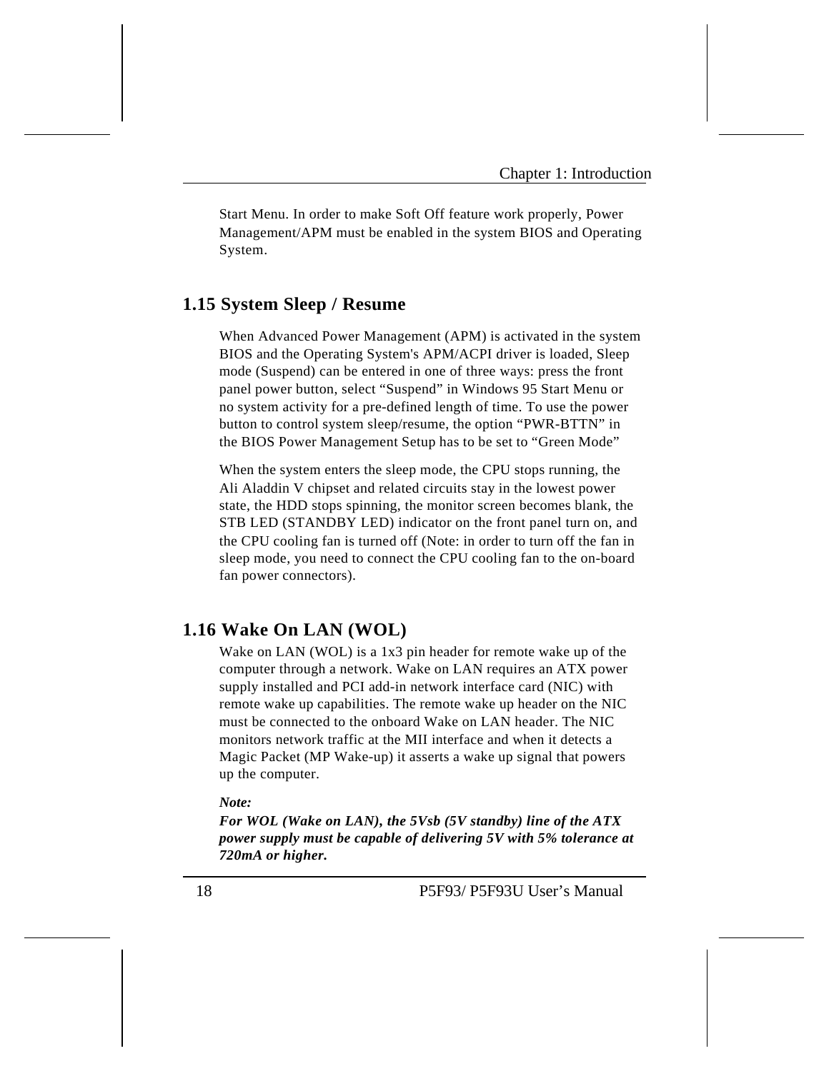Start Menu. In order to make Soft Off feature work properly, Power Management/APM must be enabled in the system BIOS and Operating System.

# **1.15 System Sleep / Resume**

When Advanced Power Management (APM) is activated in the system BIOS and the Operating System's APM/ACPI driver is loaded, Sleep mode (Suspend) can be entered in one of three ways: press the front panel power button, select "Suspend" in Windows 95 Start Menu or no system activity for a pre-defined length of time. To use the power button to control system sleep/resume, the option "PWR-BTTN" in the BIOS Power Management Setup has to be set to "Green Mode"

When the system enters the sleep mode, the CPU stops running, the Ali Aladdin V chipset and related circuits stay in the lowest power state, the HDD stops spinning, the monitor screen becomes blank, the STB LED (STANDBY LED) indicator on the front panel turn on, and the CPU cooling fan is turned off (Note: in order to turn off the fan in sleep mode, you need to connect the CPU cooling fan to the on-board fan power connectors).

### **1.16 Wake On LAN (WOL)**

Wake on LAN (WOL) is a 1x3 pin header for remote wake up of the computer through a network. Wake on LAN requires an ATX power supply installed and PCI add-in network interface card (NIC) with remote wake up capabilities. The remote wake up header on the NIC must be connected to the onboard Wake on LAN header. The NIC monitors network traffic at the MII interface and when it detects a Magic Packet (MP Wake-up) it asserts a wake up signal that powers up the computer.

#### *Note:*

*For WOL (Wake on LAN), the 5Vsb (5V standby) line of the ATX power supply must be capable of delivering 5V with 5% tolerance at 720mA or higher.*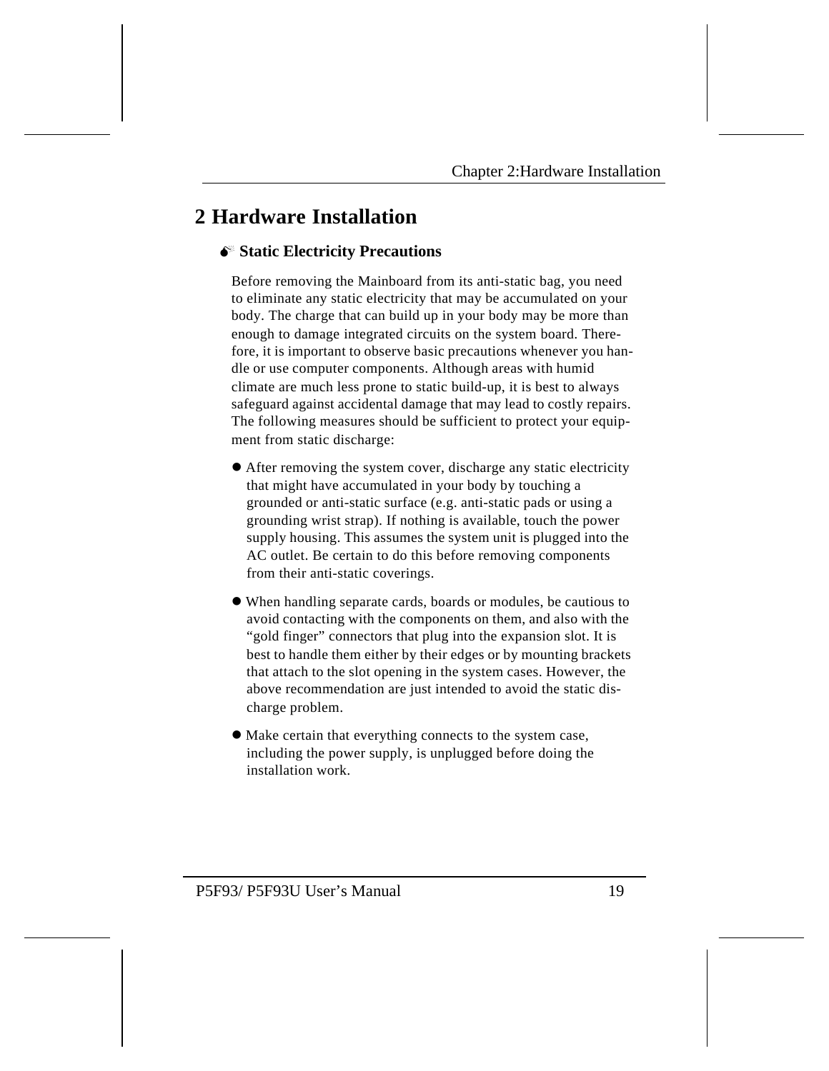# **2 Hardware Installation**

### M **Static Electricity Precautions**

Before removing the Mainboard from its anti-static bag, you need to eliminate any static electricity that may be accumulated on your body. The charge that can build up in your body may be more than enough to damage integrated circuits on the system board. Therefore, it is important to observe basic precautions whenever you handle or use computer components. Although areas with humid climate are much less prone to static build-up, it is best to always safeguard against accidental damage that may lead to costly repairs. The following measures should be sufficient to protect your equipment from static discharge:

- l After removing the system cover, discharge any static electricity that might have accumulated in your body by touching a grounded or anti-static surface (e.g. anti-static pads or using a grounding wrist strap). If nothing is available, touch the power supply housing. This assumes the system unit is plugged into the AC outlet. Be certain to do this before removing components from their anti-static coverings.
- l When handling separate cards, boards or modules, be cautious to avoid contacting with the components on them, and also with the "gold finger" connectors that plug into the expansion slot. It is best to handle them either by their edges or by mounting brackets that attach to the slot opening in the system cases. However, the above recommendation are just intended to avoid the static discharge problem.
- l Make certain that everything connects to the system case, including the power supply, is unplugged before doing the installation work.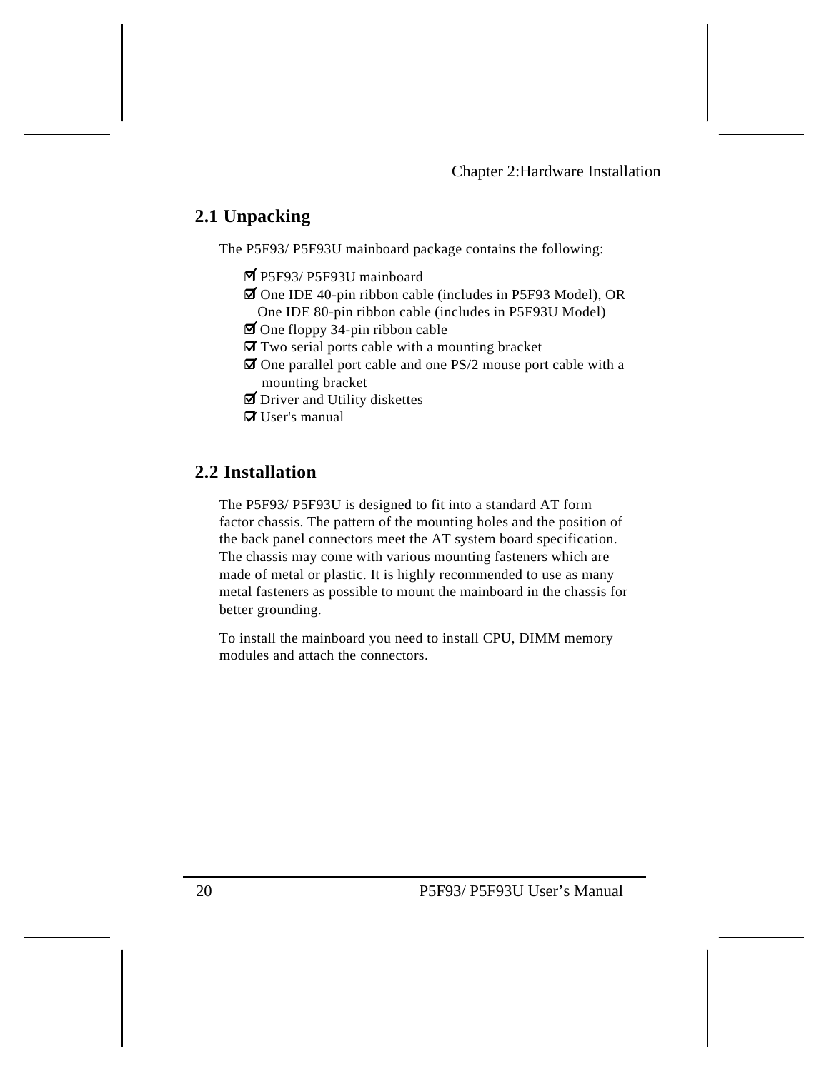# **2.1 Unpacking**

The P5F93/ P5F93U mainboard package contains the following:

- r P5F93/ P5F93U mainboard
- $\overline{\mathbf{z}}$  One IDE 40-pin ribbon cable (includes in P5F93 Model), OR One IDE 80-pin ribbon cable (includes in P5F93U Model)
- $\Box$  One floppy 34-pin ribbon cable
- $\overline{\mathbf{a}}$  Two serial ports cable with a mounting bracket
- $\overline{\mathbf{z}}$  One parallel port cable and one PS/2 mouse port cable with a mounting bracket
- $\overline{\mathbf{D}}$  Driver and Utility diskettes
- $\overline{a}$  User's manual

# **2.2 Installation**

The P5F93/ P5F93U is designed to fit into a standard AT form factor chassis. The pattern of the mounting holes and the position of the back panel connectors meet the AT system board specification. The chassis may come with various mounting fasteners which are made of metal or plastic. It is highly recommended to use as many metal fasteners as possible to mount the mainboard in the chassis for better grounding.

To install the mainboard you need to install CPU, DIMM memory modules and attach the connectors.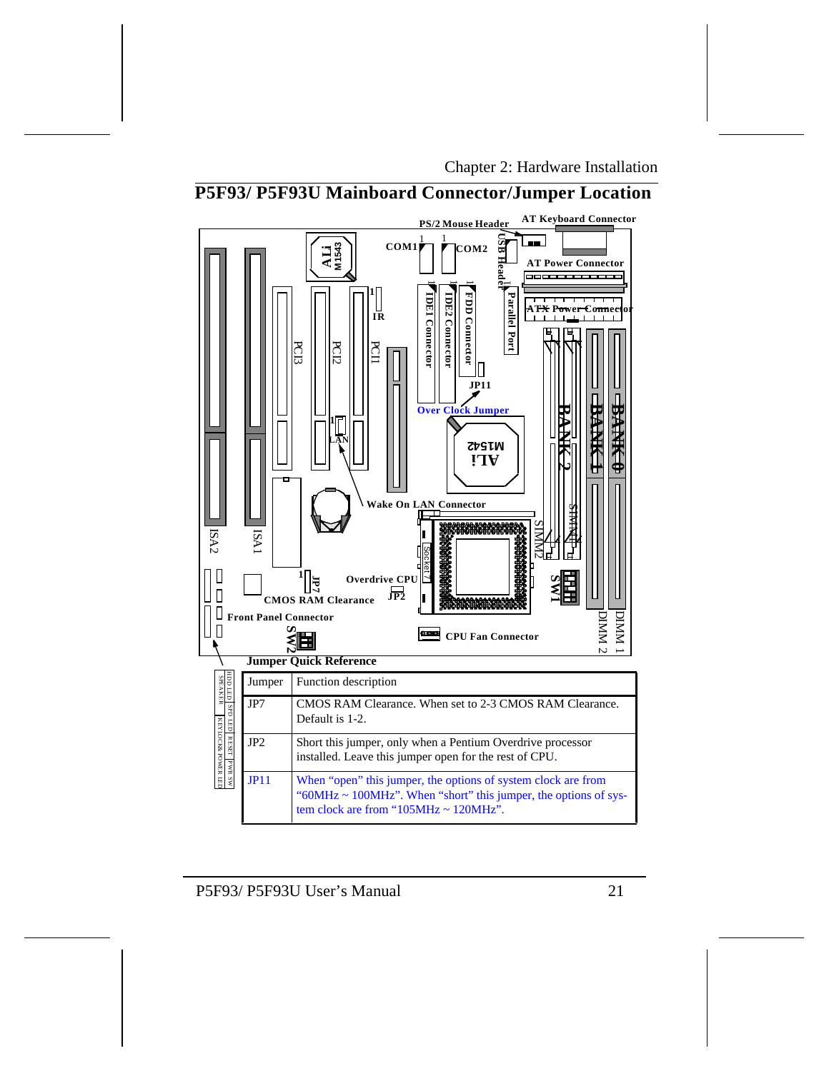## Chapter 2: Hardware Installation



# **P5F93/ P5F93U Mainboard Connector/Jumper Location**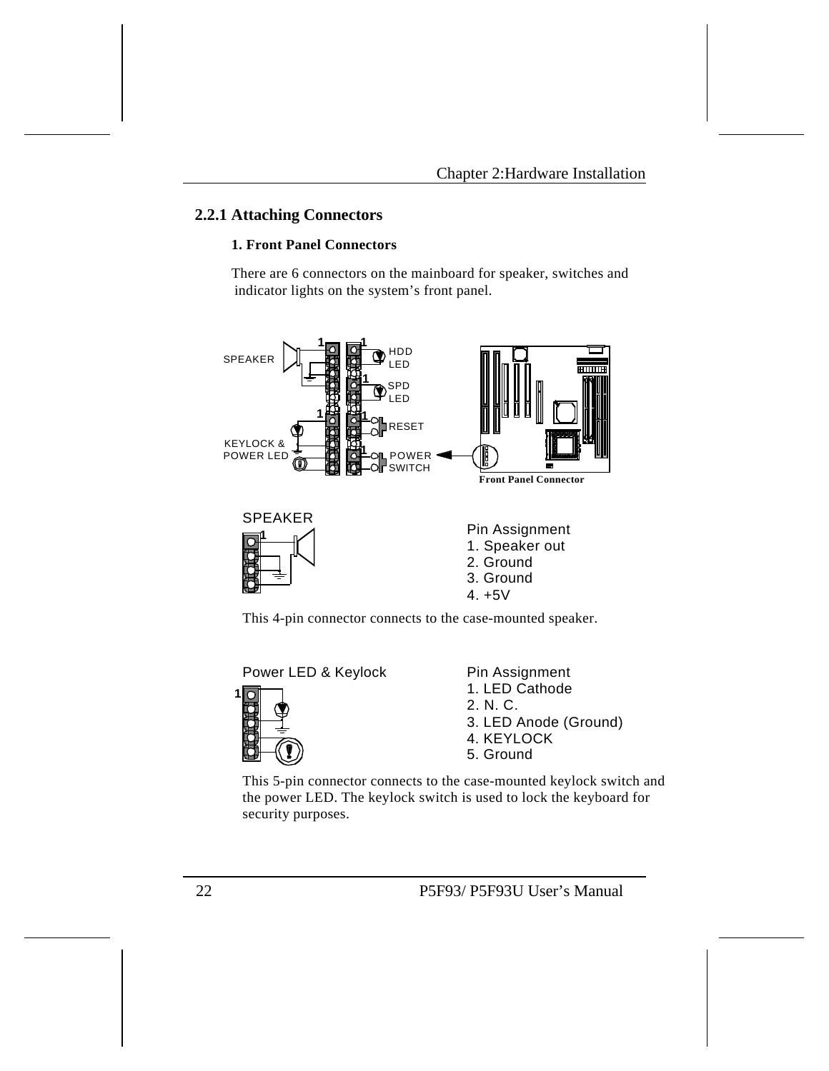### **2.2.1 Attaching Connectors**

### **1. Front Panel Connectors**

There are 6 connectors on the mainboard for speaker, switches and indicator lights on the system's front panel.



This 4-pin connector connects to the case-mounted speaker.



This 5-pin connector connects to the case-mounted keylock switch and the power LED. The keylock switch is used to lock the keyboard for security purposes.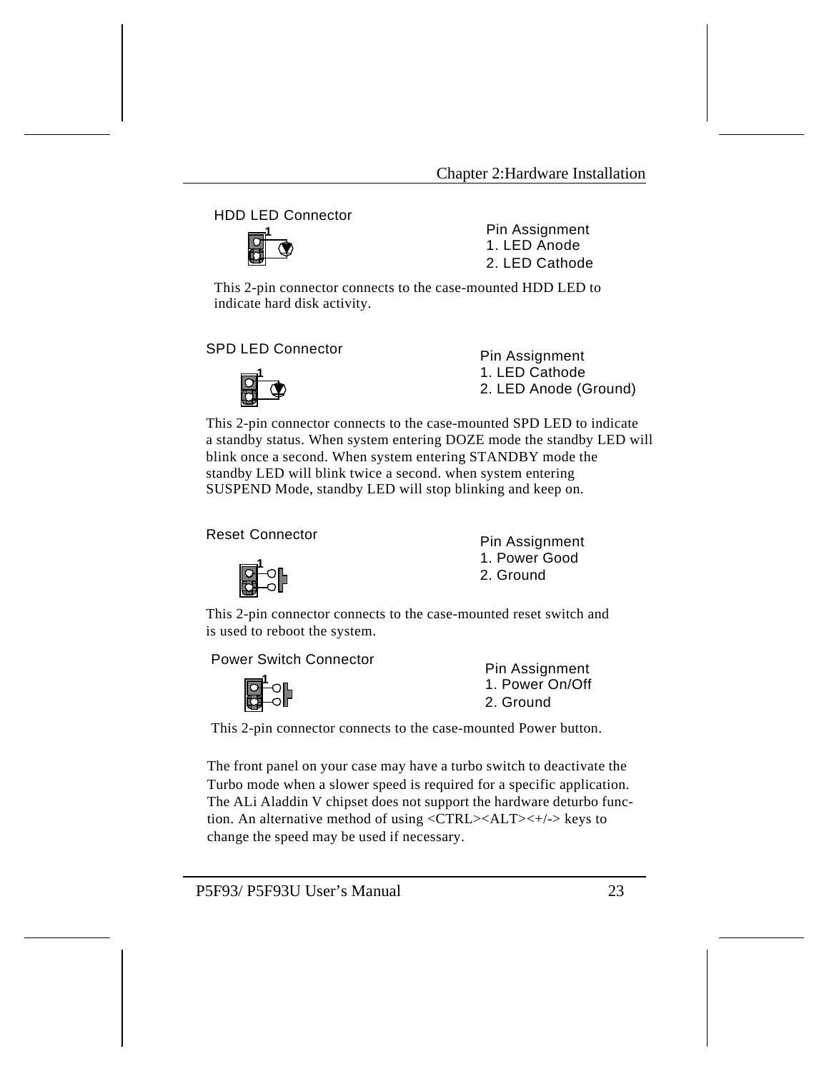HDD LED Connector



Pin Assignment 1. LED Anode 2. LED Cathode

This 2-pin connector connects to the case-mounted HDD LED to indicate hard disk activity.

SPD LED Connector **Pin Assignment** 



1. LED Cathode 2. LED Anode (Ground)

This 2-pin connector connects to the case-mounted SPD LED to indicate a standby status. When system entering DOZE mode the standby LED will blink once a second. When system entering STANDBY mode the standby LED will blink twice a second. when system entering SUSPEND Mode, standby LED will stop blinking and keep on.

Reset Connector **Pin Assignment** 



1. Power Good 2. Ground

This 2-pin connector connects to the case-mounted reset switch and is used to reboot the system.

Power Switch Connector<br>
Pin Assignment



1. Power On/Off 2. Ground

This 2-pin connector connects to the case-mounted Power button.

The front panel on your case may have a turbo switch to deactivate the Turbo mode when a slower speed is required for a specific application. The ALi Aladdin V chipset does not support the hardware deturbo function. An alternative method of using <CTRL><ALT><+/-> keys to change the speed may be used if necessary.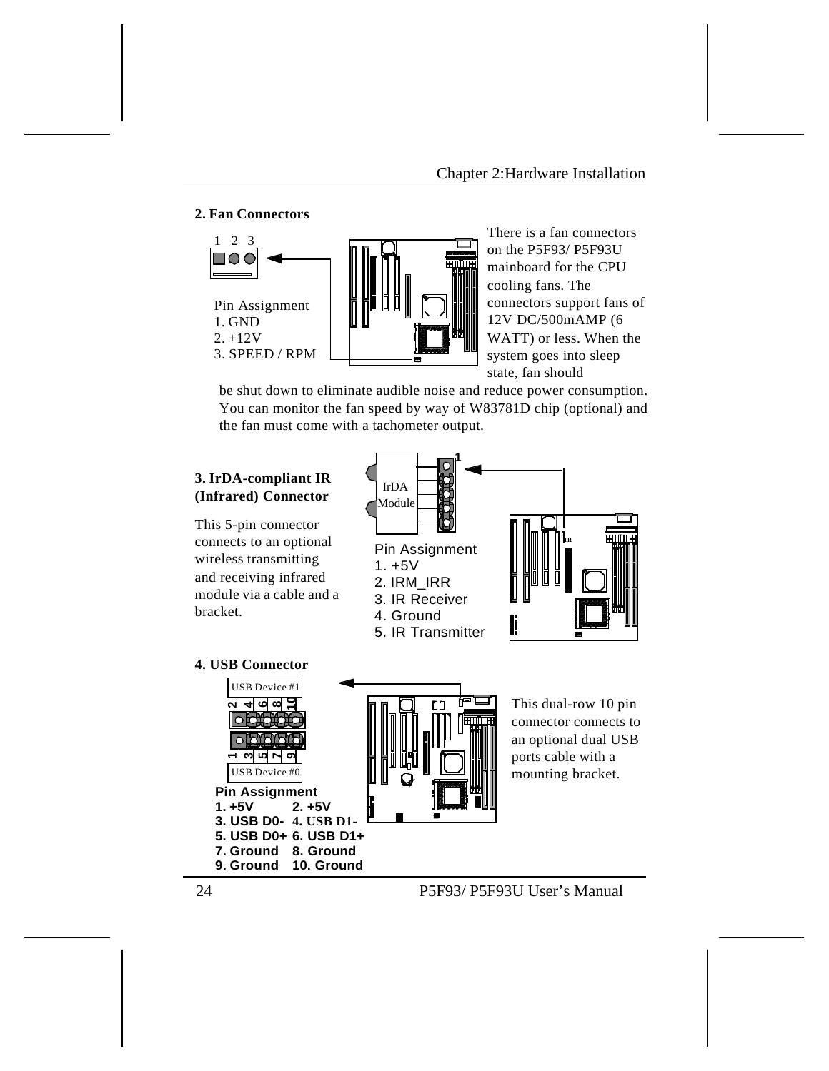### **2. Fan Connectors**



There is a fan connectors on the P5F93/ P5F93U mainboard for the CPU cooling fans. The connectors support fans of 12V DC/500mAMP (6 WATT) or less. When the system goes into sleep state, fan should

be shut down to eliminate audible noise and reduce power consumption. You can monitor the fan speed by way of W83781D chip (optional) and the fan must come with a tachometer output.

### **3. IrDA-compliant IR (Infrared) Connector**

This 5-pin connector connects to an optional wireless transmitting and receiving infrared module via a cable and a bracket.



### **4. USB Connector**



This dual-row 10 pin connector connects to an optional dual USB ports cable with a mounting bracket.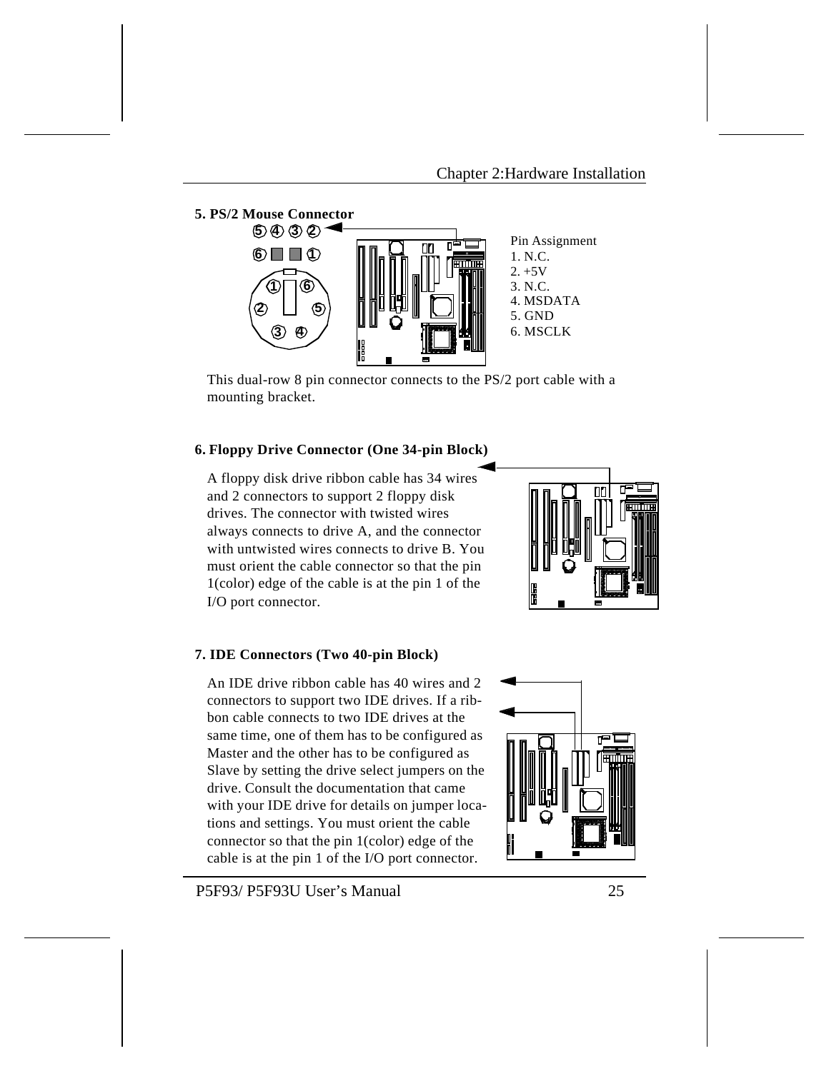

This dual-row 8 pin connector connects to the PS/2 port cable with a mounting bracket.

### **6. Floppy Drive Connector (One 34-pin Block)**

A floppy disk drive ribbon cable has 34 wires and 2 connectors to support 2 floppy disk drives. The connector with twisted wires always connects to drive A, and the connector with untwisted wires connects to drive B. You must orient the cable connector so that the pin 1(color) edge of the cable is at the pin 1 of the I/O port connector.



### **7. IDE Connectors (Two 40-pin Block)**

An IDE drive ribbon cable has 40 wires and 2 connectors to support two IDE drives. If a ribbon cable connects to two IDE drives at the same time, one of them has to be configured as Master and the other has to be configured as Slave by setting the drive select jumpers on the drive. Consult the documentation that came with your IDE drive for details on jumper locations and settings. You must orient the cable connector so that the pin 1(color) edge of the cable is at the pin 1 of the I/O port connector.

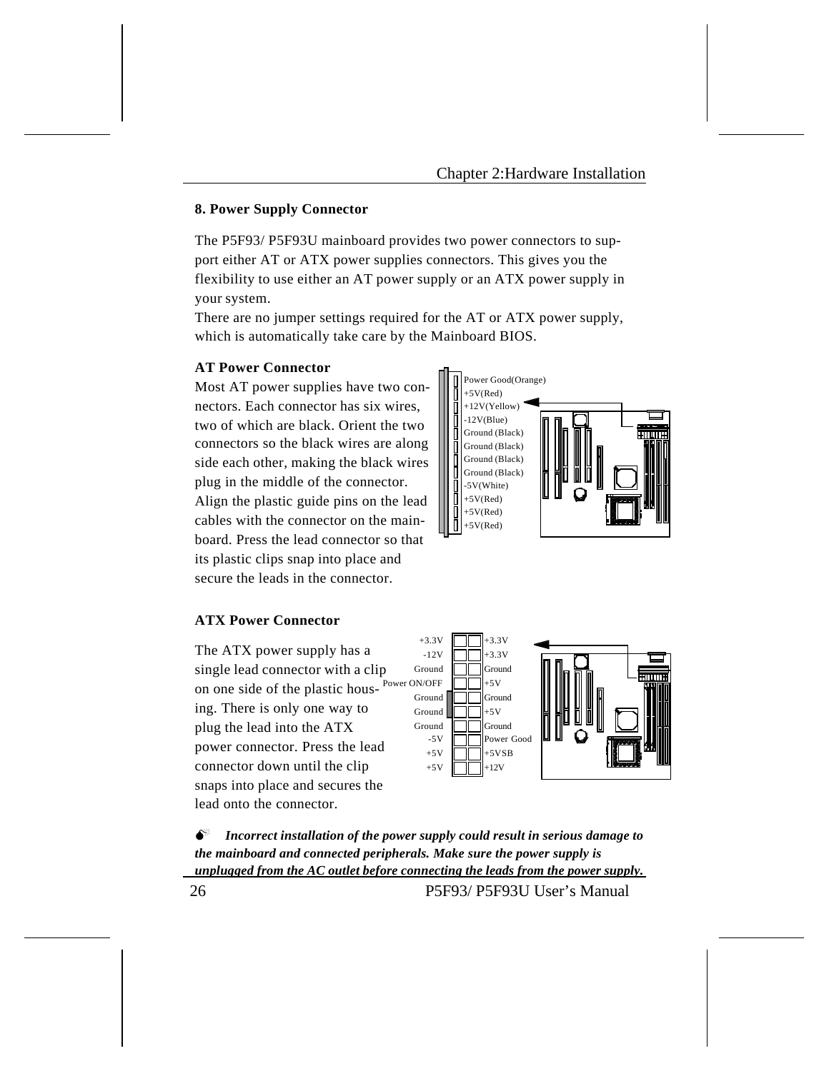### **8. Power Supply Connector**

The P5F93/ P5F93U mainboard provides two power connectors to support either AT or ATX power supplies connectors. This gives you the flexibility to use either an AT power supply or an ATX power supply in your system.

There are no jumper settings required for the AT or ATX power supply, which is automatically take care by the Mainboard BIOS.

#### **AT Power Connector**

Most AT power supplies have two connectors. Each connector has six wires, two of which are black. Orient the two connectors so the black wires are along side each other, making the black wires plug in the middle of the connector. Align the plastic guide pins on the lead cables with the connector on the mainboard. Press the lead connector so that its plastic clips snap into place and secure the leads in the connector.



### **ATX Power Connector**

The ATX power supply has a single lead connector with a clip on one side of the plastic housing. There is only one way to plug the lead into the ATX power connector. Press the lead connector down until the clip snaps into place and secures the lead onto the connector. Power ON/OFF



 $\bullet^*$  Incorrect installation of the power supply could result in serious damage to *the mainboard and connected peripherals. Make sure the power supply is unplugged from the AC outlet before connecting the leads from the power supply.* 26 P5F93/ P5F93U User's Manual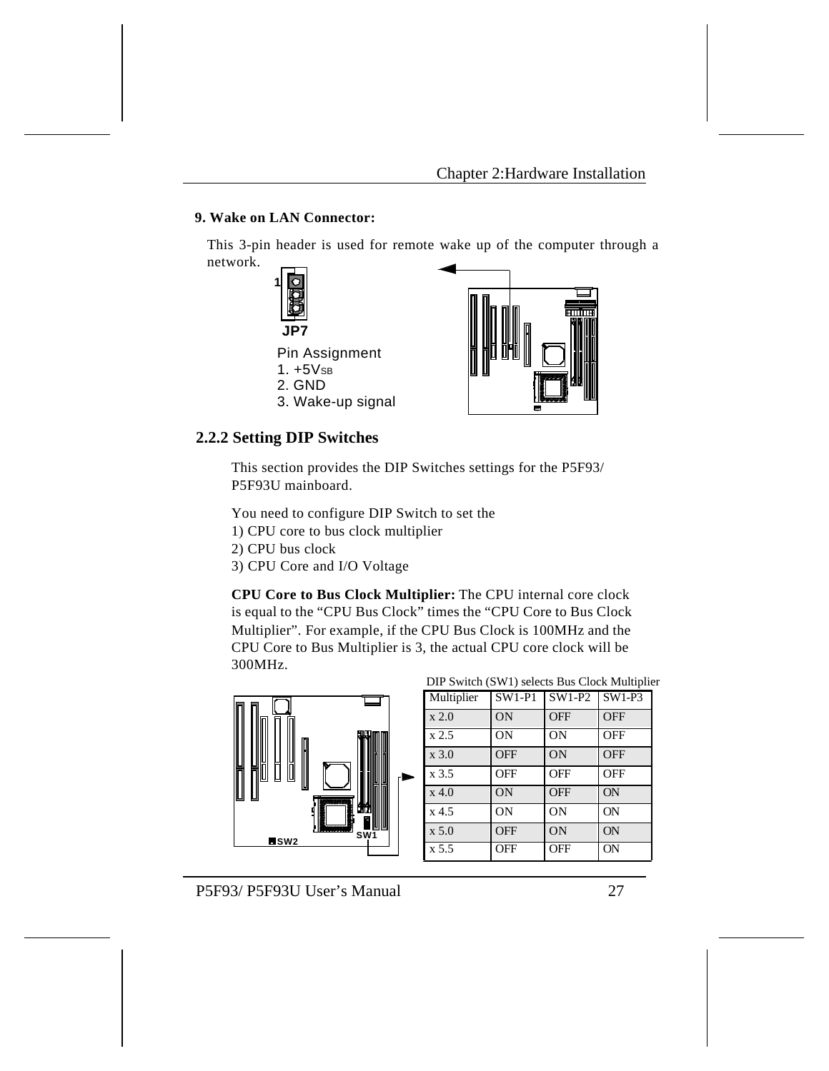## **9. Wake on LAN Connector:**

This 3-pin header is used for remote wake up of the computer through a network.



### **2.2.2 Setting DIP Switches**

This section provides the DIP Switches settings for the P5F93/ P5F93U mainboard.

You need to configure DIP Switch to set the 1) CPU core to bus clock multiplier 2) CPU bus clock

3) CPU Core and I/O Voltage

**CPU Core to Bus Clock Multiplier:** The CPU internal core clock is equal to the "CPU Bus Clock" times the "CPU Core to Bus Clock Multiplier". For example, if the CPU Bus Clock is 100MHz and the CPU Core to Bus Multiplier is 3, the actual CPU core clock will be 300MHz.



|  |  |  |  |  | DIP Switch (SW1) selects Bus Clock Multiplier |
|--|--|--|--|--|-----------------------------------------------|
|--|--|--|--|--|-----------------------------------------------|

| Multiplier  | $SW1-P1$   | SW1-P2     | $SW1-P3$   |
|-------------|------------|------------|------------|
| x 2.0       | ON         | <b>OFF</b> | <b>OFF</b> |
| x2.5        | ON         | ON         | <b>OFF</b> |
| $\rm x 3.0$ | <b>OFF</b> | ON         | <b>OFF</b> |
| x 3.5       | <b>OFF</b> | <b>OFF</b> | <b>OFF</b> |
| $x$ 4.0     | ON         | <b>OFF</b> | ON         |
| $x$ 4.5     | ON         | ON         | <b>ON</b>  |
| x 5.0       | <b>OFF</b> | ON         | ON         |
| x 5.5       | <b>OFF</b> | <b>OFF</b> | <b>ON</b>  |

P5F93/ P5F93U User's Manual 27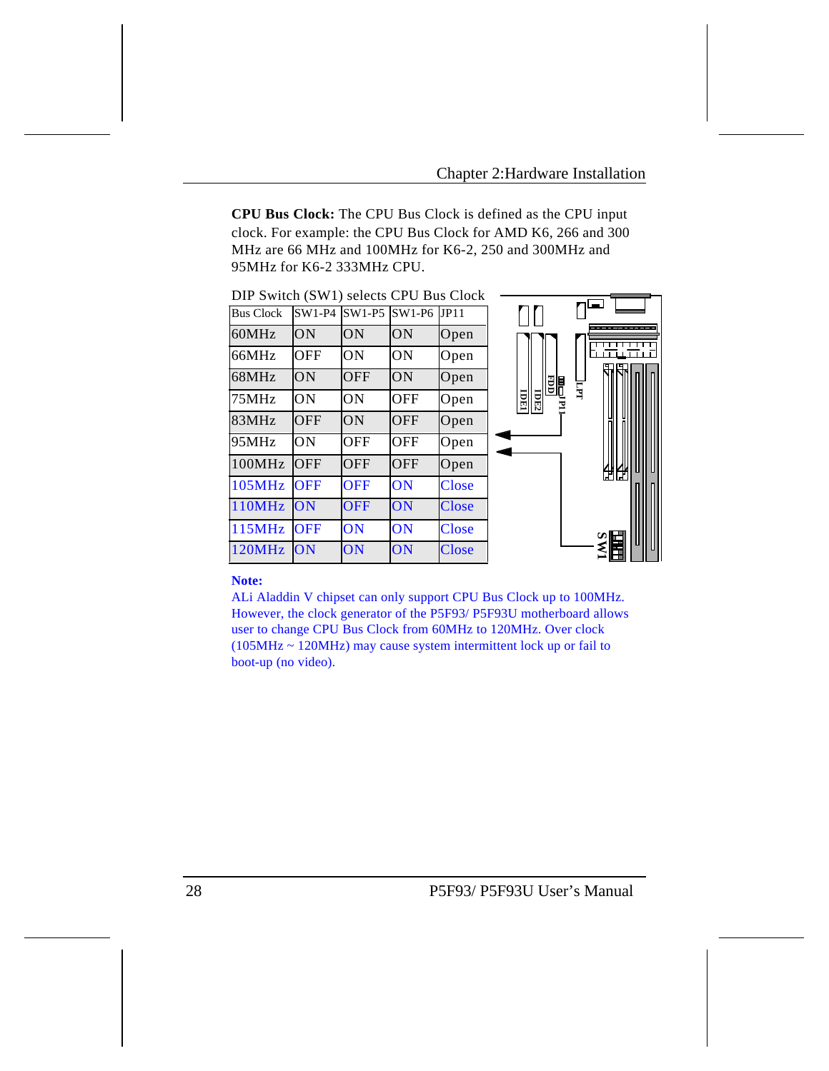**CPU Bus Clock:** The CPU Bus Clock is defined as the CPU input clock. For example: the CPU Bus Clock for AMD K6, 266 and 300 MHz are 66 MHz and 100MHz for K6-2, 250 and 300MHz and 95MHz for K6-2 333MHz CPU.

| DIP Switch (SW1) selects CPU Bus Clock |            |            |               |              |                           |                |     |
|----------------------------------------|------------|------------|---------------|--------------|---------------------------|----------------|-----|
| <b>Bus Clock</b>                       | $SW1-P4$   | $SW1-P5$   | $SW1-P6$ JP11 |              |                           |                |     |
| 60MHz                                  | ON         | ON         | <b>ON</b>     | Open         |                           |                |     |
| 66MHz                                  | <b>OFF</b> | <b>ON</b>  | ON            | Open         |                           |                |     |
| 68MHz                                  | ON         | <b>OFF</b> | ON            | Open         |                           | 間              |     |
| 75MHz                                  | ON         | ON         | <b>OFF</b>    | Open         | <b>IDE2</b><br><b>TRI</b> | $\overline{H}$ |     |
| 83MHz                                  | <b>OFF</b> | ON         | <b>OFF</b>    | Open         |                           |                |     |
| 95MHz                                  | ON         | <b>OFF</b> | <b>OFF</b>    | Open         |                           |                |     |
| 100MHz                                 | OFF        | <b>OFF</b> | <b>OFF</b>    | Open         |                           |                | нни |
| <b>105MHz</b>                          | <b>OFF</b> | <b>OFF</b> | ON            | Close        |                           |                |     |
| <b>110MHz</b>                          | ON         | <b>OFF</b> | ON            | Close        |                           |                |     |
| <b>115MHz</b>                          | <b>OFF</b> | ON         | ON            | <b>Close</b> |                           |                |     |
| 120MHz                                 | <b>ON</b>  | ON         | ON            | Close        |                           |                | 旨   |

### **Note:**

ALi Aladdin V chipset can only support CPU Bus Clock up to 100MHz. However, the clock generator of the P5F93/ P5F93U motherboard allows user to change CPU Bus Clock from 60MHz to 120MHz. Over clock (105MHz ~ 120MHz) may cause system intermittent lock up or fail to boot-up (no video).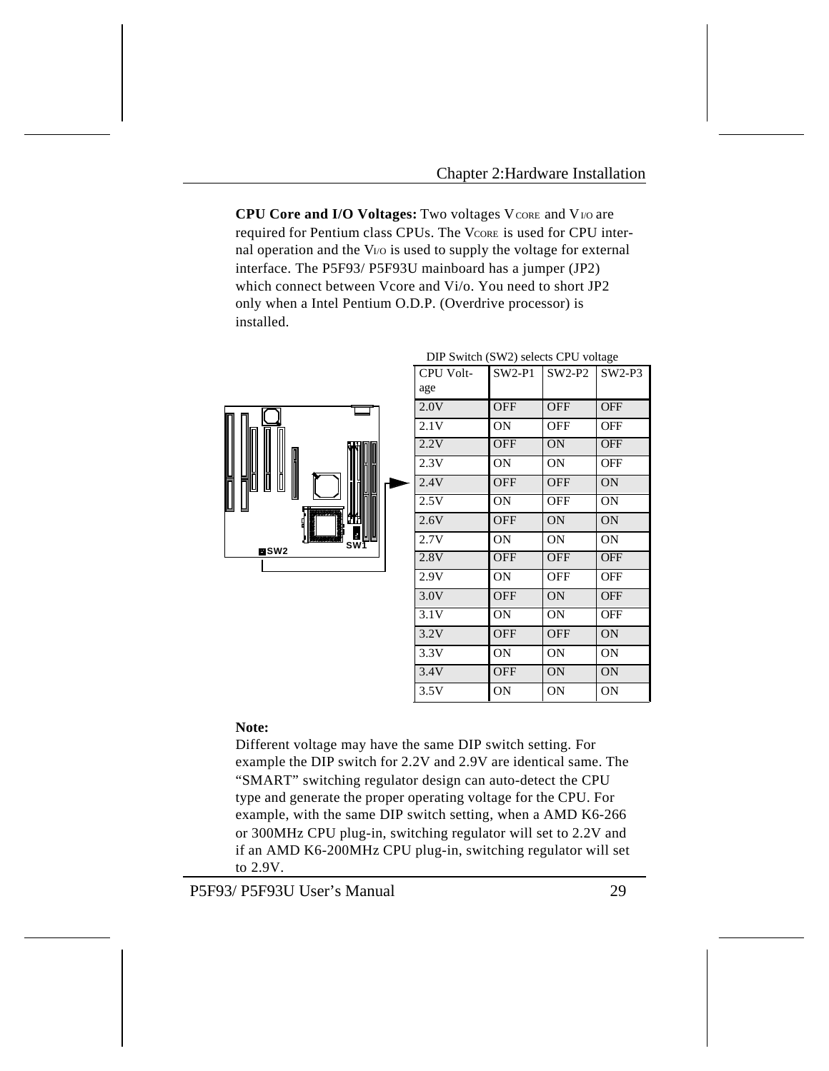**CPU Core and I/O Voltages:** Two voltages V CORE and V<sub>I/O</sub> are required for Pentium class CPUs. The VCORE is used for CPU internal operation and the V<sub>I/O</sub> is used to supply the voltage for external interface. The P5F93/ P5F93U mainboard has a jumper (JP2) which connect between Vcore and Vi/o. You need to short JP2 only when a Intel Pentium O.D.P. (Overdrive processor) is installed.



| CPU Volt-<br>age | $SW2-P1$   | $SW2-P2$   | $SW2-P3$   |
|------------------|------------|------------|------------|
| 2.0V             | <b>OFF</b> | <b>OFF</b> | <b>OFF</b> |
| 2.1V             | 0N         | OFF        | <b>OFF</b> |
| 2.2V             | <b>OFF</b> | <b>ON</b>  | <b>OFF</b> |
| 2.3V             | ON         | ON         | OFF        |
| 2.4V             | <b>OFF</b> | <b>OFF</b> | <b>ON</b>  |
| 2.5V             | ON.        | OFF        | ON         |
| 2.6V             | <b>OFF</b> | <b>ON</b>  | <b>ON</b>  |
| 2.7V             | 0N         | ON         | 0N         |
| 2.8V             | <b>OFF</b> | <b>OFF</b> | <b>OFF</b> |
| 2.9V             | 0N         | OFF        | OFF        |
| 3.0V             | <b>OFF</b> | <b>ON</b>  | <b>OFF</b> |
| 3.1V             | 0N         | 0N         | OFF        |
| 3.2V             | <b>OFF</b> | <b>OFF</b> | <b>ON</b>  |
| 3.3V             | 0N         | ON         | 0N         |
| 3.4V             | <b>OFF</b> | <b>ON</b>  | 0N         |
| 3.5V             | ON         | ON         | 0N         |

#### DIP Switch (SW2) selects CPU voltage

#### **Note:**

Different voltage may have the same DIP switch setting. For example the DIP switch for 2.2V and 2.9V are identical same. The "SMART" switching regulator design can auto-detect the CPU type and generate the proper operating voltage for the CPU. For example, with the same DIP switch setting, when a AMD K6-266 or 300MHz CPU plug-in, switching regulator will set to 2.2V and if an AMD K6-200MHz CPU plug-in, switching regulator will set to 2.9V.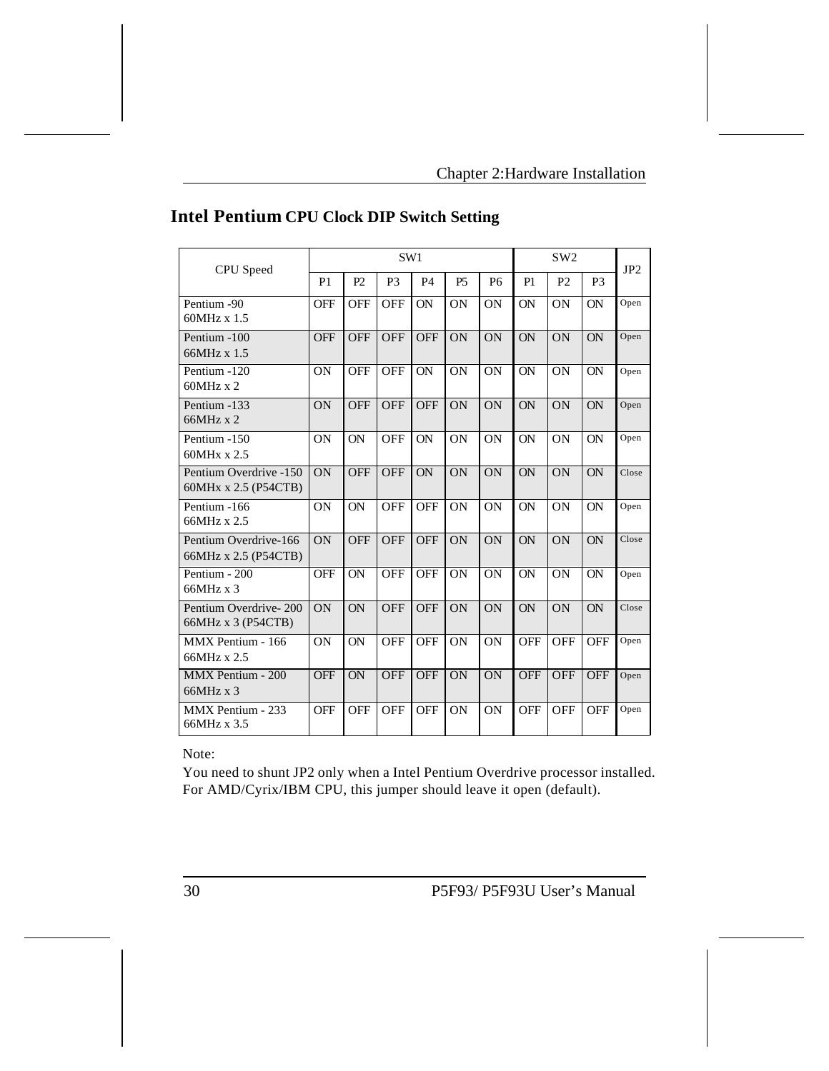| CPU Speed                                      | SW1            |            |                |            |                |                | SW <sub>2</sub> |                |                | JP2   |
|------------------------------------------------|----------------|------------|----------------|------------|----------------|----------------|-----------------|----------------|----------------|-------|
|                                                | P <sub>1</sub> | P2         | P <sub>3</sub> | <b>P4</b>  | P <sub>5</sub> | P <sub>6</sub> | P1              | P <sub>2</sub> | P <sub>3</sub> |       |
| Pentium -90<br>$60MHz \times 1.5$              | <b>OFF</b>     | <b>OFF</b> | OFF            | ON         | ON             | ON             | ON              | ON             | ON             | Open  |
| Pentium -100<br>66MHz x 1.5                    | <b>OFF</b>     | <b>OFF</b> | <b>OFF</b>     | <b>OFF</b> | ON             | ON             | <b>ON</b>       | <b>ON</b>      | <b>ON</b>      | Open  |
| Pentium -120<br>$60MHz \times 2$               | <b>ON</b>      | <b>OFF</b> | <b>OFF</b>     | <b>ON</b>  | <b>ON</b>      | <b>ON</b>      | <b>ON</b>       | ON             | <b>ON</b>      | Open  |
| Pentium -133<br>66MHz x 2                      | ON             | <b>OFF</b> | <b>OFF</b>     | <b>OFF</b> | ON             | ON             | ON              | ON             | ON             | Open  |
| Pentium -150<br>60MHx x 2.5                    | <b>ON</b>      | <b>ON</b>  | <b>OFF</b>     | <b>ON</b>  | ON             | <b>ON</b>      | <b>ON</b>       | <b>ON</b>      | <b>ON</b>      | Open  |
| Pentium Overdrive -150<br>60MHx x 2.5 (P54CTB) | ON             | <b>OFF</b> | <b>OFF</b>     | ON         | ON             | ON             | ON              | ON             | <b>ON</b>      | Close |
| Pentium -166<br>66MHz x 2.5                    | <b>ON</b>      | ON         | <b>OFF</b>     | <b>OFF</b> | ON             | ON             | ON              | <b>ON</b>      | ON             | Open  |
| Pentium Overdrive-166<br>66MHz x 2.5 (P54CTB)  | ON             | <b>OFF</b> | <b>OFF</b>     | <b>OFF</b> | ON             | ON             | ON              | ON             | ON             | Close |
| Pentium - 200<br>$66MHz \times 3$              | <b>OFF</b>     | <b>ON</b>  | <b>OFF</b>     | <b>OFF</b> | ON             | ON             | ON              | <b>ON</b>      | <b>ON</b>      | Open  |
| Pentium Overdrive-200<br>66MHz x 3 (P54CTB)    | <b>ON</b>      | ON         | <b>OFF</b>     | <b>OFF</b> | ON             | ON             | ON              | ON             | ON             | Close |
| MMX Pentium - 166<br>66MHz x 2.5               | ON             | ON         | OFF            | <b>OFF</b> | ON             | ON             | <b>OFF</b>      | OFF            | <b>OFF</b>     | Open  |
| MMX Pentium - 200<br>$66MHz \times 3$          | <b>OFF</b>     | ON         | <b>OFF</b>     | <b>OFF</b> | ON             | ON             | <b>OFF</b>      | <b>OFF</b>     | <b>OFF</b>     | Open  |
| MMX Pentium - 233<br>66MHz x 3.5               | <b>OFF</b>     | <b>OFF</b> | <b>OFF</b>     | <b>OFF</b> | ON             | ON             | <b>OFF</b>      | <b>OFF</b>     | <b>OFF</b>     | Open  |

# **Intel Pentium CPU Clock DIP Switch Setting**

Note:

You need to shunt JP2 only when a Intel Pentium Overdrive processor installed. For AMD/Cyrix/IBM CPU, this jumper should leave it open (default).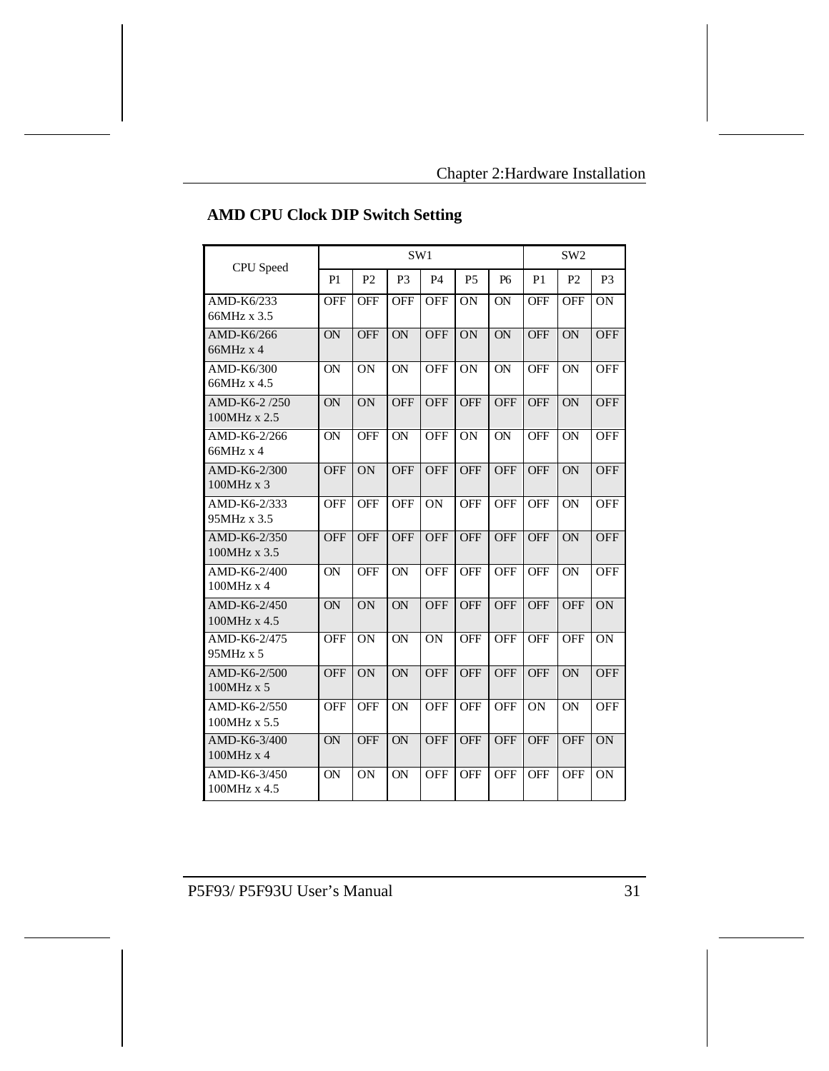| CPU Speed                         | SW1        |                |                |            |            |                | SW <sub>2</sub> |                |                |  |
|-----------------------------------|------------|----------------|----------------|------------|------------|----------------|-----------------|----------------|----------------|--|
|                                   | P1         | P <sub>2</sub> | P <sub>3</sub> | <b>P4</b>  | <b>P5</b>  | P <sub>6</sub> | P <sub>1</sub>  | P <sub>2</sub> | P <sub>3</sub> |  |
| AMD-K6/233<br>66MHz x 3.5         | <b>OFF</b> | <b>OFF</b>     | <b>OFF</b>     | OFF        | ON         | ON             | <b>OFF</b>      | <b>OFF</b>     | ON             |  |
| AMD-K6/266<br>$66MHz \times 4$    | ON         | <b>OFF</b>     | ON             | <b>OFF</b> | ON         | ON             | <b>OFF</b>      | ON             | OFF            |  |
| AMD-K6/300<br>66MHz x 4.5         | <b>ON</b>  | ON             | <b>ON</b>      | <b>OFF</b> | <b>ON</b>  | ON             | <b>OFF</b>      | <b>ON</b>      | <b>OFF</b>     |  |
| AMD-K6-2/250<br>100MHz x 2.5      | ON         | <b>ON</b>      | <b>OFF</b>     | <b>OFF</b> | <b>OFF</b> | <b>OFF</b>     | <b>OFF</b>      | ON             | <b>OFF</b>     |  |
| AMD-K6-2/266<br>$66MHz \times 4$  | <b>ON</b>  | <b>OFF</b>     | <b>ON</b>      | <b>OFF</b> | <b>ON</b>  | <b>ON</b>      | <b>OFF</b>      | <b>ON</b>      | <b>OFF</b>     |  |
| AMD-K6-2/300<br>100MHz x 3        | <b>OFF</b> | <b>ON</b>      | <b>OFF</b>     | <b>OFF</b> | <b>OFF</b> | <b>OFF</b>     | <b>OFF</b>      | ON             | <b>OFF</b>     |  |
| AMD-K6-2/333<br>95MHz x 3.5       | <b>OFF</b> | <b>OFF</b>     | <b>OFF</b>     | <b>ON</b>  | <b>OFF</b> | <b>OFF</b>     | <b>OFF</b>      | <b>ON</b>      | <b>OFF</b>     |  |
| AMD-K6-2/350<br>100MHz x 3.5      | <b>OFF</b> | <b>OFF</b>     | <b>OFF</b>     | <b>OFF</b> | <b>OFF</b> | <b>OFF</b>     | <b>OFF</b>      | ON             | <b>OFF</b>     |  |
| AMD-K6-2/400<br>100MHz x 4        | <b>ON</b>  | <b>OFF</b>     | <b>ON</b>      | <b>OFF</b> | <b>OFF</b> | <b>OFF</b>     | <b>OFF</b>      | <b>ON</b>      | <b>OFF</b>     |  |
| AMD-K6-2/450<br>100MHz x 4.5      | <b>ON</b>  | <b>ON</b>      | <b>ON</b>      | <b>OFF</b> | <b>OFF</b> | <b>OFF</b>     | <b>OFF</b>      | <b>OFF</b>     | ON             |  |
| AMD-K6-2/475<br>95MHz x 5         | <b>OFF</b> | <b>ON</b>      | <b>ON</b>      | <b>ON</b>  | <b>OFF</b> | <b>OFF</b>     | <b>OFF</b>      | <b>OFF</b>     | ON             |  |
| AMD-K6-2/500<br>$100MHz \times 5$ | <b>OFF</b> | <b>ON</b>      | <b>ON</b>      | <b>OFF</b> | <b>OFF</b> | <b>OFF</b>     | <b>OFF</b>      | <b>ON</b>      | <b>OFF</b>     |  |
| AMD-K6-2/550<br>100MHz x 5.5      | <b>OFF</b> | <b>OFF</b>     | <b>ON</b>      | <b>OFF</b> | <b>OFF</b> | <b>OFF</b>     | <b>ON</b>       | <b>ON</b>      | <b>OFF</b>     |  |
| AMD-K6-3/400<br>100MHz x 4        | ON         | <b>OFF</b>     | ON             | <b>OFF</b> | <b>OFF</b> | <b>OFF</b>     | <b>OFF</b>      | <b>OFF</b>     | ON             |  |
| AMD-K6-3/450<br>100MHz x 4.5      | <b>ON</b>  | ON             | 0N             | <b>OFF</b> | <b>OFF</b> | <b>OFF</b>     | <b>OFF</b>      | <b>OFF</b>     | <b>ON</b>      |  |

# **AMD CPU Clock DIP Switch Setting**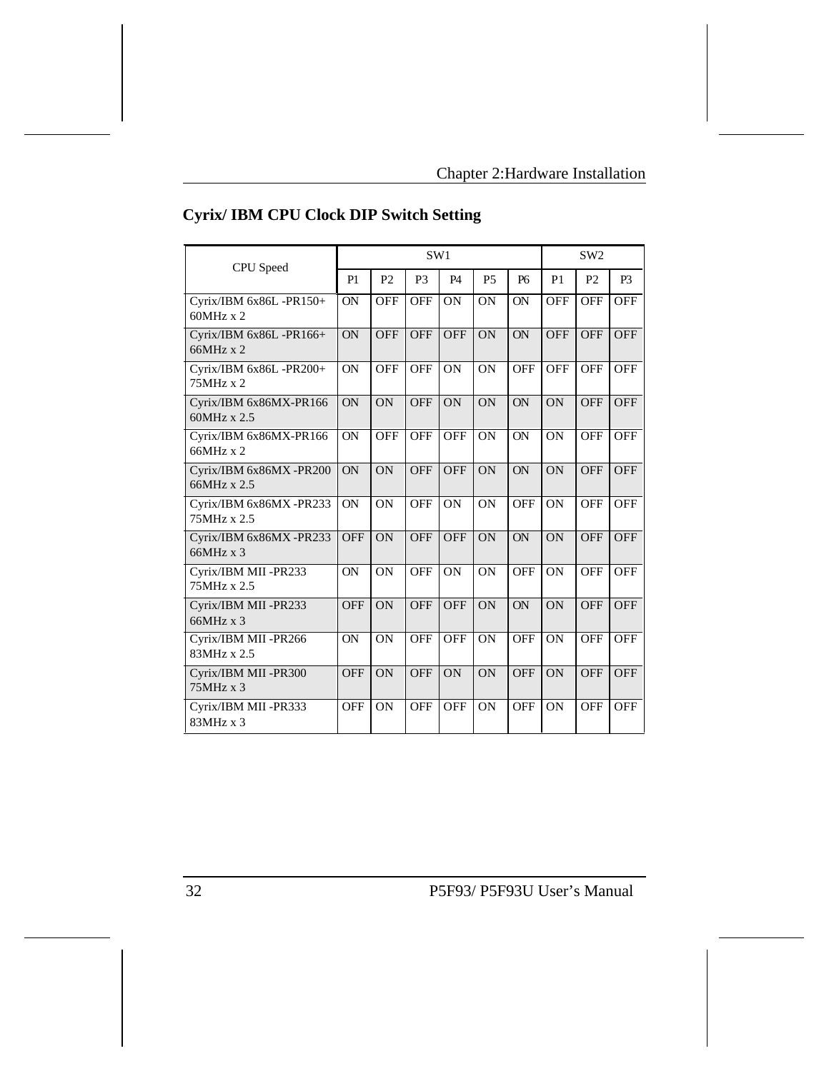| <b>CPU</b> Speed                            | SW1        |                |                |            |                 |                 | SW <sub>2</sub> |                |                |
|---------------------------------------------|------------|----------------|----------------|------------|-----------------|-----------------|-----------------|----------------|----------------|
|                                             | P1         | P <sub>2</sub> | P <sub>3</sub> | <b>P4</b>  | P <sub>5</sub>  | <b>P6</b>       | P <sub>1</sub>  | P <sub>2</sub> | P <sub>3</sub> |
| Cyrix/IBM 6x86L -PR150+<br>$60MHz \times 2$ | <b>ON</b>  | <b>OFF</b>     | <b>OFF</b>     | <b>ON</b>  | <b>ON</b>       | <b>ON</b>       | <b>OFF</b>      | <b>OFF</b>     | <b>OFF</b>     |
| Cyrix/IBM 6x86L -PR166+<br>$66MHz \times 2$ | ON         | <b>OFF</b>     | OFF            | OFF        | $\overline{ON}$ | $\overline{ON}$ | OFF             | <b>OFF</b>     | OFF            |
| Cyrix/IBM 6x86L -PR200+<br>75MHz x 2        | ON         | <b>OFF</b>     | <b>OFF</b>     | <b>ON</b>  | <b>ON</b>       | <b>OFF</b>      | <b>OFF</b>      | <b>OFF</b>     | <b>OFF</b>     |
| Cyrix/IBM 6x86MX-PR166<br>60MHz x 2.5       | ON         | ON             | <b>OFF</b>     | <b>ON</b>  | ON              | ON              | ON              | <b>OFF</b>     | <b>OFF</b>     |
| Cyrix/IBM 6x86MX-PR166<br>66MHz x 2         | <b>ON</b>  | OFF            | <b>OFF</b>     | OFF        | ON              | ON              | ON              | <b>OFF</b>     | <b>OFF</b>     |
| Cyrix/IBM 6x86MX -PR200<br>66MHz x 2.5      | <b>ON</b>  | ON             | <b>OFF</b>     | <b>OFF</b> | ON              | ON              | ON              | <b>OFF</b>     | <b>OFF</b>     |
| Cyrix/IBM 6x86MX -PR233<br>75MHz x 2.5      | <b>ON</b>  | ON             | <b>OFF</b>     | <b>ON</b>  | <b>ON</b>       | <b>OFF</b>      | <b>ON</b>       | <b>OFF</b>     | <b>OFF</b>     |
| Cyrix/IBM 6x86MX -PR233<br>66MHz x 3        | <b>OFF</b> | ON             | <b>OFF</b>     | <b>OFF</b> | ON              | $\overline{ON}$ | ON              | <b>OFF</b>     | <b>OFF</b>     |
| Cyrix/IBM MII-PR233<br>75MHz x 2.5          | ON         | ON             | <b>OFF</b>     | ON         | ON              | <b>OFF</b>      | <b>ON</b>       | <b>OFF</b>     | <b>OFF</b>     |
| Cyrix/IBM MII -PR233<br>66MHz x 3           | <b>OFF</b> | <b>ON</b>      | <b>OFF</b>     | <b>OFF</b> | ON              | <b>ON</b>       | ON              | <b>OFF</b>     | <b>OFF</b>     |
| Cyrix/IBM MII-PR266<br>83MHz x 2.5          | <b>ON</b>  | <b>ON</b>      | <b>OFF</b>     | <b>OFF</b> | <b>ON</b>       | <b>OFF</b>      | ON              | <b>OFF</b>     | <b>OFF</b>     |
| Cyrix/IBM MII-PR300<br>75MHz x 3            | <b>OFF</b> | ON             | <b>OFF</b>     | ON         | ON              | <b>OFF</b>      | ON              | <b>OFF</b>     | <b>OFF</b>     |
| Cyrix/IBM MII -PR333<br>83MHz x 3           | <b>OFF</b> | <b>ON</b>      | <b>OFF</b>     | <b>OFF</b> | ON              | <b>OFF</b>      | ON              | <b>OFF</b>     | <b>OFF</b>     |

# **Cyrix/ IBM CPU Clock DIP Switch Setting**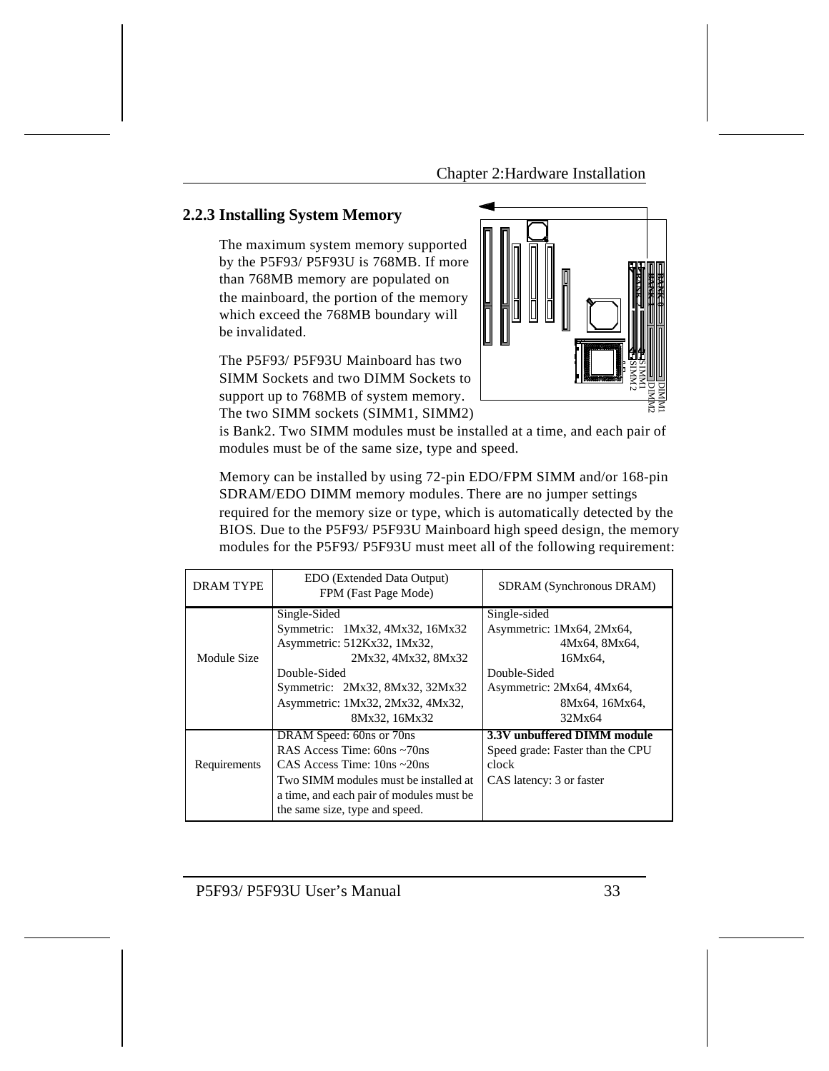### **2.2.3 Installing System Memory**

The maximum system memory supported by the P5F93/ P5F93U is 768MB. If more than 768MB memory are populated on the mainboard, the portion of the memory which exceed the 768MB boundary will be invalidated.

The P5F93/ P5F93U Mainboard has two SIMM Sockets and two DIMM Sockets to support up to 768MB of system memory. The two SIMM sockets (SIMM1, SIMM2)



is Bank2. Two SIMM modules must be installed at a time, and each pair of modules must be of the same size, type and speed.

Memory can be installed by using 72-pin EDO/FPM SIMM and/or 168-pin SDRAM/EDO DIMM memory modules. There are no jumper settings required for the memory size or type, which is automatically detected by the BIOS. Due to the P5F93/ P5F93U Mainboard high speed design, the memory modules for the P5F93/ P5F93U must meet all of the following requirement:

| <b>DRAM TYPE</b> | EDO (Extended Data Output)<br>FPM (Fast Page Mode) | SDRAM (Synchronous DRAM)         |
|------------------|----------------------------------------------------|----------------------------------|
|                  | Single-Sided                                       | Single-sided                     |
|                  | Symmetric: 1Mx32, 4Mx32, 16Mx32                    | Asymmetric: 1Mx64, 2Mx64,        |
|                  | Asymmetric: 512Kx32, 1Mx32,                        | 4Mx64, 8Mx64,                    |
| Module Size      | 2Mx32, 4Mx32, 8Mx32                                | 16Mx64,                          |
|                  | Double-Sided                                       | Double-Sided                     |
|                  | Symmetric: 2Mx32, 8Mx32, 32Mx32                    | Asymmetric: 2Mx64, 4Mx64,        |
|                  | Asymmetric: 1Mx32, 2Mx32, 4Mx32,                   | 8Mx64, 16Mx64,                   |
|                  | 8Mx32, 16Mx32                                      | 32Mx64                           |
|                  | DRAM Speed: 60ns or 70ns                           | 3.3V unbuffered DIMM module      |
|                  | RAS Access Time: 60ns ~70ns                        | Speed grade: Faster than the CPU |
| Requirements     | CAS Access Time: $10ns \sim 20ns$                  | clock                            |
|                  | Two SIMM modules must be installed at              | CAS latency: 3 or faster         |
|                  | a time, and each pair of modules must be           |                                  |
|                  | the same size, type and speed.                     |                                  |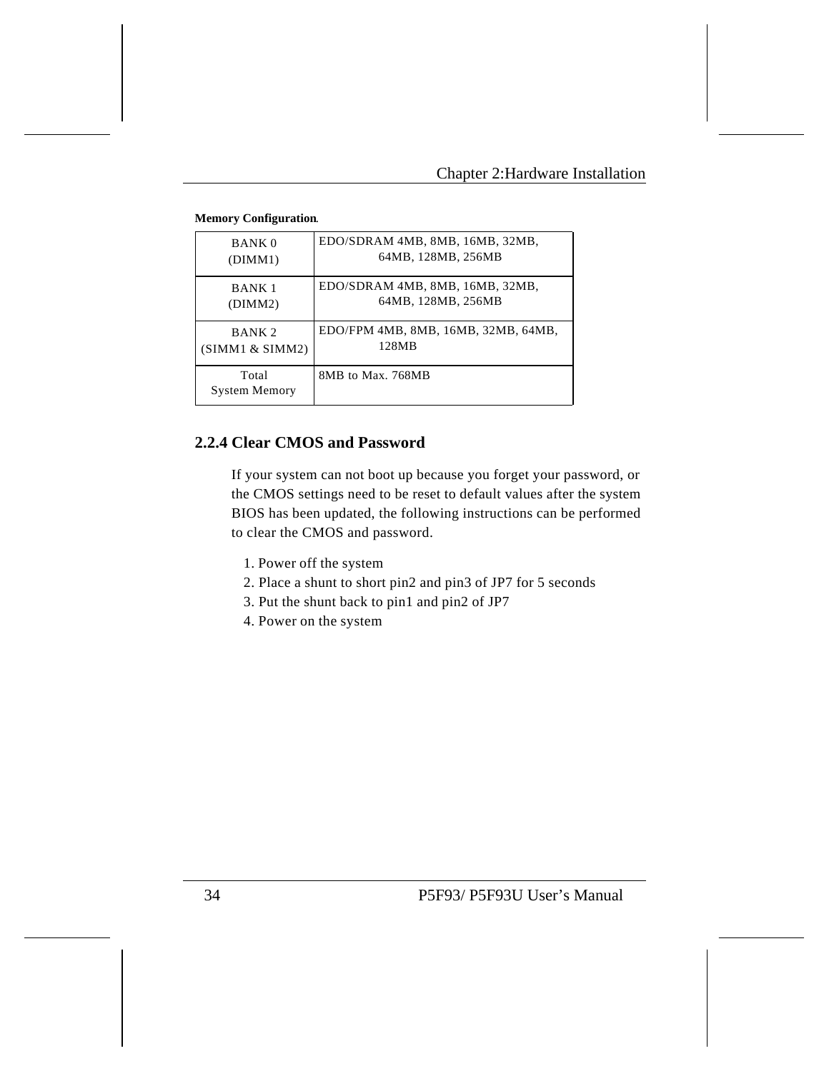| <b>BANK 0</b>                 | EDO/SDRAM 4MB, 8MB, 16MB, 32MB,     |
|-------------------------------|-------------------------------------|
| (DIMM1)                       | 64MB, 128MB, 256MB                  |
| <b>BANK1</b>                  | EDO/SDRAM 4MB, 8MB, 16MB, 32MB,     |
| (DIMM2)                       | 64MB, 128MB, 256MB                  |
| BANK <sub>2</sub>             | EDO/FPM 4MB, 8MB, 16MB, 32MB, 64MB, |
| (SIMM1 & SNM2)                | 128MB                               |
| Total<br><b>System Memory</b> | 8MB to Max. 768MB                   |

#### **Memory Configuration**.

# **2.2.4 Clear CMOS and Password**

If your system can not boot up because you forget your password, or the CMOS settings need to be reset to default values after the system BIOS has been updated, the following instructions can be performed to clear the CMOS and password.

- 1. Power off the system
- 2. Place a shunt to short pin2 and pin3 of JP7 for 5 seconds
- 3. Put the shunt back to pin1 and pin2 of JP7
- 4. Power on the system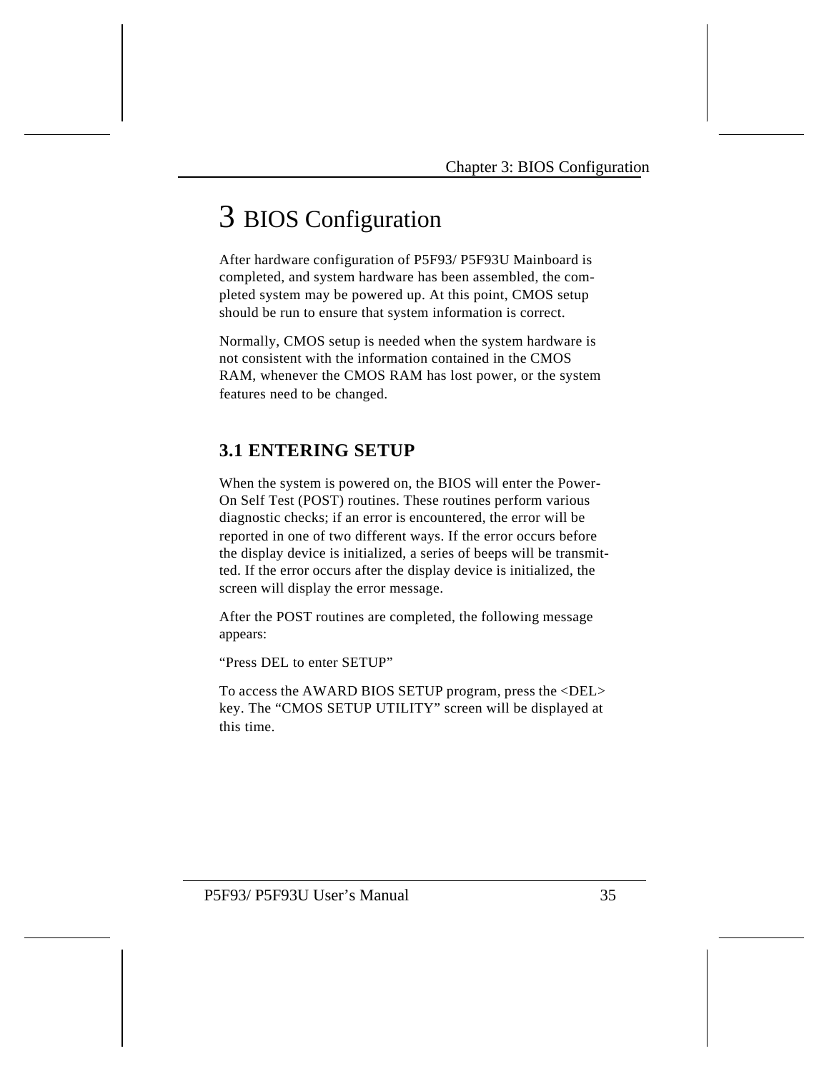# 3 BIOS Configuration

After hardware configuration of P5F93/ P5F93U Mainboard is completed, and system hardware has been assembled, the completed system may be powered up. At this point, CMOS setup should be run to ensure that system information is correct.

Normally, CMOS setup is needed when the system hardware is not consistent with the information contained in the CMOS RAM, whenever the CMOS RAM has lost power, or the system features need to be changed.

# **3.1 ENTERING SETUP**

When the system is powered on, the BIOS will enter the Power-On Self Test (POST) routines. These routines perform various diagnostic checks; if an error is encountered, the error will be reported in one of two different ways. If the error occurs before the display device is initialized, a series of beeps will be transmitted. If the error occurs after the display device is initialized, the screen will display the error message.

After the POST routines are completed, the following message appears:

"Press DEL to enter SETUP"

To access the AWARD BIOS SETUP program, press the <DEL> key. The "CMOS SETUP UTILITY" screen will be displayed at this time.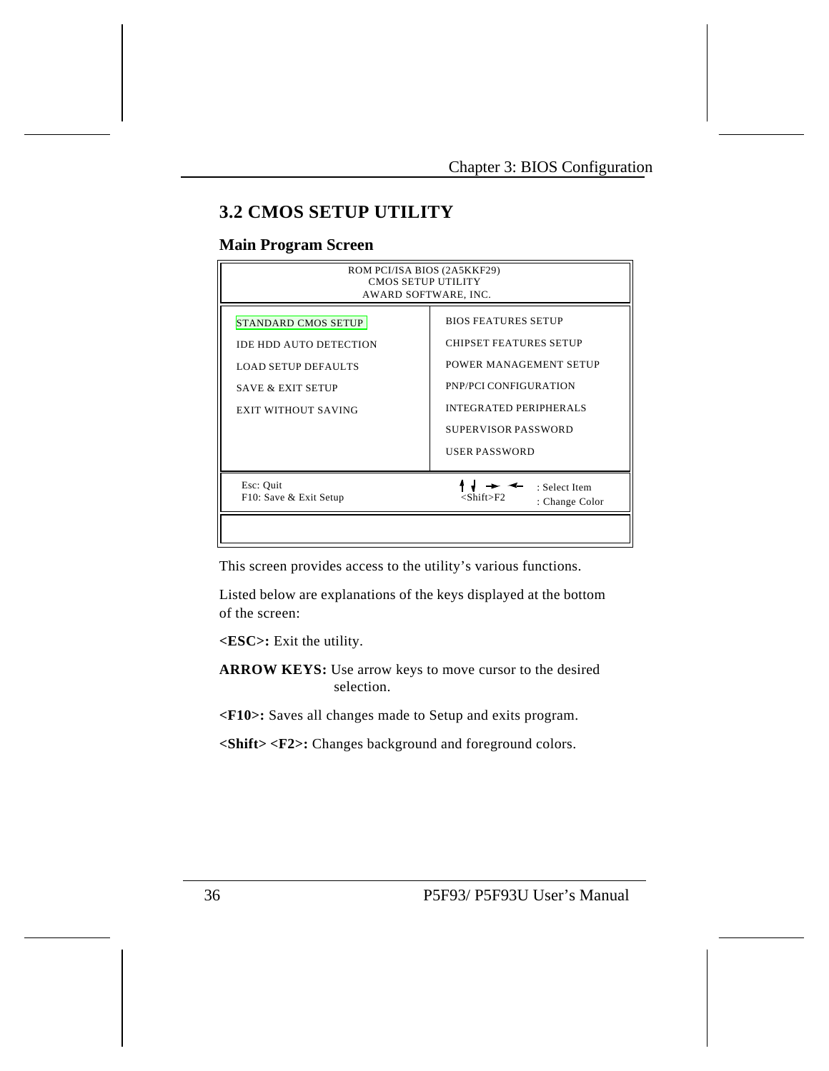# **3.2 CMOS SETUP UTILITY**

### **Main Program Screen**

| ROM PCI/ISA BIOS (2A5KKF29)<br><b>CMOS SETUP UTILITY</b><br>AWARD SOFTWARE, INC.                                                          |                                                                                                                                                                                                |  |  |  |
|-------------------------------------------------------------------------------------------------------------------------------------------|------------------------------------------------------------------------------------------------------------------------------------------------------------------------------------------------|--|--|--|
| <b>STANDARD CMOS SETUP</b><br><b>IDE HDD AUTO DETECTION</b><br>LOAD SETUP DEFAULTS<br><b>SAVE &amp; EXIT SETUP</b><br>EXIT WITHOUT SAVING | <b>BIOS FEATURES SETUP</b><br><b>CHIPSET FEATURES SETUP</b><br>POWER MANAGEMENT SETUP<br>PNP/PCI CONFIGURATION<br><b>INTEGRATED PERIPHERALS</b><br>SUPERVISOR PASSWORD<br><b>USER PASSWORD</b> |  |  |  |
| Esc: Quit<br>F10: Save & Exit Setup                                                                                                       | : Select Item<br><shift>F2_<br/>: Change Color</shift>                                                                                                                                         |  |  |  |

This screen provides access to the utility's various functions.

Listed below are explanations of the keys displayed at the bottom of the screen:

**<ESC>:** Exit the utility.

**ARROW KEYS:** Use arrow keys to move cursor to the desired selection.

**<F10>:** Saves all changes made to Setup and exits program.

**<Shift> <F2>:** Changes background and foreground colors.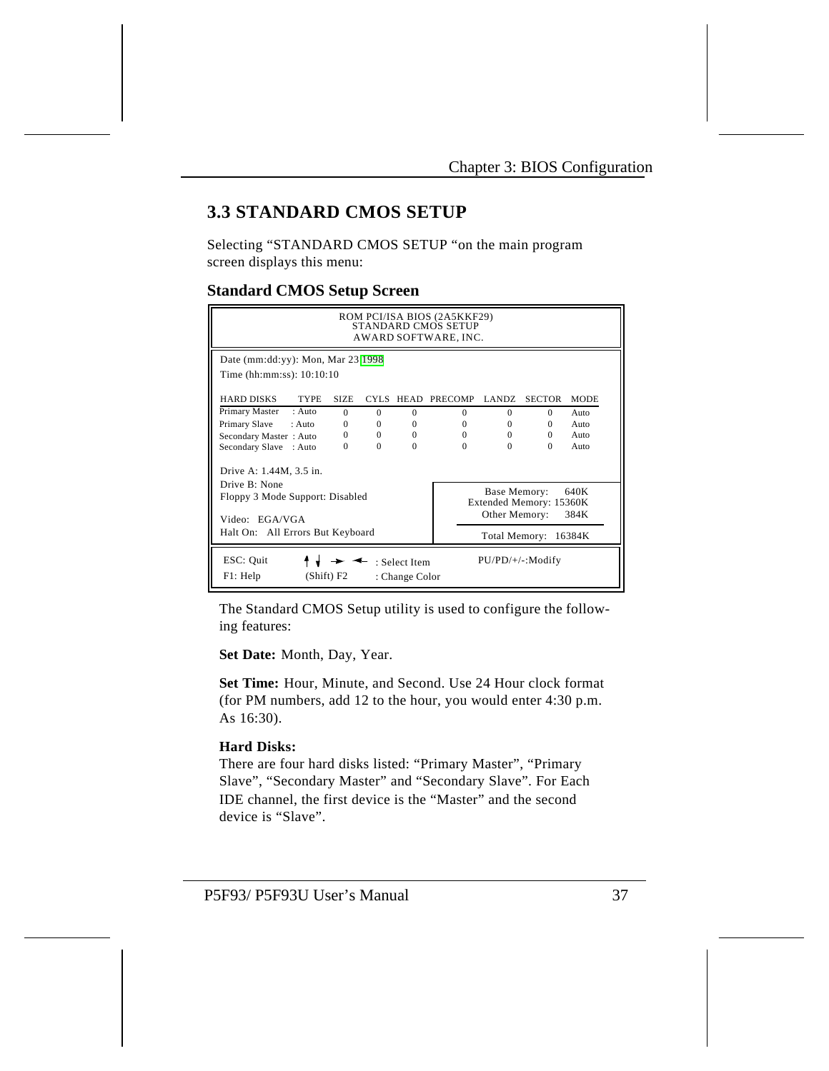# **3.3 STANDARD CMOS SETUP**

Selecting "STANDARD CMOS SETUP "on the main program screen displays this menu:

# **Standard CMOS Setup Screen**

|                                     |              |          |                                 | ROM PCI/ISA BIOS (2A5KKF29)<br>STANDARD CMOS SETUP<br>AWARD SOFTWARE, INC. |               |                         |             |
|-------------------------------------|--------------|----------|---------------------------------|----------------------------------------------------------------------------|---------------|-------------------------|-------------|
| Date (mm:dd:yy): Mon, Mar $23$ 1998 |              |          |                                 |                                                                            |               |                         |             |
| Time (hh:mm:ss): 10:10:10           |              |          |                                 |                                                                            |               |                         |             |
| <b>HARD DISKS</b><br><b>TYPE</b>    | <b>SIZE</b>  |          | CYLS HEAD                       | <b>PRECOMP</b>                                                             | LANDZ.        | <b>SECTOR</b>           | <b>MODE</b> |
| Primary Master<br>: Auto            | $\Omega$     | $\Omega$ | $\Omega$                        | $\Omega$                                                                   | $\Omega$      | $\Omega$                | Auto        |
| Primary Slave<br>: Auto             | $\Omega$     | $\Omega$ | $\Omega$                        | $\Omega$                                                                   | $\Omega$      | $\Omega$                | Auto        |
| Secondary Master: Auto              | $\mathbf{0}$ | $\Omega$ | $\Omega$                        | $\Omega$                                                                   | $\Omega$      | $\Omega$                | Auto        |
| Secondary Slave : Auto              | $\Omega$     | $\Omega$ | $\Omega$                        | $\Omega$                                                                   | $\Omega$      | $\Omega$                | $A$ uto     |
| Drive A: 1.44M, 3.5 in.             |              |          |                                 |                                                                            |               |                         |             |
| Drive $\mathbb{R}^+$ None           |              |          |                                 |                                                                            |               |                         |             |
| Floppy 3 Mode Support: Disabled     |              |          |                                 |                                                                            | Base Memory:  |                         | 640K        |
|                                     |              |          |                                 |                                                                            |               | Extended Memory: 15360K |             |
| Video: EGA/VGA                      |              |          |                                 |                                                                            | Other Memory: |                         | 384K        |
| Halt On: All Errors But Keyboard    |              |          |                                 |                                                                            |               | Total Memory: 16384K    |             |
| ESC: Quit<br>F1: Help               | (Shift) F2   |          | : Select Item<br>: Change Color |                                                                            |               | $PU/PD/+/-: Modify$     |             |

The Standard CMOS Setup utility is used to configure the following features:

**Set Date:** Month, Day, Year.

**Set Time:** Hour, Minute, and Second. Use 24 Hour clock format (for PM numbers, add 12 to the hour, you would enter 4:30 p.m. As 16:30).

### **Hard Disks:**

There are four hard disks listed: "Primary Master", "Primary Slave", "Secondary Master" and "Secondary Slave". For Each IDE channel, the first device is the "Master" and the second device is "Slave".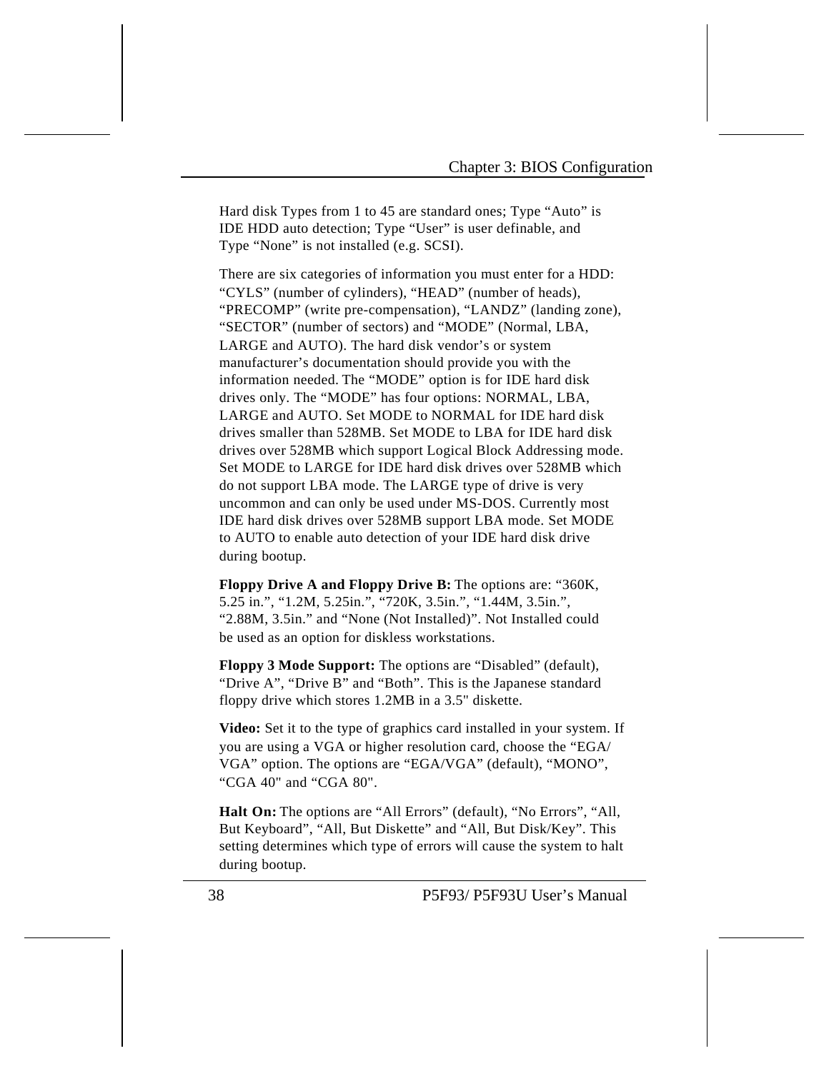Hard disk Types from 1 to 45 are standard ones; Type "Auto" is IDE HDD auto detection; Type "User" is user definable, and Type "None" is not installed (e.g. SCSI).

There are six categories of information you must enter for a HDD: "CYLS" (number of cylinders), "HEAD" (number of heads), "PRECOMP" (write pre-compensation), "LANDZ" (landing zone), "SECTOR" (number of sectors) and "MODE" (Normal, LBA, LARGE and AUTO). The hard disk vendor's or system manufacturer's documentation should provide you with the information needed. The "MODE" option is for IDE hard disk drives only. The "MODE" has four options: NORMAL, LBA, LARGE and AUTO. Set MODE to NORMAL for IDE hard disk drives smaller than 528MB. Set MODE to LBA for IDE hard disk drives over 528MB which support Logical Block Addressing mode. Set MODE to LARGE for IDE hard disk drives over 528MB which do not support LBA mode. The LARGE type of drive is very uncommon and can only be used under MS-DOS. Currently most IDE hard disk drives over 528MB support LBA mode. Set MODE to AUTO to enable auto detection of your IDE hard disk drive during bootup.

**Floppy Drive A and Floppy Drive B:** The options are: "360K, 5.25 in.", "1.2M, 5.25in.", "720K, 3.5in.", "1.44M, 3.5in.", "2.88M, 3.5in." and "None (Not Installed)". Not Installed could be used as an option for diskless workstations.

**Floppy 3 Mode Support:** The options are "Disabled" (default), "Drive A", "Drive B" and "Both". This is the Japanese standard floppy drive which stores 1.2MB in a 3.5" diskette.

**Video:** Set it to the type of graphics card installed in your system. If you are using a VGA or higher resolution card, choose the "EGA/ VGA" option. The options are "EGA/VGA" (default), "MONO", "CGA 40" and "CGA 80".

**Halt On:** The options are "All Errors" (default), "No Errors", "All, But Keyboard", "All, But Diskette" and "All, But Disk/Key". This setting determines which type of errors will cause the system to halt during bootup.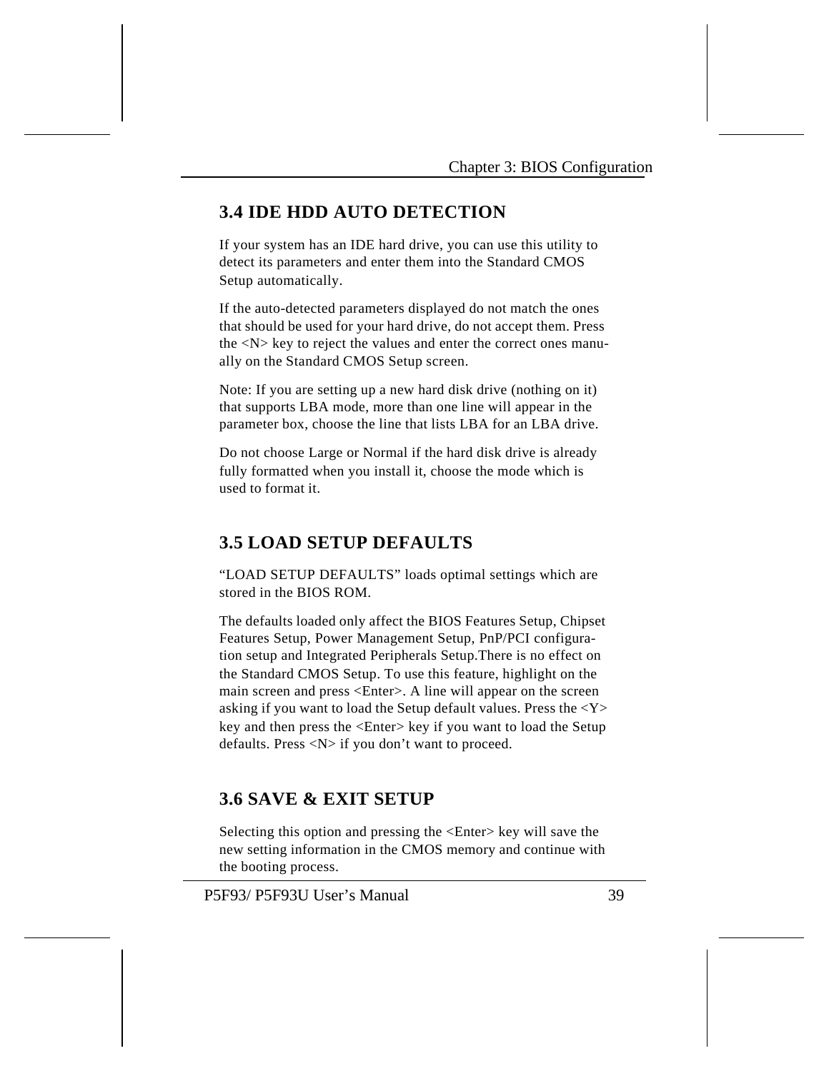## **3.4 IDE HDD AUTO DETECTION**

If your system has an IDE hard drive, you can use this utility to detect its parameters and enter them into the Standard CMOS Setup automatically.

If the auto-detected parameters displayed do not match the ones that should be used for your hard drive, do not accept them. Press the <N> key to reject the values and enter the correct ones manually on the Standard CMOS Setup screen.

Note: If you are setting up a new hard disk drive (nothing on it) that supports LBA mode, more than one line will appear in the parameter box, choose the line that lists LBA for an LBA drive.

Do not choose Large or Normal if the hard disk drive is already fully formatted when you install it, choose the mode which is used to format it.

# **3.5 LOAD SETUP DEFAULTS**

"LOAD SETUP DEFAULTS" loads optimal settings which are stored in the BIOS ROM.

The defaults loaded only affect the BIOS Features Setup, Chipset Features Setup, Power Management Setup, PnP/PCI configuration setup and Integrated Peripherals Setup.There is no effect on the Standard CMOS Setup. To use this feature, highlight on the main screen and press <Enter>. A line will appear on the screen asking if you want to load the Setup default values. Press the <Y> key and then press the <Enter> key if you want to load the Setup defaults. Press <N> if you don't want to proceed.

# **3.6 SAVE & EXIT SETUP**

Selecting this option and pressing the <Enter> key will save the new setting information in the CMOS memory and continue with the booting process.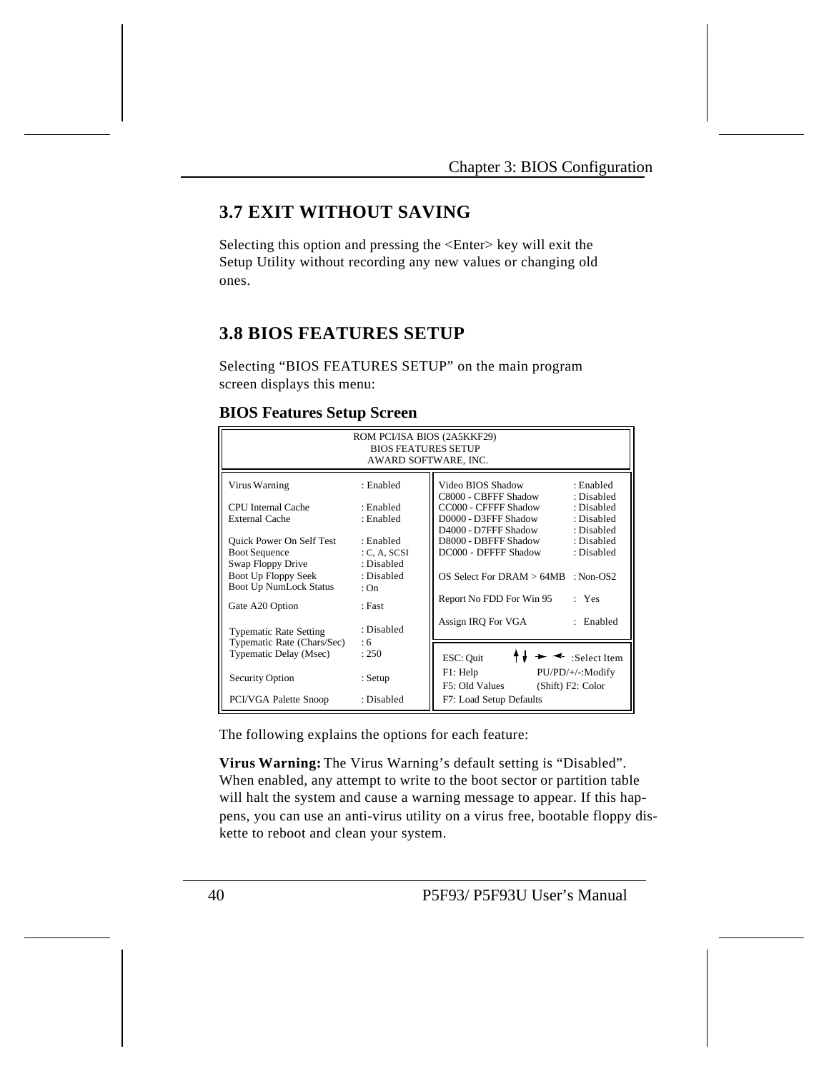# **3.7 EXIT WITHOUT SAVING**

Selecting this option and pressing the <Enter> key will exit the Setup Utility without recording any new values or changing old ones.

# **3.8 BIOS FEATURES SETUP**

Selecting "BIOS FEATURES SETUP" on the main program screen displays this menu:

### **BIOS Features Setup Screen**

|                                                                           | ROM PCI/ISA BIOS (2A5KKF29)<br><b>BIOS FEATURES SETUP</b><br>AWARD SOFTWARE, INC. |                                                                                                                |
|---------------------------------------------------------------------------|-----------------------------------------------------------------------------------|----------------------------------------------------------------------------------------------------------------|
| Virus Warning                                                             | : Enabled                                                                         | Video BIOS Shadow<br>: Enabled<br>C8000 - CBFFF Shadow<br>· Disabled                                           |
| <b>CPU</b> Internal Cache<br>External Cache                               | : Enabled<br>: Enabled                                                            | CC000 - CFFFF Shadow<br>: Disabled<br>D0000 - D3FFF Shadow<br>: Disabled<br>D4000 - D7FFF Shadow<br>: Disabled |
| <b>Ouick Power On Self Test</b><br><b>Boot Sequence</b>                   | : Enabled<br>C, A, SCSI                                                           | D8000 - DBFFF Shadow<br>: Disabled<br>DC000 - DFFFF Shadow<br>: Disabled                                       |
| Swap Floppy Drive<br>Boot Up Floppy Seek<br><b>Boot Up NumLock Status</b> | : Disabled<br>: Disabled<br>$\cdot$ On                                            | $OS$ Select For DRAM $> 64MB$<br>: $Non-OS2$                                                                   |
| Gate A20 Option                                                           | : Fast                                                                            | Report No FDD For Win 95<br>Yes                                                                                |
| <b>Typematic Rate Setting</b>                                             | : Disabled<br>:6                                                                  | : Enabled<br>Assign IRQ For VGA                                                                                |
| Typematic Rate (Chars/Sec)<br>Typematic Delay (Msec)                      | : 250                                                                             | $\rightarrow \rightarrow$ :Select Item<br>ESC: Quit                                                            |
| Security Option                                                           | : Setup                                                                           | F1: Help<br>PU/PD/+/-:Modify<br>F5: Old Values<br>(Shift) F2: Color                                            |
| PCI/VGA Palette Snoop                                                     | : Disabled                                                                        | F7: Load Setup Defaults                                                                                        |

The following explains the options for each feature:

**Virus Warning:** The Virus Warning's default setting is "Disabled". When enabled, any attempt to write to the boot sector or partition table will halt the system and cause a warning message to appear. If this happens, you can use an anti-virus utility on a virus free, bootable floppy diskette to reboot and clean your system.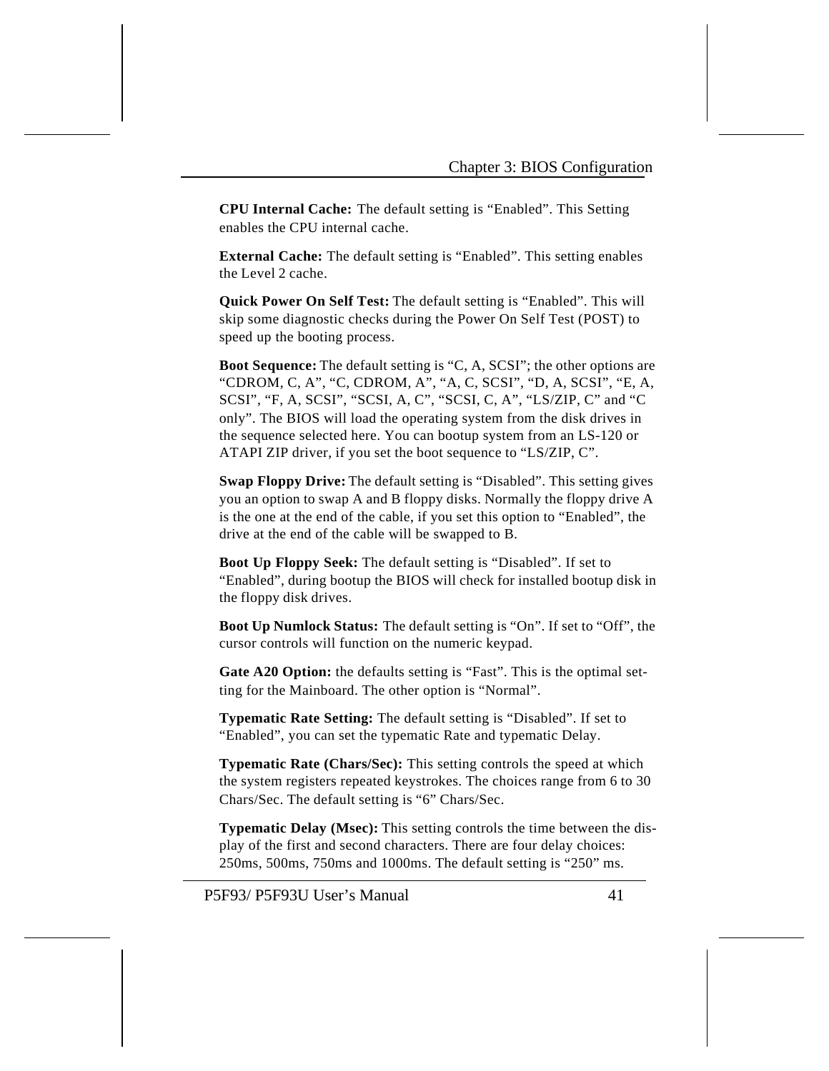**CPU Internal Cache:** The default setting is "Enabled". This Setting enables the CPU internal cache.

**External Cache:** The default setting is "Enabled". This setting enables the Level 2 cache.

**Quick Power On Self Test:** The default setting is "Enabled". This will skip some diagnostic checks during the Power On Self Test (POST) to speed up the booting process.

**Boot Sequence:** The default setting is "C, A, SCSI"; the other options are "CDROM, C, A", "C, CDROM, A", "A, C, SCSI", "D, A, SCSI", "E, A, SCSI", "F, A, SCSI", "SCSI, A, C", "SCSI, C, A", "LS/ZIP, C" and "C only". The BIOS will load the operating system from the disk drives in the sequence selected here. You can bootup system from an LS-120 or ATAPI ZIP driver, if you set the boot sequence to "LS/ZIP, C".

**Swap Floppy Drive:** The default setting is "Disabled". This setting gives you an option to swap A and B floppy disks. Normally the floppy drive A is the one at the end of the cable, if you set this option to "Enabled", the drive at the end of the cable will be swapped to B.

**Boot Up Floppy Seek:** The default setting is "Disabled". If set to "Enabled", during bootup the BIOS will check for installed bootup disk in the floppy disk drives.

**Boot Up Numlock Status:** The default setting is "On". If set to "Off", the cursor controls will function on the numeric keypad.

**Gate A20 Option:** the defaults setting is "Fast". This is the optimal setting for the Mainboard. The other option is "Normal".

**Typematic Rate Setting:** The default setting is "Disabled". If set to "Enabled", you can set the typematic Rate and typematic Delay.

**Typematic Rate (Chars/Sec):** This setting controls the speed at which the system registers repeated keystrokes. The choices range from 6 to 30 Chars/Sec. The default setting is "6" Chars/Sec.

**Typematic Delay (Msec):** This setting controls the time between the display of the first and second characters. There are four delay choices: 250ms, 500ms, 750ms and 1000ms. The default setting is "250" ms.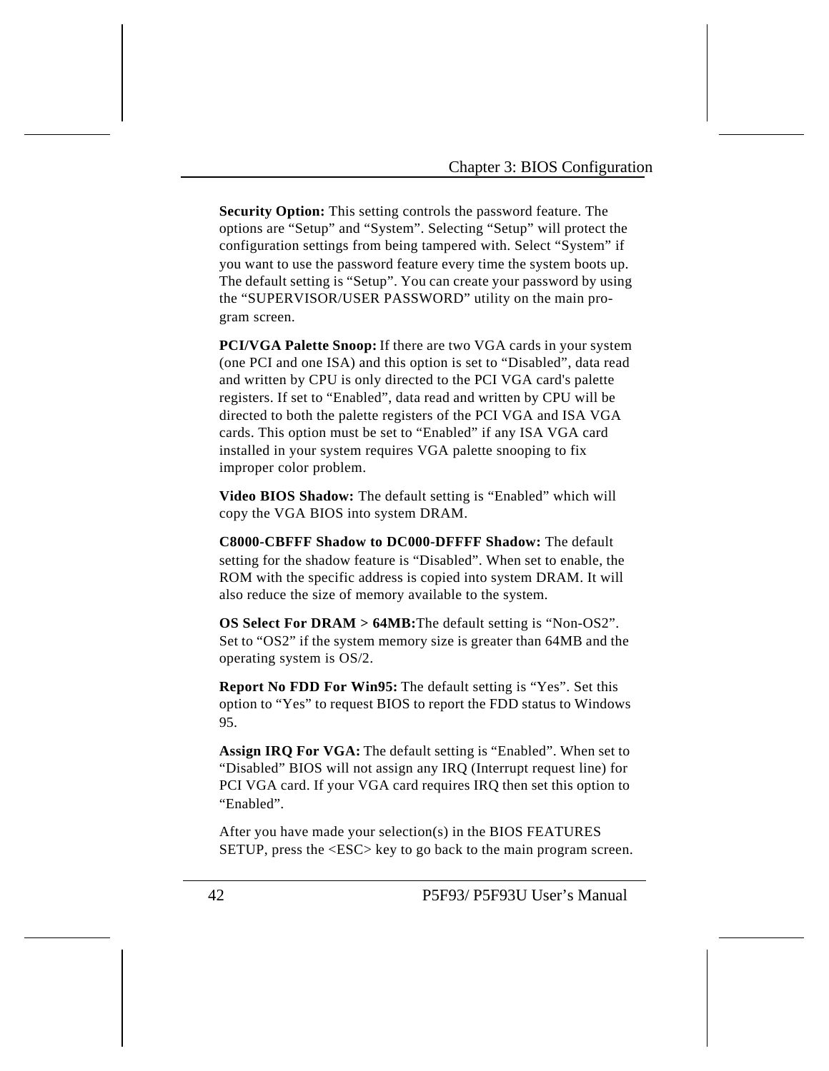**Security Option:** This setting controls the password feature. The options are "Setup" and "System". Selecting "Setup" will protect the configuration settings from being tampered with. Select "System" if you want to use the password feature every time the system boots up. The default setting is "Setup". You can create your password by using the "SUPERVISOR/USER PASSWORD" utility on the main program screen.

**PCI/VGA Palette Snoop:** If there are two VGA cards in your system (one PCI and one ISA) and this option is set to "Disabled", data read and written by CPU is only directed to the PCI VGA card's palette registers. If set to "Enabled", data read and written by CPU will be directed to both the palette registers of the PCI VGA and ISA VGA cards. This option must be set to "Enabled" if any ISA VGA card installed in your system requires VGA palette snooping to fix improper color problem.

**Video BIOS Shadow:** The default setting is "Enabled" which will copy the VGA BIOS into system DRAM.

**C8000-CBFFF Shadow to DC000-DFFFF Shadow:** The default setting for the shadow feature is "Disabled". When set to enable, the ROM with the specific address is copied into system DRAM. It will also reduce the size of memory available to the system.

**OS Select For DRAM > 64MB:**The default setting is "Non-OS2". Set to "OS2" if the system memory size is greater than 64MB and the operating system is OS/2.

**Report No FDD For Win95:** The default setting is "Yes". Set this option to "Yes" to request BIOS to report the FDD status to Windows 95.

Assign IRQ For VGA: The default setting is "Enabled". When set to "Disabled" BIOS will not assign any IRQ (Interrupt request line) for PCI VGA card. If your VGA card requires IRQ then set this option to "Enabled".

After you have made your selection(s) in the BIOS FEATURES SETUP, press the <ESC> key to go back to the main program screen.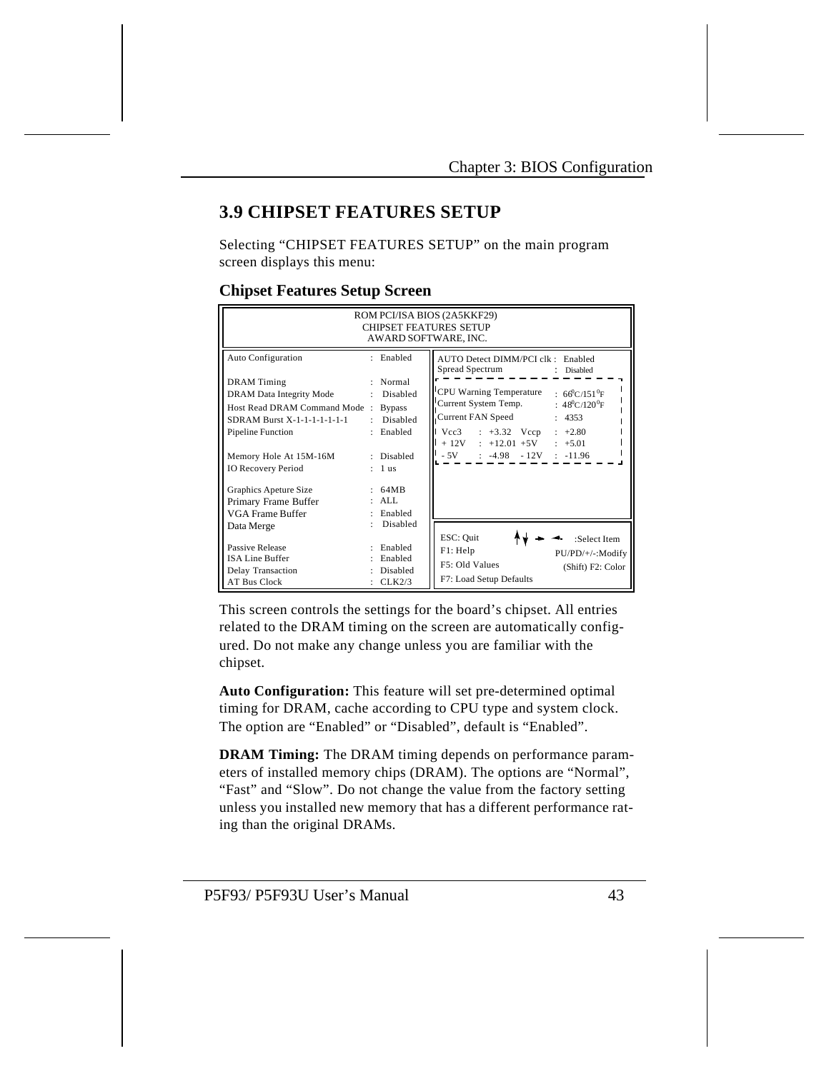# **3.9 CHIPSET FEATURES SETUP**

Selecting "CHIPSET FEATURES SETUP" on the main program screen displays this menu:

### **Chipset Features Setup Screen**

|                                                                                                                                                                                                                                                                                                    | AWARD SOFTWARE, INC.                                                                                                                            | ROM PCI/ISA BIOS (2A5KKF29)<br><b>CHIPSET FEATURES SETUP</b>                                                                                                                                                                                                                                                                         |
|----------------------------------------------------------------------------------------------------------------------------------------------------------------------------------------------------------------------------------------------------------------------------------------------------|-------------------------------------------------------------------------------------------------------------------------------------------------|--------------------------------------------------------------------------------------------------------------------------------------------------------------------------------------------------------------------------------------------------------------------------------------------------------------------------------------|
| <b>Auto Configuration</b><br><b>DRAM</b> Timing<br>DRAM Data Integrity Mode<br>Host Read DRAM Command Mode:<br>SDRAM Burst X-1-1-1-1-1-1-1<br><b>Pipeline Function</b><br>Memory Hole At 15M-16M<br><b>IO Recovery Period</b><br>Graphics Apeture Size<br>Primary Frame Buffer<br>VGA Frame Buffer | : Enabled<br>: Normal<br>Disabled<br><b>Bypass</b><br>Disabled<br>$\bullet$<br>: Enabled<br>: Disabled<br>$: 1$ us<br>64MB<br>: ALI.<br>Enabled | AUTO Detect DIMM/PCI clk : Enabled<br>Spread Spectrum<br>: Disabled<br>CPU Warning Temperature : $66^{\circ}$ C/151 <sup>°</sup> F<br>Current System Temp. : 48 <sup>0</sup> C/120 <sup>0</sup> F<br>Current FAN Speed<br>: 4353<br>$Vcc3$ : +3.32 Vccp : +2.80<br>$+ 12V : +12.01 +5V : +5.01$<br>$-5V$ : $-4.98$ $-12V$ : $-11.96$ |
| Data Merge<br>Passive Release<br><b>ISA Line Buffer</b><br>Delay Transaction<br><b>AT Bus Clock</b>                                                                                                                                                                                                | Disabled<br>Enabled<br>Enabled<br>Disabled<br>CLK2/3                                                                                            | ESC: Quit<br>:Select Item<br>F1: Help<br>PU/PD/+/-:Modify<br>F5: Old Values<br>(Shift) F2: Color<br>F7: Load Setup Defaults                                                                                                                                                                                                          |

This screen controls the settings for the board's chipset. All entries related to the DRAM timing on the screen are automatically configured. Do not make any change unless you are familiar with the chipset.

**Auto Configuration:** This feature will set pre-determined optimal timing for DRAM, cache according to CPU type and system clock. The option are "Enabled" or "Disabled", default is "Enabled".

**DRAM Timing:** The DRAM timing depends on performance parameters of installed memory chips (DRAM). The options are "Normal", "Fast" and "Slow". Do not change the value from the factory setting unless you installed new memory that has a different performance rating than the original DRAMs.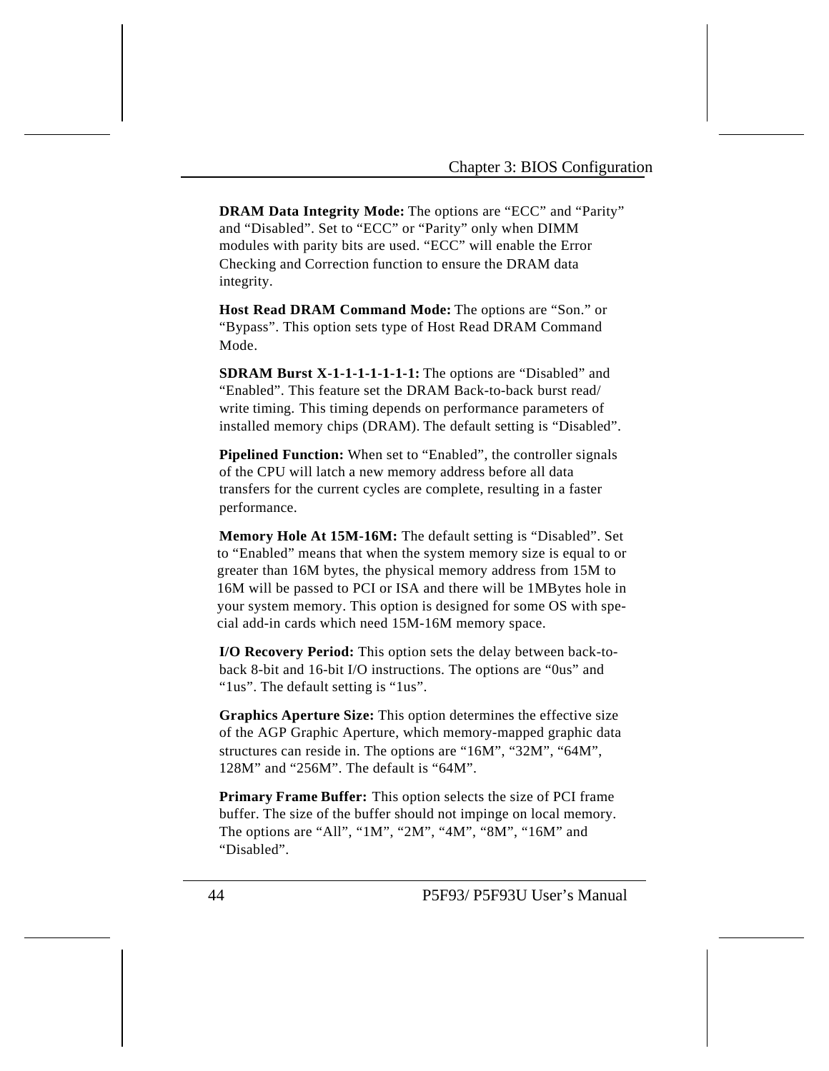**DRAM Data Integrity Mode:** The options are "ECC" and "Parity" and "Disabled". Set to "ECC" or "Parity" only when DIMM modules with parity bits are used. "ECC" will enable the Error Checking and Correction function to ensure the DRAM data integrity.

**Host Read DRAM Command Mode:** The options are "Son." or "Bypass". This option sets type of Host Read DRAM Command Mode.

**SDRAM Burst X-1-1-1-1-1-1-1:** The options are "Disabled" and "Enabled". This feature set the DRAM Back-to-back burst read/ write timing. This timing depends on performance parameters of installed memory chips (DRAM). The default setting is "Disabled".

**Pipelined Function:** When set to "Enabled", the controller signals of the CPU will latch a new memory address before all data transfers for the current cycles are complete, resulting in a faster performance.

**Memory Hole At 15M-16M:** The default setting is "Disabled". Set to "Enabled" means that when the system memory size is equal to or greater than 16M bytes, the physical memory address from 15M to 16M will be passed to PCI or ISA and there will be 1MBytes hole in your system memory. This option is designed for some OS with special add-in cards which need 15M-16M memory space.

**I/O Recovery Period:** This option sets the delay between back-toback 8-bit and 16-bit I/O instructions. The options are "0us" and "1us". The default setting is "1us".

**Graphics Aperture Size:** This option determines the effective size of the AGP Graphic Aperture, which memory-mapped graphic data structures can reside in. The options are "16M", "32M", "64M", 128M" and "256M". The default is "64M".

**Primary Frame Buffer:** This option selects the size of PCI frame buffer. The size of the buffer should not impinge on local memory. The options are "All", "1M", "2M", "4M", "8M", "16M" and "Disabled".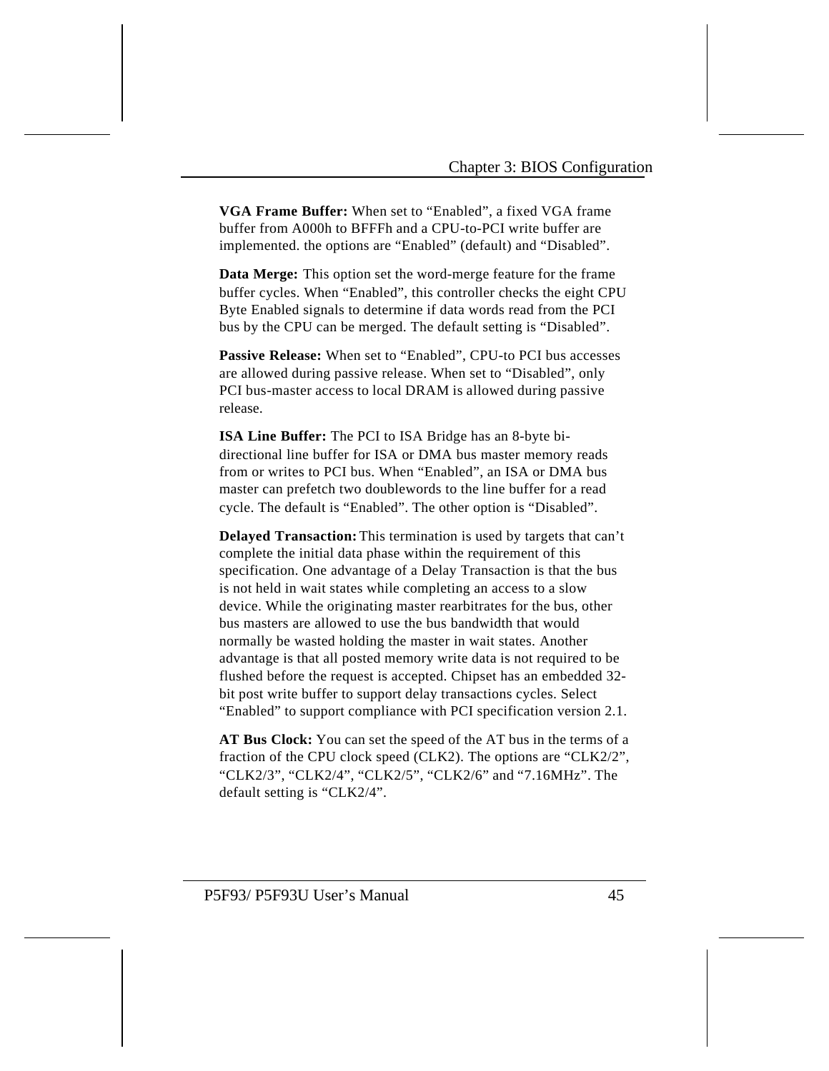**VGA Frame Buffer:** When set to "Enabled", a fixed VGA frame buffer from A000h to BFFFh and a CPU-to-PCI write buffer are implemented. the options are "Enabled" (default) and "Disabled".

**Data Merge:** This option set the word-merge feature for the frame buffer cycles. When "Enabled", this controller checks the eight CPU Byte Enabled signals to determine if data words read from the PCI bus by the CPU can be merged. The default setting is "Disabled".

**Passive Release:** When set to "Enabled", CPU-to PCI bus accesses are allowed during passive release. When set to "Disabled", only PCI bus-master access to local DRAM is allowed during passive release.

**ISA Line Buffer:** The PCI to ISA Bridge has an 8-byte bidirectional line buffer for ISA or DMA bus master memory reads from or writes to PCI bus. When "Enabled", an ISA or DMA bus master can prefetch two doublewords to the line buffer for a read cycle. The default is "Enabled". The other option is "Disabled".

**Delayed Transaction:** This termination is used by targets that can't complete the initial data phase within the requirement of this specification. One advantage of a Delay Transaction is that the bus is not held in wait states while completing an access to a slow device. While the originating master rearbitrates for the bus, other bus masters are allowed to use the bus bandwidth that would normally be wasted holding the master in wait states. Another advantage is that all posted memory write data is not required to be flushed before the request is accepted. Chipset has an embedded 32 bit post write buffer to support delay transactions cycles. Select "Enabled" to support compliance with PCI specification version 2.1.

**AT Bus Clock:** You can set the speed of the AT bus in the terms of a fraction of the CPU clock speed (CLK2). The options are "CLK2/2", "CLK2/3", "CLK2/4", "CLK2/5", "CLK2/6" and "7.16MHz". The default setting is "CLK2/4".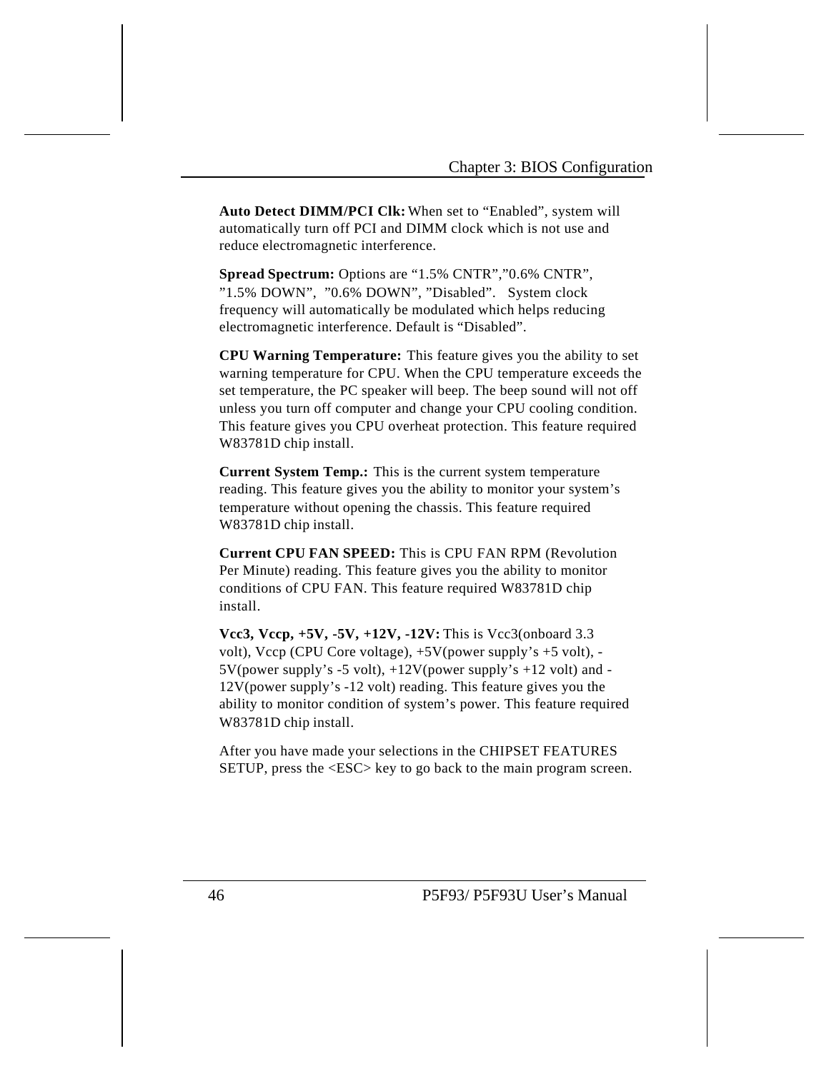**Auto Detect DIMM/PCI Clk:** When set to "Enabled", system will automatically turn off PCI and DIMM clock which is not use and reduce electromagnetic interference.

**Spread Spectrum:** Options are "1.5% CNTR","0.6% CNTR", "1.5% DOWN", "0.6% DOWN", "Disabled". System clock frequency will automatically be modulated which helps reducing electromagnetic interference. Default is "Disabled".

**CPU Warning Temperature:** This feature gives you the ability to set warning temperature for CPU. When the CPU temperature exceeds the set temperature, the PC speaker will beep. The beep sound will not off unless you turn off computer and change your CPU cooling condition. This feature gives you CPU overheat protection. This feature required W83781D chip install.

**Current System Temp.:** This is the current system temperature reading. This feature gives you the ability to monitor your system's temperature without opening the chassis. This feature required W83781D chip install.

**Current CPU FAN SPEED:** This is CPU FAN RPM (Revolution Per Minute) reading. This feature gives you the ability to monitor conditions of CPU FAN. This feature required W83781D chip install.

**Vcc3, Vccp, +5V, -5V, +12V, -12V:** This is Vcc3(onboard 3.3 volt), Vccp (CPU Core voltage), +5V(power supply's +5 volt), - 5V(power supply's -5 volt), +12V(power supply's +12 volt) and - 12V(power supply's -12 volt) reading. This feature gives you the ability to monitor condition of system's power. This feature required W83781D chip install.

After you have made your selections in the CHIPSET FEATURES SETUP, press the <ESC> key to go back to the main program screen.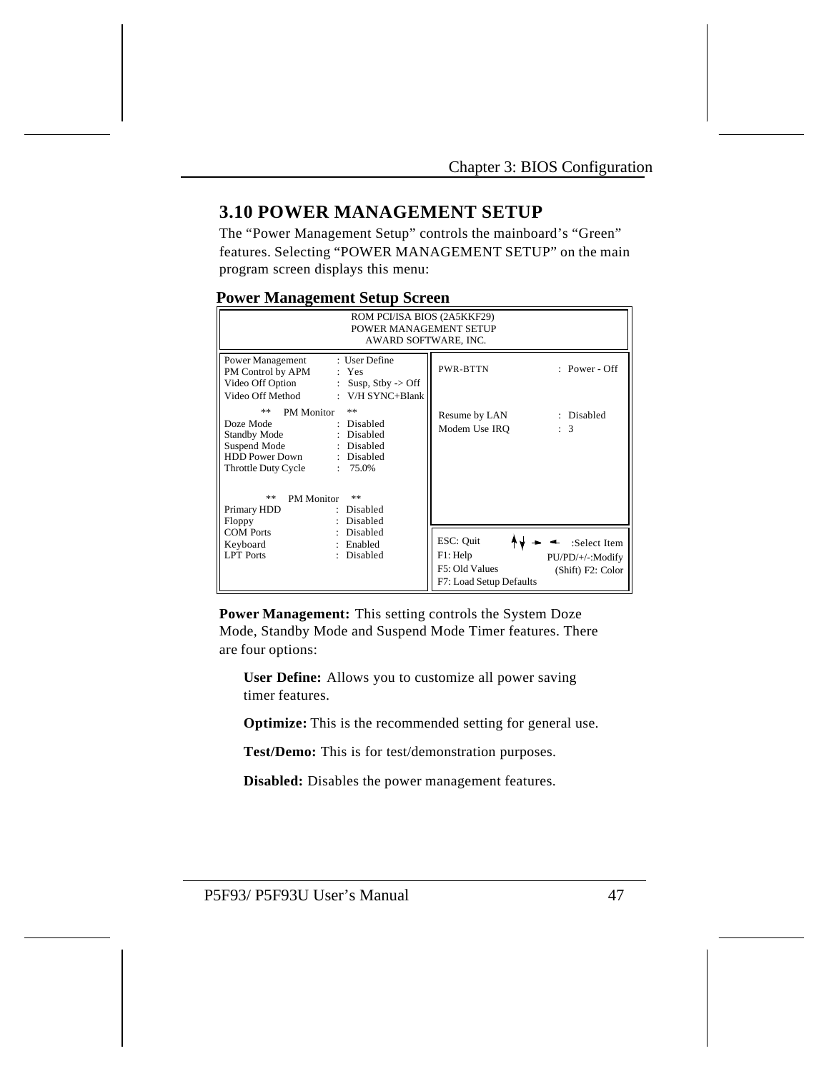# **3.10 POWER MANAGEMENT SETUP**

The "Power Management Setup" controls the mainboard's "Green" features. Selecting "POWER MANAGEMENT SETUP" on the main program screen displays this menu:

### **Power Management Setup Screen**

| ROM PCI/ISA BIOS (2A5KKF29)<br>POWER MANAGEMENT SETUP<br>AWARD SOFTWARE, INC.                                                                                                                                                                                                      |                                                                                                                             |
|------------------------------------------------------------------------------------------------------------------------------------------------------------------------------------------------------------------------------------------------------------------------------------|-----------------------------------------------------------------------------------------------------------------------------|
| : User Define<br>Power Management<br>PM Control by APM<br>: Yes<br>Video Off Option<br>Susp, $Stby$ -> Off<br>÷.<br>Video Off Method<br>: $V/H$ SYNC+Blank                                                                                                                         | $: Power - Off$<br>PWR-BTTN                                                                                                 |
| **<br>**<br><b>PM</b> Monitor<br>Doze Mode<br>: Disabled<br>Standby Mode<br>: Disabled<br>Suspend Mode<br>: Disabled<br><b>HDD Power Down</b><br>: Disabled<br>Throttle Duty Cycle<br>$: 75.0\%$<br>**<br>**<br><b>PM</b> Monitor<br>Primary HDD<br>Disabled<br>Disabled<br>Floppy | : Disabled<br>Resume by LAN<br>Modem Use IRO<br>: 3                                                                         |
| <b>COM Ports</b><br>Disabled<br>: Enabled<br>Keyboard<br><b>LPT</b> Ports<br>Disabled                                                                                                                                                                                              | ESC: Quit<br>:Select Item<br>F1: Help<br>PU/PD/+/-:Modify<br>F5: Old Values<br>(Shift) F2: Color<br>F7: Load Setup Defaults |

**Power Management:** This setting controls the System Doze Mode, Standby Mode and Suspend Mode Timer features. There are four options:

**User Define:** Allows you to customize all power saving timer features.

**Optimize:** This is the recommended setting for general use.

**Test/Demo:** This is for test/demonstration purposes.

**Disabled:** Disables the power management features.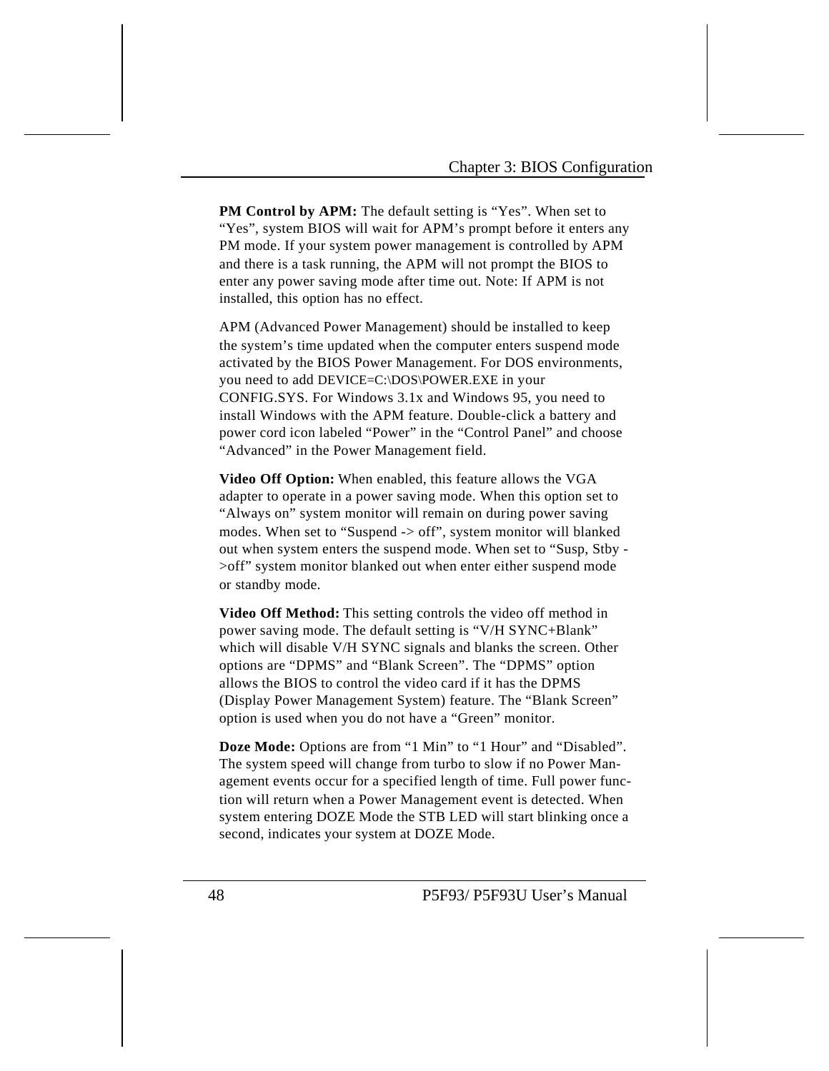**PM Control by APM:** The default setting is "Yes". When set to "Yes", system BIOS will wait for APM's prompt before it enters any PM mode. If your system power management is controlled by APM and there is a task running, the APM will not prompt the BIOS to enter any power saving mode after time out. Note: If APM is not installed, this option has no effect.

APM (Advanced Power Management) should be installed to keep the system's time updated when the computer enters suspend mode activated by the BIOS Power Management. For DOS environments, you need to add DEVICE=C:\DOS\POWER.EXE in your CONFIG.SYS. For Windows 3.1x and Windows 95, you need to install Windows with the APM feature. Double-click a battery and power cord icon labeled "Power" in the "Control Panel" and choose "Advanced" in the Power Management field.

**Video Off Option:** When enabled, this feature allows the VGA adapter to operate in a power saving mode. When this option set to "Always on" system monitor will remain on during power saving modes. When set to "Suspend -> off", system monitor will blanked out when system enters the suspend mode. When set to "Susp, Stby - >off" system monitor blanked out when enter either suspend mode or standby mode.

**Video Off Method:** This setting controls the video off method in power saving mode. The default setting is "V/H SYNC+Blank" which will disable V/H SYNC signals and blanks the screen. Other options are "DPMS" and "Blank Screen". The "DPMS" option allows the BIOS to control the video card if it has the DPMS (Display Power Management System) feature. The "Blank Screen" option is used when you do not have a "Green" monitor.

**Doze Mode:** Options are from "1 Min" to "1 Hour" and "Disabled". The system speed will change from turbo to slow if no Power Management events occur for a specified length of time. Full power function will return when a Power Management event is detected. When system entering DOZE Mode the STB LED will start blinking once a second, indicates your system at DOZE Mode.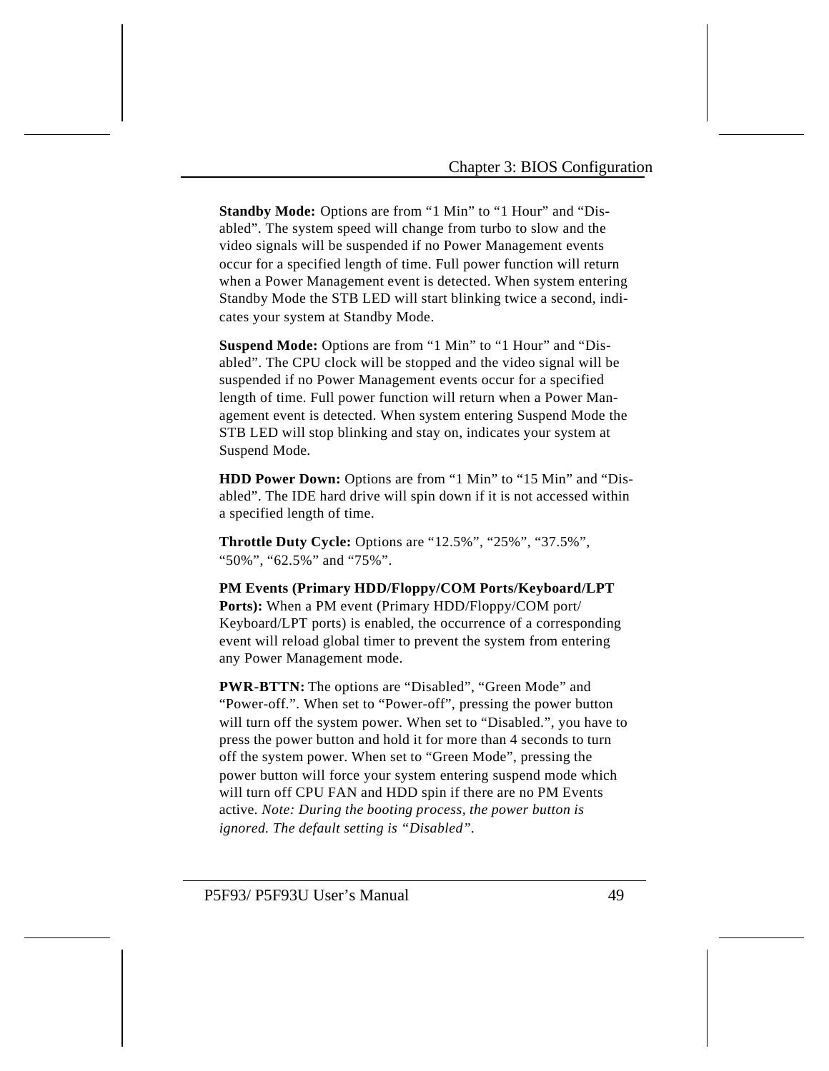**Standby Mode:** Options are from "1 Min" to "1 Hour" and "Disabled". The system speed will change from turbo to slow and the video signals will be suspended if no Power Management events occur for a specified length of time. Full power function will return when a Power Management event is detected. When system entering Standby Mode the STB LED will start blinking twice a second, indicates your system at Standby Mode.

**Suspend Mode:** Options are from "1 Min" to "1 Hour" and "Disabled". The CPU clock will be stopped and the video signal will be suspended if no Power Management events occur for a specified length of time. Full power function will return when a Power Management event is detected. When system entering Suspend Mode the STB LED will stop blinking and stay on, indicates your system at Suspend Mode.

**HDD Power Down:** Options are from "1 Min" to "15 Min" and "Disabled". The IDE hard drive will spin down if it is not accessed within a specified length of time.

**Throttle Duty Cycle:** Options are "12.5%", "25%", "37.5%", "50%", "62.5%" and "75%".

**PM Events (Primary HDD/Floppy/COM Ports/Keyboard/LPT Ports):** When a PM event (Primary HDD/Floppy/COM port/ Keyboard/LPT ports) is enabled, the occurrence of a corresponding event will reload global timer to prevent the system from entering any Power Management mode.

**PWR-BTTN:** The options are "Disabled", "Green Mode" and "Power-off.". When set to "Power-off", pressing the power button will turn off the system power. When set to "Disabled.", you have to press the power button and hold it for more than 4 seconds to turn off the system power. When set to "Green Mode", pressing the power button will force your system entering suspend mode which will turn off CPU FAN and HDD spin if there are no PM Events active. *Note: During the booting process, the power button is ignored. The default setting is "Disabled".*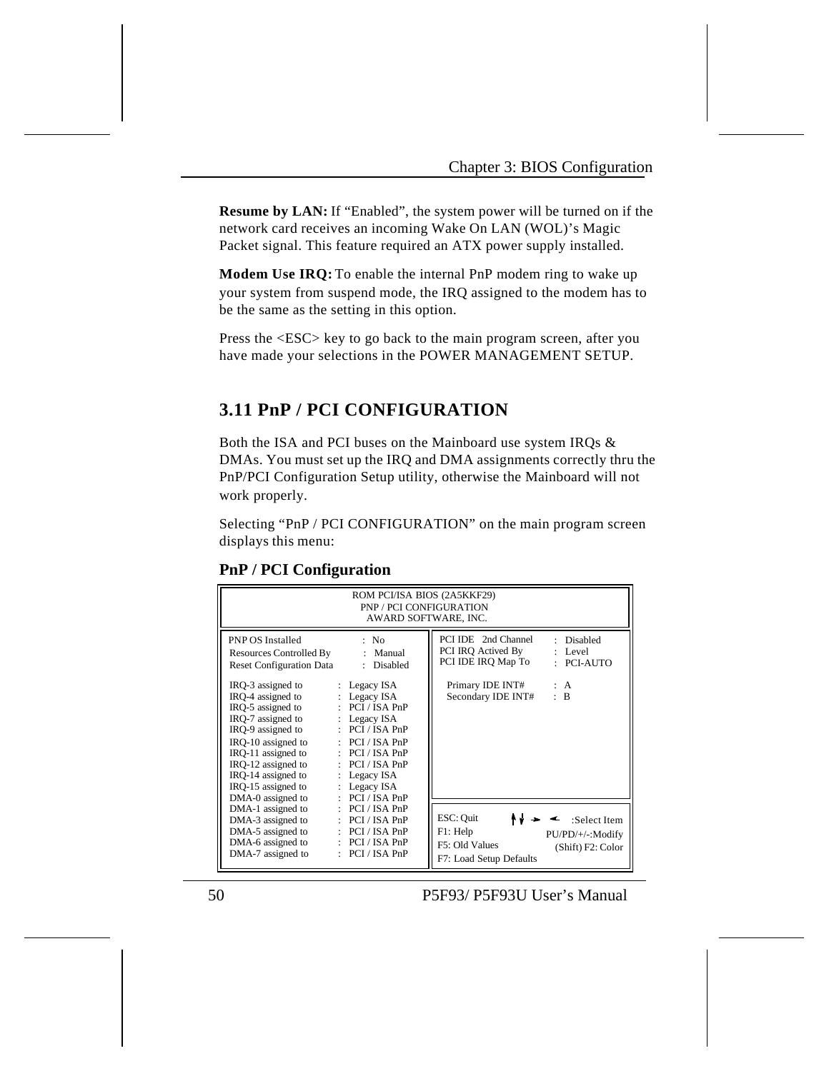**Resume by LAN:** If "Enabled", the system power will be turned on if the network card receives an incoming Wake On LAN (WOL)'s Magic Packet signal. This feature required an ATX power supply installed.

**Modem Use IRQ:** To enable the internal PnP modem ring to wake up your system from suspend mode, the IRQ assigned to the modem has to be the same as the setting in this option.

Press the <ESC> key to go back to the main program screen, after you have made your selections in the POWER MANAGEMENT SETUP.

# **3.11 PnP / PCI CONFIGURATION**

Both the ISA and PCI buses on the Mainboard use system IRQs & DMAs. You must set up the IRQ and DMA assignments correctly thru the PnP/PCI Configuration Setup utility, otherwise the Mainboard will not work properly.

Selecting "PnP / PCI CONFIGURATION" on the main program screen displays this menu:

|                                                                                                | ROM PCI/ISA BIOS (2A5KKF29)<br>PNP / PCI CONFIGURATION<br>AWARD SOFTWARE, INC. |                                                                                                          |
|------------------------------------------------------------------------------------------------|--------------------------------------------------------------------------------|----------------------------------------------------------------------------------------------------------|
| <b>PNP OS Installed</b><br>Resources Controlled By : Manual<br><b>Reset Configuration Data</b> | $\therefore$ No.<br>: Disabled                                                 | PCI IDE 2nd Channel<br>: Disabled<br>PCI IRQ Actived By<br>$:$ Level<br>PCI IDE IRQ Map To<br>: PCI-AUTO |
| IRQ-3 assigned to                                                                              | $\therefore$ Legacy ISA                                                        | Primary IDE INT#<br>: A                                                                                  |
| IRQ-4 assigned to                                                                              | : Legacy ISA                                                                   | : B<br>Secondary IDE INT#                                                                                |
| IRO-5 assigned to                                                                              | $\therefore$ PCI / ISA PnP                                                     |                                                                                                          |
| IRQ-7 assigned to<br>IRQ-9 assigned to                                                         | $\therefore$ Legacy ISA<br>$:$ PCI / ISA PnP                                   |                                                                                                          |
| IRQ-10 assigned to                                                                             | $\therefore$ PCI / ISA PnP                                                     |                                                                                                          |
| IRO-11 assigned to                                                                             | $\therefore$ PCI / ISA PnP                                                     |                                                                                                          |
| IRQ-12 assigned to                                                                             | $\therefore$ PCI / ISA PnP                                                     |                                                                                                          |
| IRO-14 assigned to                                                                             | $\therefore$ Legacy ISA                                                        |                                                                                                          |
| IRQ-15 assigned to                                                                             | $\therefore$ Legacy ISA                                                        |                                                                                                          |
| DMA-0 assigned to                                                                              | $:$ PCI / ISA PnP                                                              |                                                                                                          |
| DMA-1 assigned to                                                                              | $\therefore$ PCI / ISA PnP                                                     |                                                                                                          |
| DMA-3 assigned to                                                                              | $\therefore$ PCI / ISA PnP                                                     | ESC: Quit<br>$\leq$ :Select Item                                                                         |
| DMA-5 assigned to                                                                              | $\therefore$ PCI / ISA PnP                                                     | F1: Help<br>PU/PD/+/-:Modify                                                                             |
| DMA-6 assigned to                                                                              | $\therefore$ PCI / ISA PnP                                                     | F5: Old Values<br>(Shift) F2: Color                                                                      |
| DMA-7 assigned to                                                                              | $:$ PCI / ISA PnP                                                              | F7: Load Setup Defaults                                                                                  |

**PnP / PCI Configuration**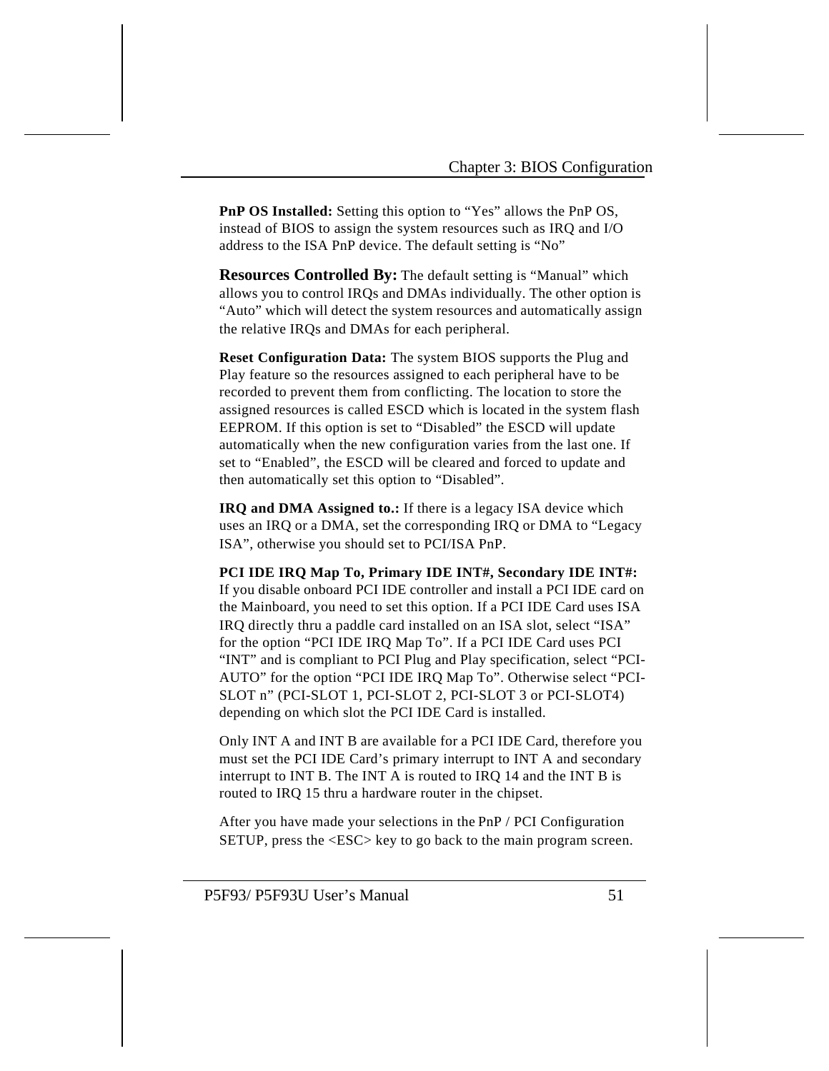**PnP OS Installed:** Setting this option to "Yes" allows the PnP OS, instead of BIOS to assign the system resources such as IRQ and I/O address to the ISA PnP device. The default setting is "No"

**Resources Controlled By:** The default setting is "Manual" which allows you to control IRQs and DMAs individually. The other option is "Auto" which will detect the system resources and automatically assign the relative IRQs and DMAs for each peripheral.

**Reset Configuration Data:** The system BIOS supports the Plug and Play feature so the resources assigned to each peripheral have to be recorded to prevent them from conflicting. The location to store the assigned resources is called ESCD which is located in the system flash EEPROM. If this option is set to "Disabled" the ESCD will update automatically when the new configuration varies from the last one. If set to "Enabled", the ESCD will be cleared and forced to update and then automatically set this option to "Disabled".

**IRQ and DMA Assigned to.:** If there is a legacy ISA device which uses an IRQ or a DMA, set the corresponding IRQ or DMA to "Legacy ISA", otherwise you should set to PCI/ISA PnP.

**PCI IDE IRQ Map To, Primary IDE INT#, Secondary IDE INT#:**  If you disable onboard PCI IDE controller and install a PCI IDE card on the Mainboard, you need to set this option. If a PCI IDE Card uses ISA IRQ directly thru a paddle card installed on an ISA slot, select "ISA" for the option "PCI IDE IRQ Map To". If a PCI IDE Card uses PCI "INT" and is compliant to PCI Plug and Play specification, select "PCI-AUTO" for the option "PCI IDE IRQ Map To". Otherwise select "PCI-SLOT n" (PCI-SLOT 1, PCI-SLOT 2, PCI-SLOT 3 or PCI-SLOT4) depending on which slot the PCI IDE Card is installed.

Only INT A and INT B are available for a PCI IDE Card, therefore you must set the PCI IDE Card's primary interrupt to INT A and secondary interrupt to INT B. The INT A is routed to IRQ 14 and the INT B is routed to IRQ 15 thru a hardware router in the chipset.

After you have made your selections in the PnP / PCI Configuration SETUP, press the <ESC> key to go back to the main program screen.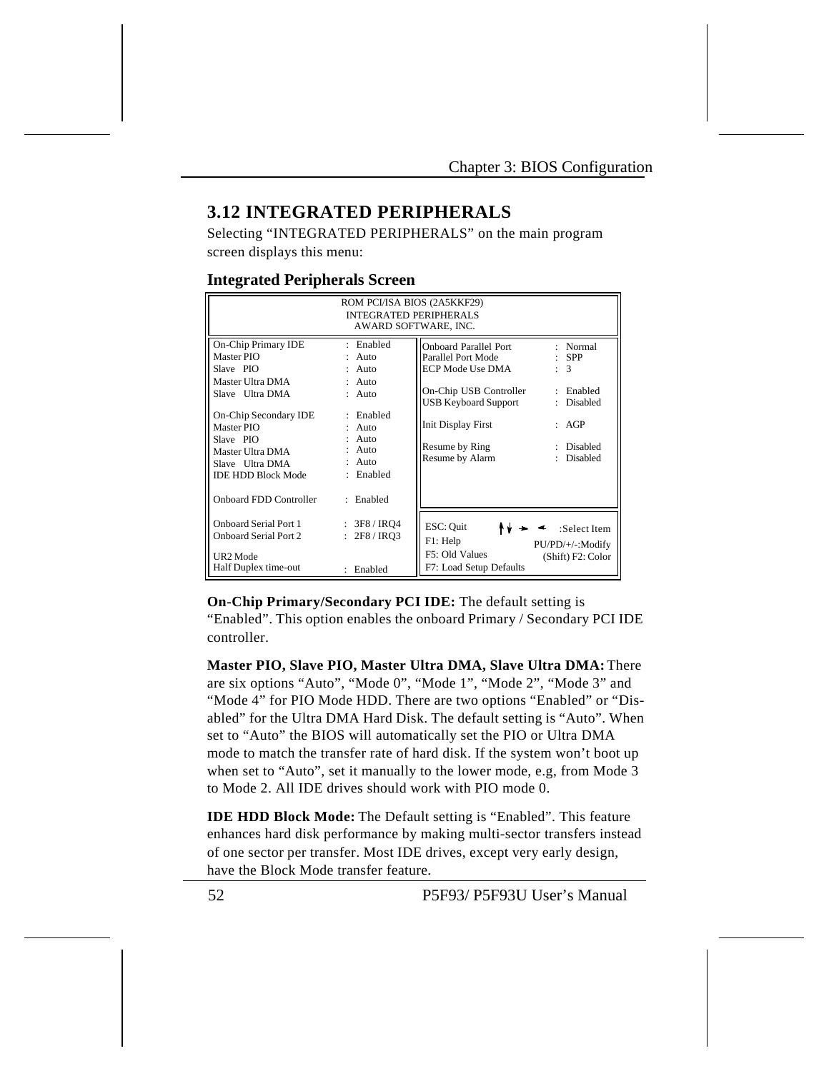### **3.12 INTEGRATED PERIPHERALS**

Selecting "INTEGRATED PERIPHERALS" on the main program screen displays this menu:

### **Integrated Peripherals Screen**

|                                                                                                                      | ROM PCI/ISA BIOS (2A5KKF29)<br><b>INTEGRATED PERIPHERALS</b><br>AWARD SOFTWARE, INC. |                                                                                                  |                                                       |
|----------------------------------------------------------------------------------------------------------------------|--------------------------------------------------------------------------------------|--------------------------------------------------------------------------------------------------|-------------------------------------------------------|
| On-Chip Primary IDE<br>Master PIO<br>Slave PIO<br>Master Ultra DMA<br>Slave Ultra DMA                                | : Enabled<br>Auto<br>$:$ Auto<br>$:$ Auto<br>$:$ Auto                                | <b>Onboard Parallel Port</b><br>Parallel Port Mode<br>ECP Mode Use DMA<br>On-Chip USB Controller | : Normal<br>$:$ SPP<br>$\mathcal{R}$<br>Enabled<br>÷  |
| On-Chip Secondary IDE<br>Master PIO<br>Slave PIO<br>Master Ultra DMA<br>Slave Ultra DMA<br><b>IDE HDD Block Mode</b> | · Enabled<br>Auto<br>Auto<br>Auto<br>Auto<br>: Enabled                               | USB Keyboard Support<br><b>Init Display First</b><br>Resume by Ring<br>Resume by Alarm           | Disabled<br>AGP<br>Disabled<br>٠<br>Disabled          |
| Onboard FDD Controller                                                                                               | : Enabled                                                                            |                                                                                                  |                                                       |
| <b>Onboard Serial Port 1</b><br><b>Onboard Serial Port 2</b><br>UR <sub>2</sub> Mode                                 | : 3F8 / IRQ4<br>: 2F8 / IRO3                                                         | ESC: Quit<br>F1: Help<br>F5: Old Values                                                          | :Select Item<br>PU/PD/+/-:Modify<br>(Shift) F2: Color |
| Half Duplex time-out                                                                                                 | : Enabled                                                                            | F7: Load Setup Defaults                                                                          |                                                       |

**On-Chip Primary/Secondary PCI IDE:** The default setting is "Enabled". This option enables the onboard Primary / Secondary PCI IDE controller.

**Master PIO, Slave PIO, Master Ultra DMA, Slave Ultra DMA:** There are six options "Auto", "Mode 0", "Mode 1", "Mode 2", "Mode 3" and "Mode 4" for PIO Mode HDD. There are two options "Enabled" or "Disabled" for the Ultra DMA Hard Disk. The default setting is "Auto". When set to "Auto" the BIOS will automatically set the PIO or Ultra DMA mode to match the transfer rate of hard disk. If the system won't boot up when set to "Auto", set it manually to the lower mode, e.g, from Mode 3 to Mode 2. All IDE drives should work with PIO mode 0.

**IDE HDD Block Mode:** The Default setting is "Enabled". This feature enhances hard disk performance by making multi-sector transfers instead of one sector per transfer. Most IDE drives, except very early design, have the Block Mode transfer feature.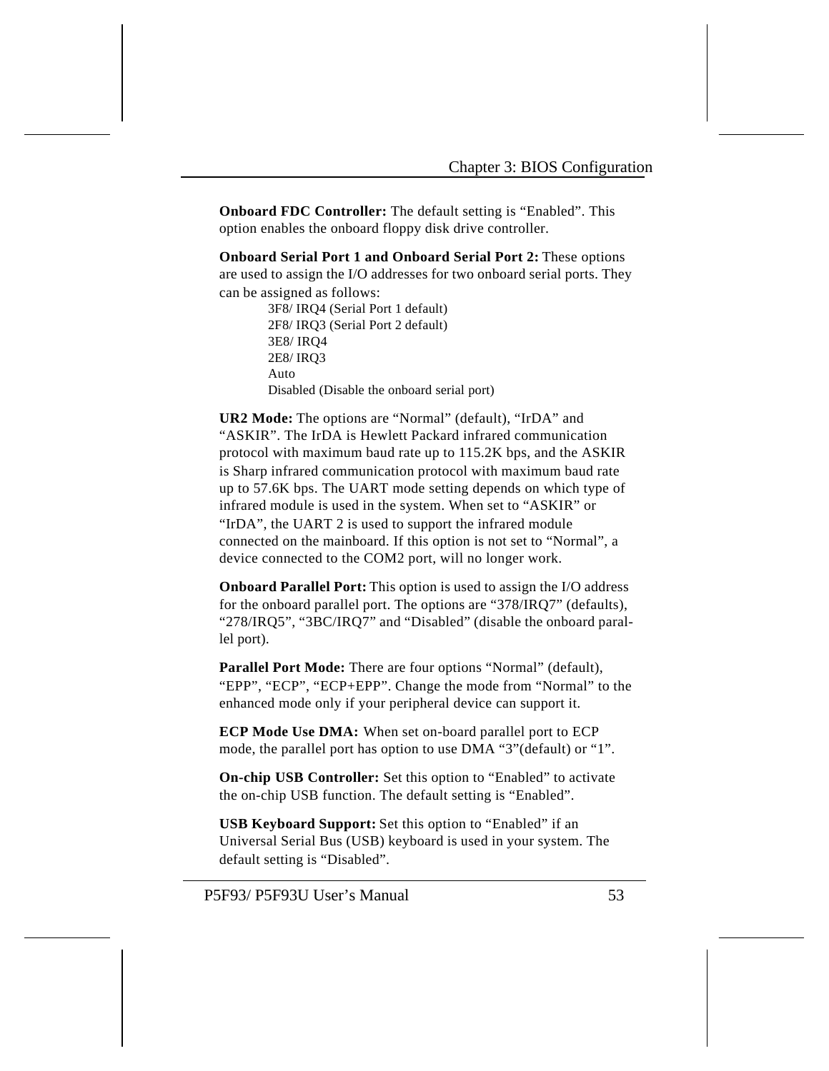**Onboard FDC Controller:** The default setting is "Enabled". This option enables the onboard floppy disk drive controller.

**Onboard Serial Port 1 and Onboard Serial Port 2:** These options are used to assign the I/O addresses for two onboard serial ports. They can be assigned as follows:

> 3F8/ IRQ4 (Serial Port 1 default) 2F8/ IRQ3 (Serial Port 2 default) 3E8/ IRQ4 2E8/ IRQ3 Auto Disabled (Disable the onboard serial port)

**UR2 Mode:** The options are "Normal" (default), "IrDA" and "ASKIR". The IrDA is Hewlett Packard infrared communication protocol with maximum baud rate up to 115.2K bps, and the ASKIR is Sharp infrared communication protocol with maximum baud rate up to 57.6K bps. The UART mode setting depends on which type of infrared module is used in the system. When set to "ASKIR" or "IrDA", the UART 2 is used to support the infrared module connected on the mainboard. If this option is not set to "Normal", a device connected to the COM2 port, will no longer work.

**Onboard Parallel Port:** This option is used to assign the I/O address for the onboard parallel port. The options are "378/IRQ7" (defaults), "278/IRQ5", "3BC/IRQ7" and "Disabled" (disable the onboard parallel port).

Parallel Port Mode: There are four options "Normal" (default), "EPP", "ECP", "ECP+EPP". Change the mode from "Normal" to the enhanced mode only if your peripheral device can support it.

**ECP Mode Use DMA:** When set on-board parallel port to ECP mode, the parallel port has option to use DMA "3"(default) or "1".

**On-chip USB Controller:** Set this option to "Enabled" to activate the on-chip USB function. The default setting is "Enabled".

**USB Keyboard Support:** Set this option to "Enabled" if an Universal Serial Bus (USB) keyboard is used in your system. The default setting is "Disabled".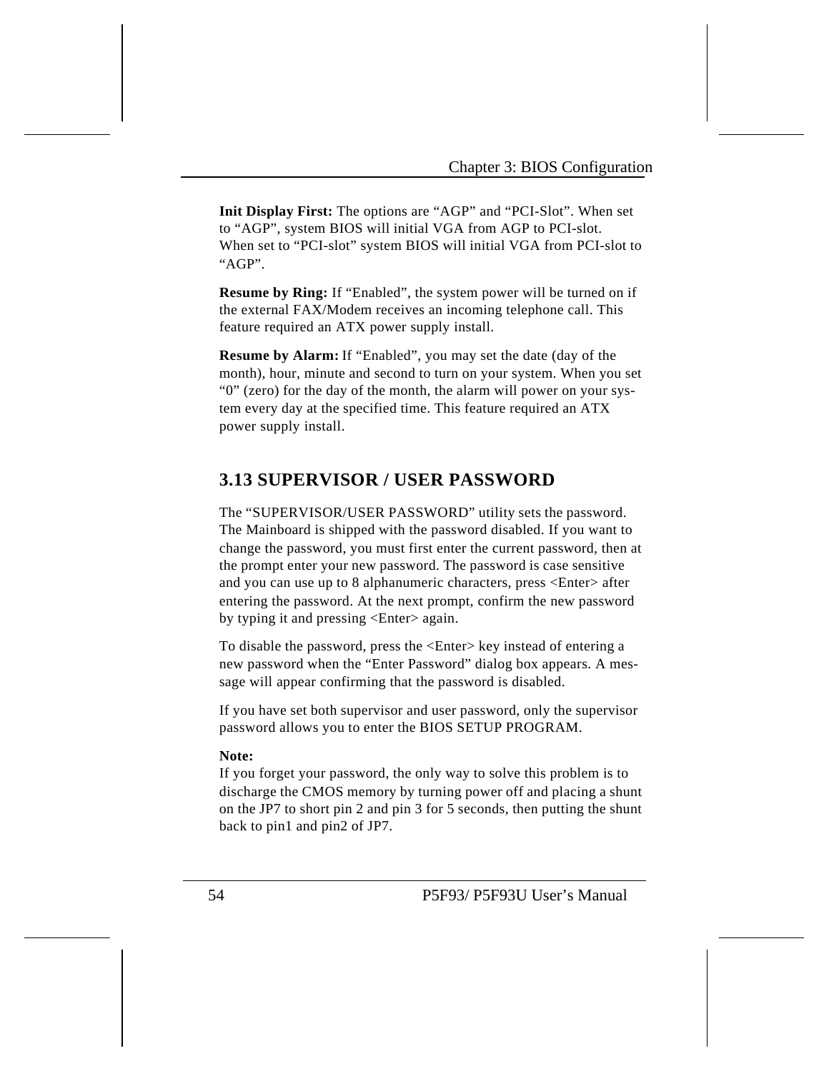**Init Display First:** The options are "AGP" and "PCI-Slot". When set to "AGP", system BIOS will initial VGA from AGP to PCI-slot. When set to "PCI-slot" system BIOS will initial VGA from PCI-slot to "AGP".

**Resume by Ring:** If "Enabled", the system power will be turned on if the external FAX/Modem receives an incoming telephone call. This feature required an ATX power supply install.

**Resume by Alarm:** If "Enabled", you may set the date (day of the month), hour, minute and second to turn on your system. When you set "0" (zero) for the day of the month, the alarm will power on your system every day at the specified time. This feature required an ATX power supply install.

# **3.13 SUPERVISOR / USER PASSWORD**

The "SUPERVISOR/USER PASSWORD" utility sets the password. The Mainboard is shipped with the password disabled. If you want to change the password, you must first enter the current password, then at the prompt enter your new password. The password is case sensitive and you can use up to 8 alphanumeric characters, press <Enter> after entering the password. At the next prompt, confirm the new password by typing it and pressing <Enter> again.

To disable the password, press the <Enter> key instead of entering a new password when the "Enter Password" dialog box appears. A message will appear confirming that the password is disabled.

If you have set both supervisor and user password, only the supervisor password allows you to enter the BIOS SETUP PROGRAM.

#### **Note:**

If you forget your password, the only way to solve this problem is to discharge the CMOS memory by turning power off and placing a shunt on the JP7 to short pin 2 and pin 3 for 5 seconds, then putting the shunt back to pin1 and pin2 of JP7.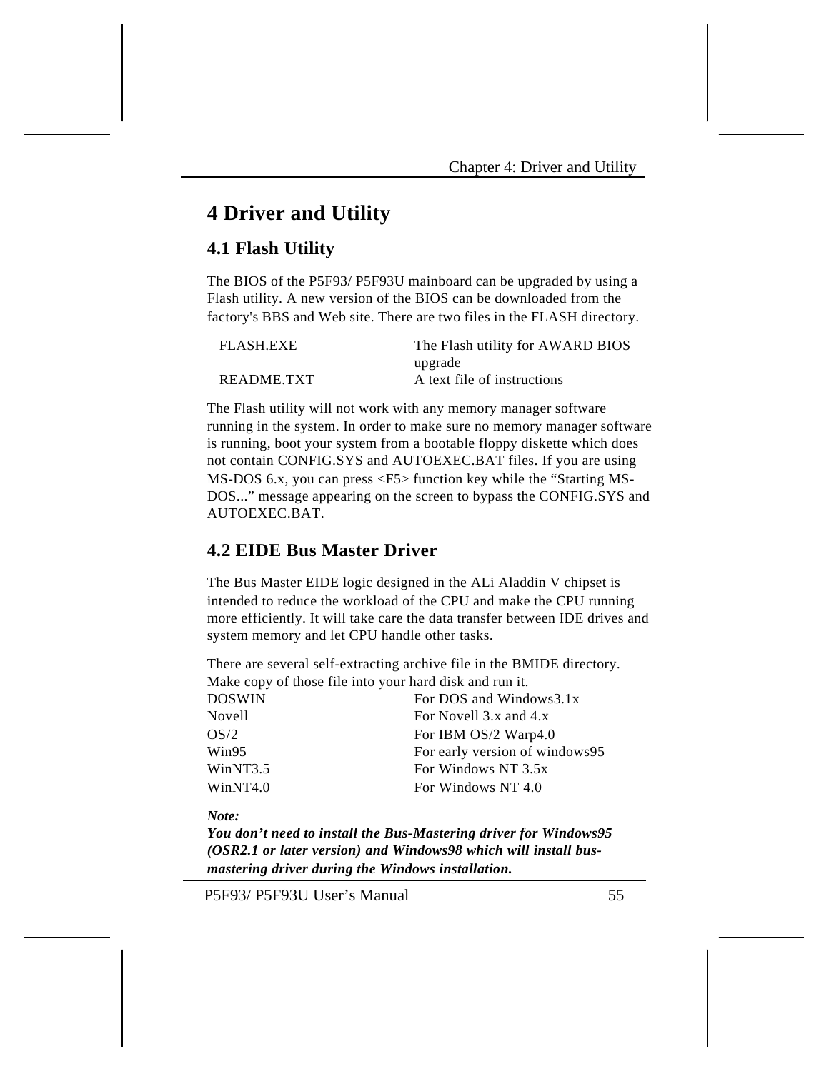# **4 Driver and Utility**

# **4.1 Flash Utility**

The BIOS of the P5F93/ P5F93U mainboard can be upgraded by using a Flash utility. A new version of the BIOS can be downloaded from the factory's BBS and Web site. There are two files in the FLASH directory.

| FLASH.EXE  | The Flash utility for AWARD BIOS |
|------------|----------------------------------|
|            | upgrade                          |
| README.TXT | A text file of instructions      |

The Flash utility will not work with any memory manager software running in the system. In order to make sure no memory manager software is running, boot your system from a bootable floppy diskette which does not contain CONFIG.SYS and AUTOEXEC.BAT files. If you are using MS-DOS 6.x, you can press <F5> function key while the "Starting MS-DOS..." message appearing on the screen to bypass the CONFIG.SYS and AUTOEXEC.BAT.

# **4.2 EIDE Bus Master Driver**

The Bus Master EIDE logic designed in the ALi Aladdin V chipset is intended to reduce the workload of the CPU and make the CPU running more efficiently. It will take care the data transfer between IDE drives and system memory and let CPU handle other tasks.

There are several self-extracting archive file in the BMIDE directory. Make copy of those file into your hard disk and run it.

| DOSWIN   | For DOS and Windows3.1x        |
|----------|--------------------------------|
| Novell   | For Novell 3.x and 4.x         |
| OS/2     | For IBM OS/2 Warp4.0           |
| Win95    | For early version of windows95 |
| WinNT3.5 | For Windows NT 3.5x            |
| WinNT4.0 | For Windows NT 4.0             |
|          |                                |

*Note:*

*You don't need to install the Bus-Mastering driver for Windows95 (OSR2.1 or later version) and Windows98 which will install busmastering driver during the Windows installation.*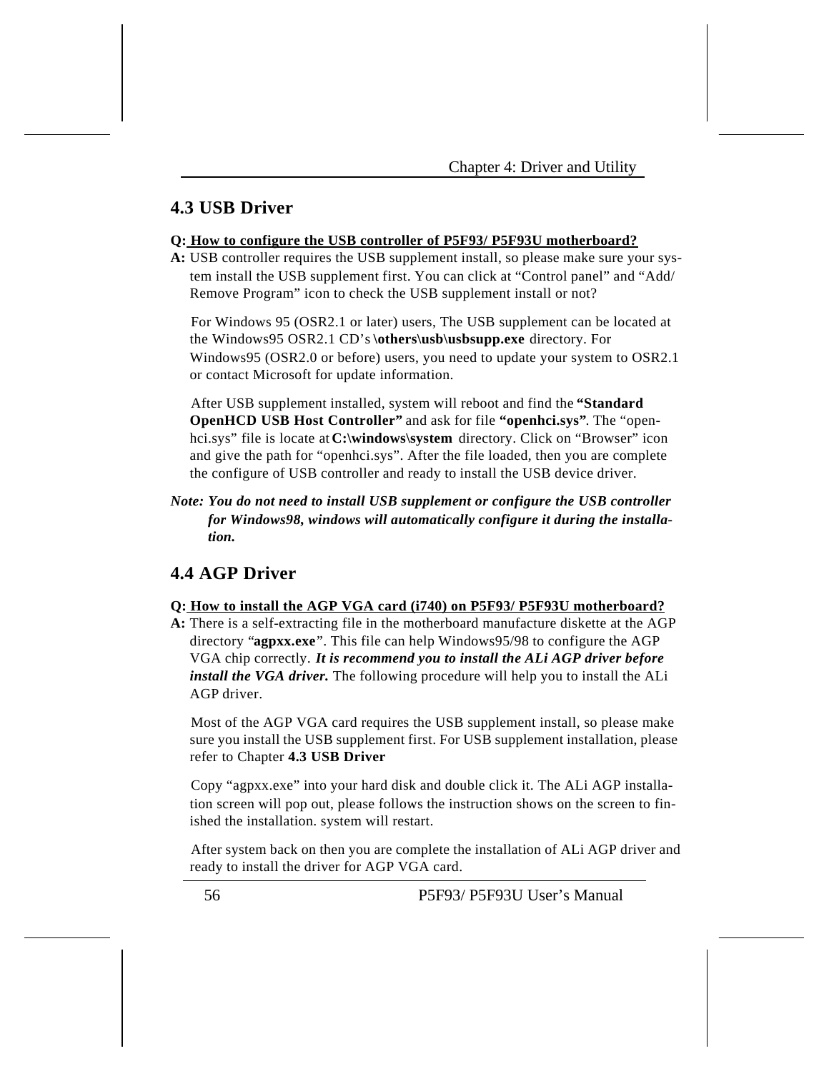# **4.3 USB Driver**

#### **Q: How to configure the USB controller of P5F93/ P5F93U motherboard?**

**A:** USB controller requires the USB supplement install, so please make sure your system install the USB supplement first. You can click at "Control panel" and "Add/ Remove Program" icon to check the USB supplement install or not?

For Windows 95 (OSR2.1 or later) users, The USB supplement can be located at the Windows95 OSR2.1 CD's **\others\usb\usbsupp.exe** directory. For Windows95 (OSR2.0 or before) users, you need to update your system to OSR2.1 or contact Microsoft for update information.

After USB supplement installed, system will reboot and find the **"Standard OpenHCD USB Host Controller"** and ask for file **"openhci.sys"**. The "openhci.sys" file is locate at **C:\windows\system** directory. Click on "Browser" icon and give the path for "openhci.sys". After the file loaded, then you are complete the configure of USB controller and ready to install the USB device driver.

*Note: You do not need to install USB supplement or configure the USB controller for Windows98, windows will automatically configure it during the installation.*

# **4.4 AGP Driver**

#### **Q: How to install the AGP VGA card (i740) on P5F93/ P5F93U motherboard?**

**A:** There is a self-extracting file in the motherboard manufacture diskette at the AGP directory "**agpxx.exe**". This file can help Windows95/98 to configure the AGP VGA chip correctly. *It is recommend you to install the ALi AGP driver before install the VGA driver.* The following procedure will help you to install the ALi AGP driver.

Most of the AGP VGA card requires the USB supplement install, so please make sure you install the USB supplement first. For USB supplement installation, please refer to Chapter **4.3 USB Driver**

Copy "agpxx.exe" into your hard disk and double click it. The ALi AGP installation screen will pop out, please follows the instruction shows on the screen to finished the installation. system will restart.

After system back on then you are complete the installation of ALi AGP driver and ready to install the driver for AGP VGA card.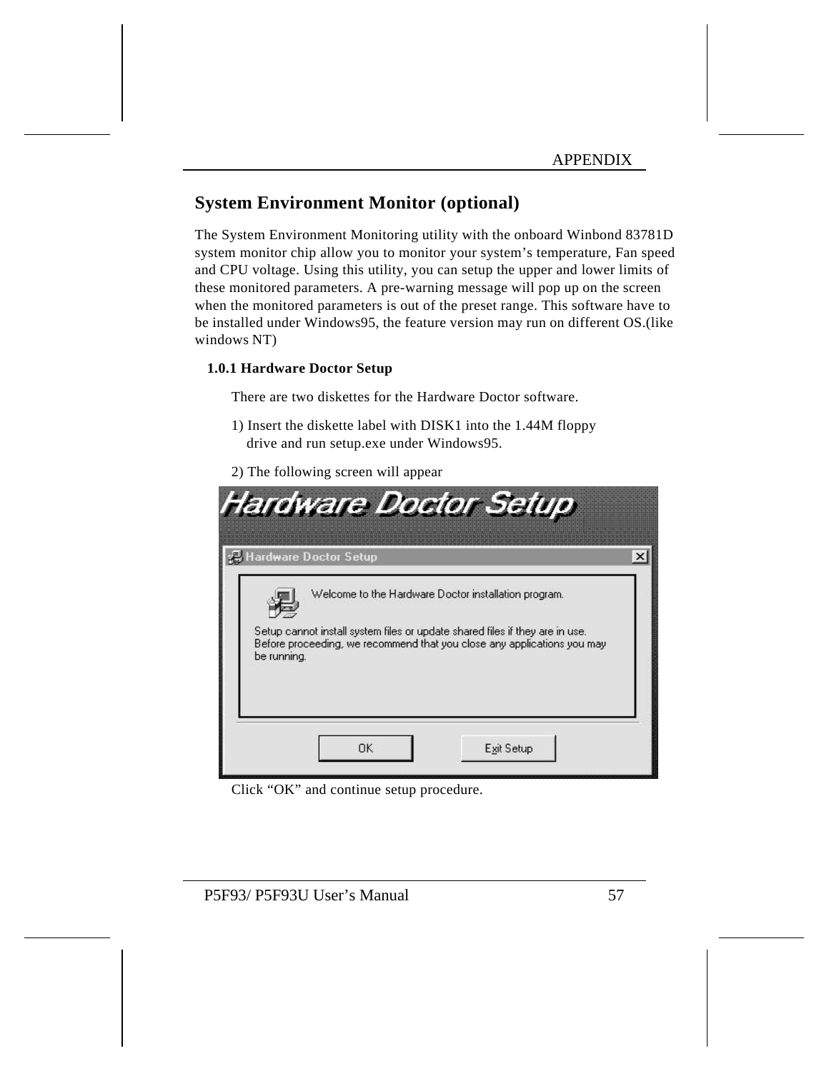# **System Environment Monitor (optional)**

The System Environment Monitoring utility with the onboard Winbond 83781D system monitor chip allow you to monitor your system's temperature, Fan speed and CPU voltage. Using this utility, you can setup the upper and lower limits of these monitored parameters. A pre-warning message will pop up on the screen when the monitored parameters is out of the preset range. This software have to be installed under Windows95, the feature version may run on different OS.(like windows NT)

### **1.0.1 Hardware Doctor Setup**

There are two diskettes for the Hardware Doctor software.

- 1) Insert the diskette label with DISK1 into the 1.44M floppy drive and run setup.exe under Windows95.
- 2) The following screen will appear

|             | Hardware Doctor Setup |                                                                                                                                                                                                                 |  |
|-------------|-----------------------|-----------------------------------------------------------------------------------------------------------------------------------------------------------------------------------------------------------------|--|
| be running. |                       | Welcome to the Hardware Doctor installation program.<br>Setup cannot install system files or update shared files if they are in use.<br>Before proceeding, we recommend that you close any applications you may |  |
|             |                       |                                                                                                                                                                                                                 |  |

Click "OK" and continue setup procedure.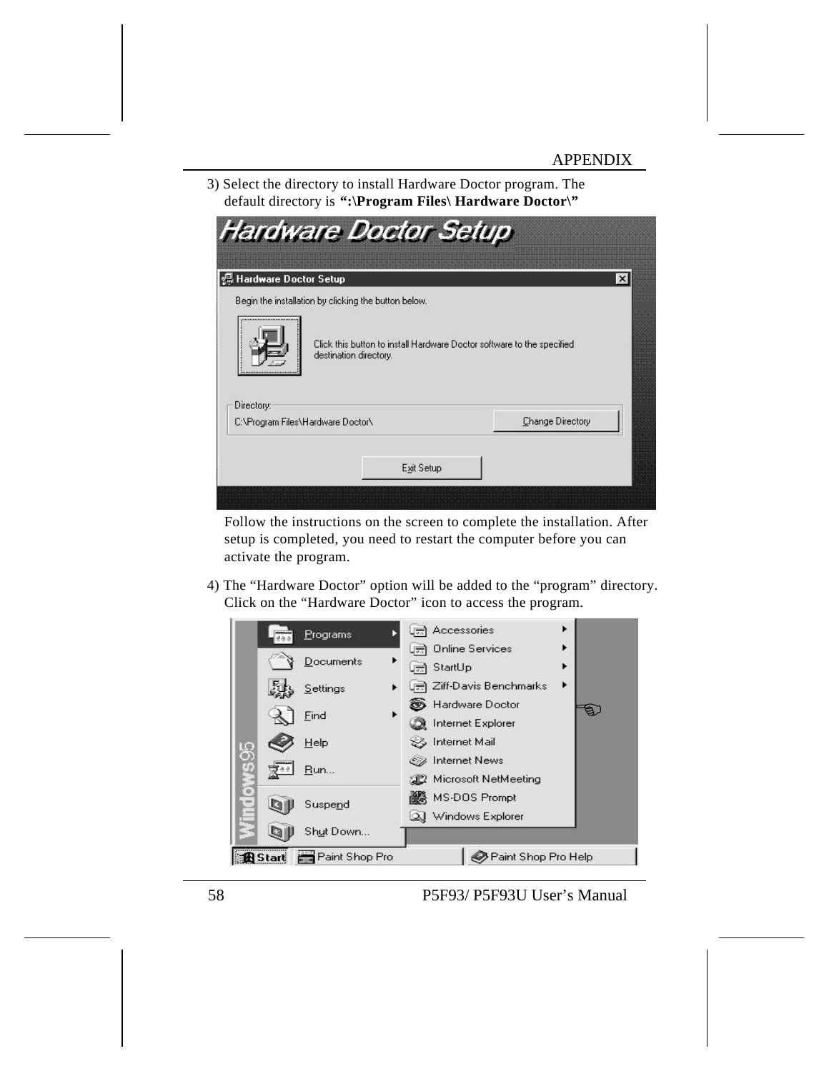3) Select the directory to install Hardware Doctor program. The default directory is **":\Program Files\ Hardware Doctor\"**

| Begin the installation by clicking the button below.<br>Click this button to install Hardware Doctor software to the specified<br>destination directory.<br> |                  |
|--------------------------------------------------------------------------------------------------------------------------------------------------------------|------------------|
|                                                                                                                                                              |                  |
| Directory:                                                                                                                                                   |                  |
| C:\Program Files\Hardware Doctor\                                                                                                                            | Change Directory |

Follow the instructions on the screen to complete the installation. After setup is completed, you need to restart the computer before you can activate the program.

4) The "Hardware Doctor" option will be added to the "program" directory. Click on the "Hardware Doctor" icon to access the program.

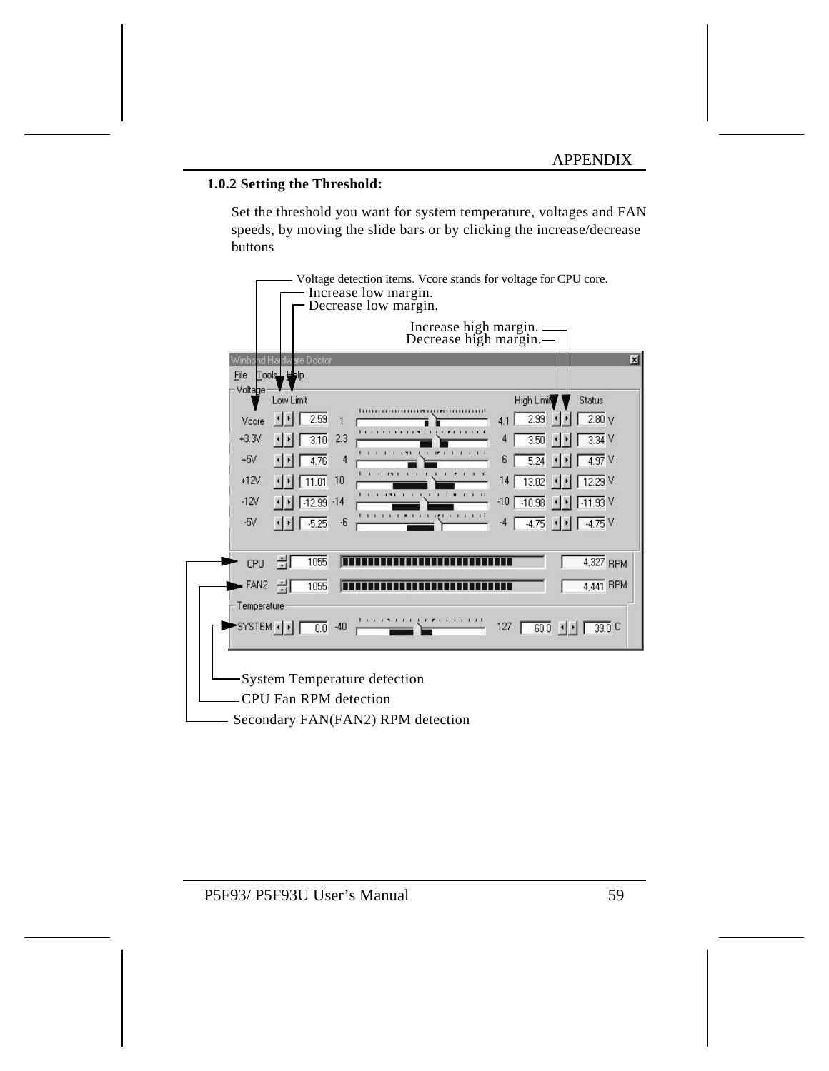#### **1.0.2 Setting the Threshold:**

Set the threshold you want for system temperature, voltages and FAN speeds, by moving the slide bars or by clicking the increase/decrease buttons